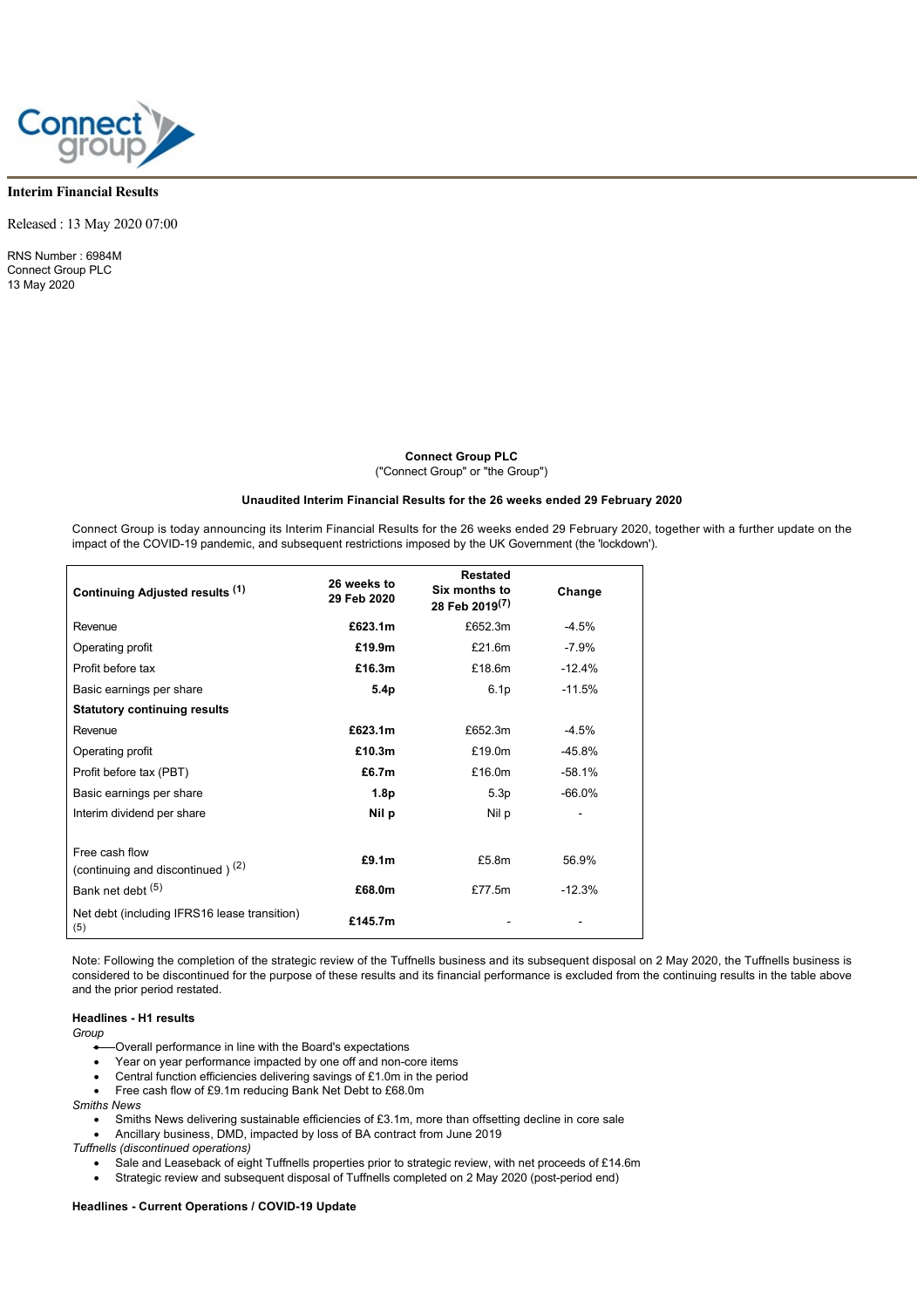

## **Interim Financial Results**

Released : 13 May 2020 07:00

RNS Number : 6984M Connect Group PLC 13 May 2020

> **Connect Group PLC** ("Connect Group" or "the Group")

## **Unaudited Interim Financial Results for the 26 weeks ended 29 February 2020**

Connect Group is today announcing its Interim Financial Results for the 26 weeks ended 29 February 2020, together with a further update on the impact of the COVID-19 pandemic, and subsequent restrictions imposed by the UK Government (the 'lockdown').

| Continuing Adjusted results (1)                                | 26 weeks to<br>29 Feb 2020 | <b>Restated</b><br>Six months to<br>28 Feb 2019 <sup>(7)</sup> | Change    |
|----------------------------------------------------------------|----------------------------|----------------------------------------------------------------|-----------|
| Revenue                                                        | £623.1m                    | £652.3m                                                        | $-4.5%$   |
| Operating profit                                               | £19.9m                     | £21.6m                                                         | $-7.9%$   |
| Profit before tax                                              | £16.3m                     | £18.6m                                                         | $-12.4%$  |
| Basic earnings per share                                       | 5.4 <sub>p</sub>           | 6.1 <sub>p</sub>                                               | $-11.5%$  |
| <b>Statutory continuing results</b>                            |                            |                                                                |           |
| Revenue                                                        | £623.1m                    | £652.3m                                                        | $-4.5%$   |
| Operating profit                                               | £10.3m                     | £19.0m                                                         | -45.8%    |
| Profit before tax (PBT)                                        | £6.7m                      | £16.0m                                                         | $-58.1%$  |
| Basic earnings per share                                       | 1.8p                       | 5.3p                                                           | $-66.0\%$ |
| Interim dividend per share                                     | Nil p                      | Nil p                                                          |           |
| Free cash flow<br>(continuing and discontinued) <sup>(2)</sup> | £9.1m                      | £5.8m                                                          | 56.9%     |
| Bank net debt (5)                                              | £68.0m                     | £77.5m                                                         | $-12.3%$  |
| Net debt (including IFRS16 lease transition)<br>(5)            | £145.7m                    |                                                                |           |

Note: Following the completion of the strategic review of the Tuffnells business and its subsequent disposal on 2 May 2020, the Tuffnells business is considered to be discontinued for the purpose of these results and its financial performance is excluded from the continuing results in the table above and the prior period restated.

## **Headlines - H1 results**

*Group*

- · Overall performance in line with the Board's expectations
- · Year on year performance impacted by one off and non-core items
- Central function efficiencies delivering savings of £1.0m in the period
- Free cash flow of £9.1m reducing Bank Net Debt to £68.0m

*Smiths News*

- · Smiths News delivering sustainable efficiencies of £3.1m, more than offsetting decline in core sale
- · Ancillary business, DMD, impacted by loss of BA contract from June 2019
- *Tuffnells (discontinued operations)* Sale and Leaseback of eight Tuffnells properties prior to strategic review, with net proceeds of £14.6m
	- · Strategic review and subsequent disposal of Tuffnells completed on 2 May 2020 (post-period end)

#### **Headlines - Current Operations / COVID-19 Update**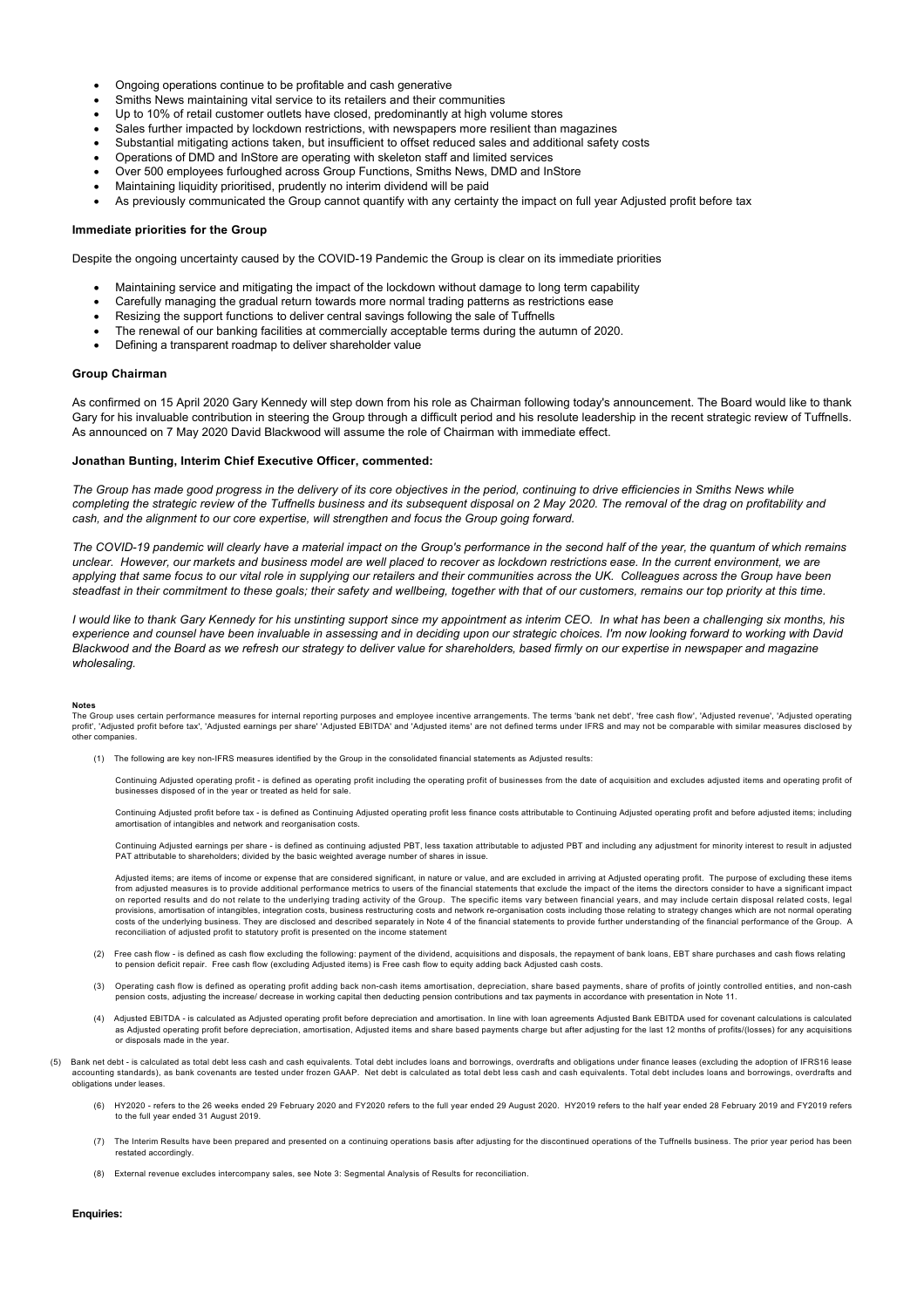- · Ongoing operations continue to be profitable and cash generative
- Smiths News maintaining vital service to its retailers and their communities
- Up to 10% of retail customer outlets have closed, predominantly at high volume stores
- Sales further impacted by lockdown restrictions, with newspapers more resilient than magazines
- Substantial mitigating actions taken, but insufficient to offset reduced sales and additional safety costs
- · Operations of DMD and InStore are operating with skeleton staff and limited services
- Over 500 employees furloughed across Group Functions, Smiths News, DMD and InStore
- · Maintaining liquidity prioritised, prudently no interim dividend will be paid
- As previously communicated the Group cannot quantify with any certainty the impact on full year Adjusted profit before tax

#### **Immediate priorities for the Group**

Despite the ongoing uncertainty caused by the COVID-19 Pandemic the Group is clear on its immediate priorities

- · Maintaining service and mitigating the impact of the lockdown without damage to long term capability
- Carefully managing the gradual return towards more normal trading patterns as restrictions ease
- Resizing the support functions to deliver central savings following the sale of Tuffnells
- The renewal of our banking facilities at commercially acceptable terms during the autumn of 2020.
- Defining a transparent roadmap to deliver shareholder value

#### **Group Chairman**

As confirmed on 15 April 2020 Gary Kennedy will step down from his role as Chairman following today's announcement. The Board would like to thank Gary for his invaluable contribution in steering the Group through a difficult period and his resolute leadership in the recent strategic review of Tuffnells. As announced on 7 May 2020 David Blackwood will assume the role of Chairman with immediate effect.

#### **Jonathan Bunting, Interim Chief Executive Officer, commented:**

*The Group has made good progress in the delivery of its core objectives in the period, continuing to drive efficiencies in Smiths News while completing the strategic review of the Tuffnells business and its subsequent disposal on 2 May 2020. The removal of the drag on profitability and cash, and the alignment to our core expertise, will strengthen and focus the Group going forward.*

*The COVID-19 pandemic will clearly have a material impact on the Group's performance in the second half of the year, the quantum of which remains unclear. However, our markets and business model are well placed to recover as lockdown restrictions ease. In the current environment, we are applying that same focus to our vital role in supplying our retailers and their communities across the UK. Colleagues across the Group have been steadfast in their commitment to these goals; their safety and wellbeing, together with that of our customers, remains our top priority at this time.* 

*I would like to thank Gary Kennedy for his unstinting support since my appointment as interim CEO. In what has been a challenging six months, his experience and counsel have been invaluable in assessing and in deciding upon our strategic choices. I'm now looking forward to working with David Blackwood and the Board as we refresh our strategy to deliver value for shareholders, based firmly on our expertise in newspaper and magazine wholesaling.* 

#### **Notes**

.....<br>The Group uses certain performance measures for internal reporting purposes and employee incentive arrangements. The terms 'bank net debt', 'free cash flow', 'Adjusted revenue', 'Adjusted operating profit', 'Adjusted profit before tax', 'Adjusted earnings per share' 'Adjusted EBITDA' and 'Adjusted items' are not defined terms under IFRS and may not be comparable with similar measures disclosed by other companies.

(1) The following are key non-IFRS measures identified by the Group in the consolidated financial statements as Adjusted results:

Continuing Adjusted operating profit - is defined as operating profit including the operating profit of businesses from the date of acquisition and excludes adjusted items and operating profit of businesses disposed of in the year or treated as held for sale.

Continuing Adjusted profit before tax - is defined as Continuing Adjusted operating profit less finance costs attributable to Continuing Adjusted operating profit and before adjusted items; including<br>amortisation of intang

Continuing Adjusted earnings per share - is defined as continuing adjusted PBT, less taxation attributable to adjusted PBT and including any adjustment for minority interest to result in adjusted PAT attributable to shareholders; divided by the basic weighted average number of shares in issue.

Adjusted items; are items of income or expense that are considered significant, in nature or value, and are excluded in arriving at Adjusted operating profit. The purpose of excluding these items from adjusted measures is to provide additional performance metrics to users of the financial statements that exclude the impact of the items the directors consider to have a significant impact on reported results and do not relate to the underlying trading activity of the Group. The specific items vary between financial years, and may include certain disposal related costs, legal provisions, amortisation of intangibles, integration costs, business restructuring costs and network re-organisation costs including those relating to strategy changes which are not normal operating costs of the underlying business. They are disclosed and described separately in Note 4 of the financial statements to provide further understanding of the financial performance of the Group. A reconciliation of adjusted profit to statutory profit is presented on the income statement

- (2) Free cash flow is defined as cash flow excluding the following: payment of the dividend, acquisitions and disposals, the repayment of bank loans, EBT share purchases and cash flows relating<br>to pension deficit repair.
- (3) Operating cash flow is defined as operating profit adding back non-cash items amortisation, depreciation, share based payments, share of profits of jointly controlled entities, and non-cash pension costs, adjusting the increase/ decrease in working capital then deducting pension contributions and tax payments in accordance with presentation in Note 11.
- (4) Adjusted EBITDA is calculated as Adjusted operating profit before depreciation and amortisation. In line with loan agreements Adjusted Bank EBITDA used for covenant calculations is calculated as Adjusted operating profit before depreciation, amortisation, Adjusted items and share based payments charge but after adjusting for the last 12 months of profits/(losses) for any acquisitions or disposals made in the year.
- (5) Bank net debt is calculated as total debt less cash and cash equivalents. Total debt includes loans and borrowings, overdrafts and obligations under finance leases (excluding the adoption of IFRS16 lease accounting standards), as bank covenants are tested under frozen GAAP. Net debt is calculated as total debt less cash and cash equivalents. Total debt includes loans and borrowings, overdrafts and obligations under leases.
	- (6) HY2020 refers to the 26 weeks ended 29 February 2020 and FY2020 refers to the full year ended 29 August 2020. HY2019 refers to the half year ended 28 February 2019 and FY2019 refers to the full year ended 31 August 2019.
	- (7) The Interim Results have been prepared and presented on a continuing operations basis after adjusting for the discontinued operations of the Tuffnells business. The prior year period has been restated accordingly.
	- (8) External revenue excludes intercompany sales, see Note 3: Segmental Analysis of Results for reconciliation.

## **Enquiries:**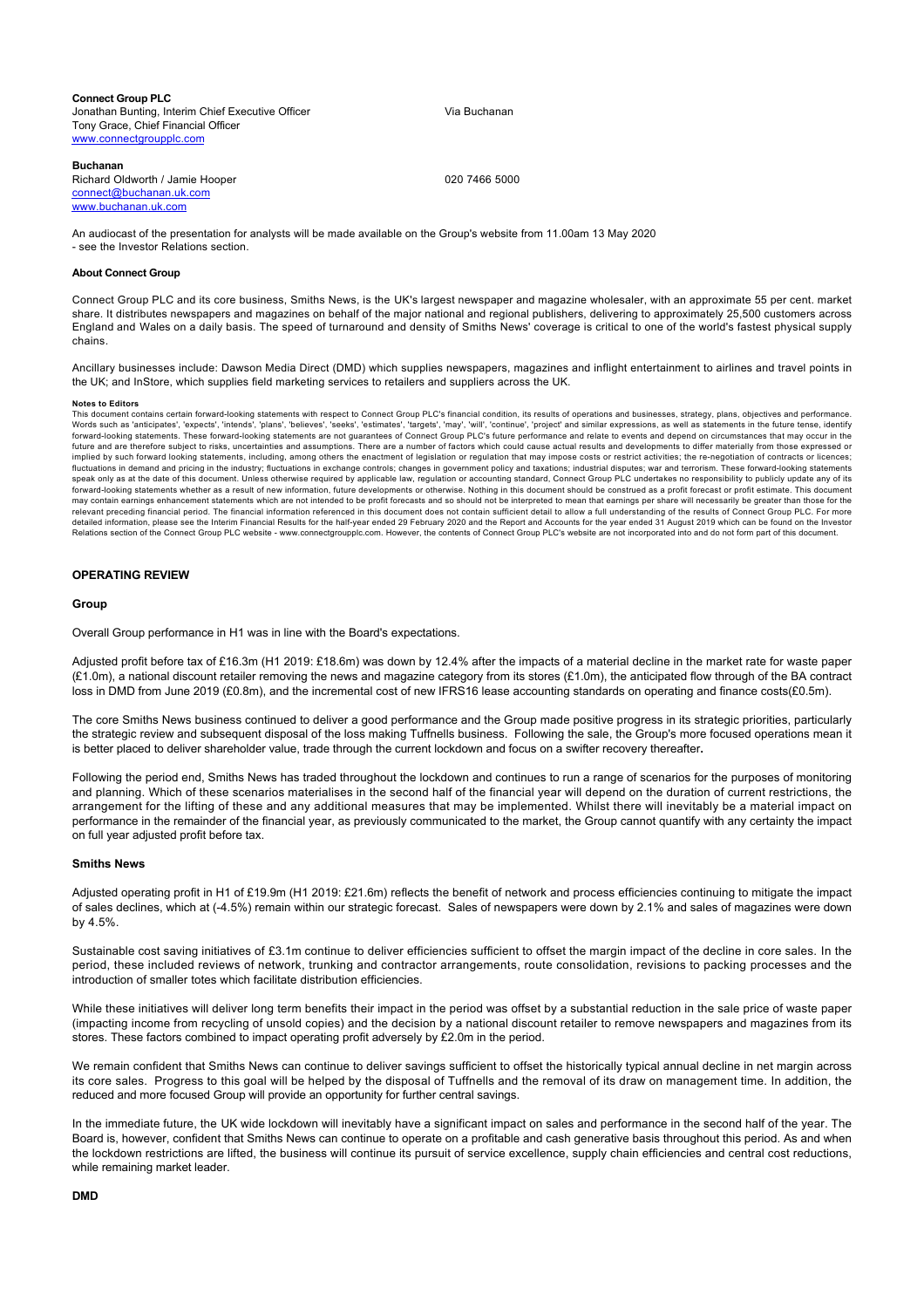**Connect Group PLC** Jonathan Bunting, Interim Chief Executive Officer Tony Grace, Chief Financial Officer [www.connectgroupplc.com](http://www.connectgroupplc.com)

Via Buchanan

#### **Buchanan**

Richard Oldworth / Jamie Hooper [connect@buchanan.uk.com](mailto:connect@buchanan.uk.com) [www.buchanan.uk.com](http://www.buchanan.uk.com)

020 7466 5000

An audiocast of the presentation for analysts will be made available on the Group's website from 11.00am 13 May 2020 - see the Investor Relations section.

#### **About Connect Group**

Connect Group PLC and its core business, Smiths News, is the UK's largest newspaper and magazine wholesaler, with an approximate 55 per cent. market share. It distributes newspapers and magazines on behalf of the major national and regional publishers, delivering to approximately 25,500 customers across England and Wales on a daily basis. The speed of turnaround and density of Smiths News' coverage is critical to one of the world's fastest physical supply chains.

Ancillary businesses include: Dawson Media Direct (DMD) which supplies newspapers, magazines and inflight entertainment to airlines and travel points in the UK; and InStore, which supplies field marketing services to retailers and suppliers across the UK.

#### **Notes to Editors**

This document contains certain forward-looking statements with respect to Connect Group PLC's financial condition, its results of operations and businesses, strategy, plans, objectives and performance. Words such as 'anticipates', 'expects', 'intends', 'plans', 'believes', 'seeks', 'estimates', 'targets', 'may', 'will', 'continue', 'project' and similar expressions, as well as statements in the future tense, identify forward-looking statements. These forward-looking statements are not guarantees of Connect Group PLC's future performance and relate to events and depend on circumstances that may occur in the future and are therefore subject to risks, uncertainties and assumptions. There are a number of factors which could cause actual results and developments to differ materially from those expressed or implied by such forward looking statements, including, among others the enactment of legislation or regulation that may impose costs or restrict activities; the re-negotiation of contracts or licences; fluctuations in demand and pricing in the industry; fluctuations in exchange controls; changes in government policy and taxations; industrial disputes; war and terrorism. These forward-looking statements<br>speak only as at t forward-looking statements whether as a result of new information, future developments or otherwise. Nothing in this document should be construed as a profit forecast or profit estimate. This document may contain earnings enhancement statements which are not intended to be profit forecasts and so should not be interpreted to mean that earnings per share will necessarily be greater than those for the may contain earnings relevant preceding financial period. The financial information referenced in this document does not contain sufficient detail to allow a full understanding of the results of Connect Group PLC. For more detailed information, please see the Interim Financial Results for the half-year ended 29 February 2020 and the Report and Accounts for the year ended 31 August 2019 which can be found on the Investor<br>Relations section of

#### **OPERATING REVIEW**

#### **Group**

Overall Group performance in H1 was in line with the Board's expectations.

Adjusted profit before tax of £16.3m (H1 2019: £18.6m) was down by 12.4% after the impacts of a material decline in the market rate for waste paper  $(E1.0m)$ , a national discount retailer removing the news and magazine category from its stores  $(E1.0m)$ , the anticipated flow through of the BA contract loss in DMD from June 2019 (£0.8m), and the incremental cost of new IFRS16 lease accounting standards on operating and finance costs(£0.5m).

The core Smiths News business continued to deliver a good performance and the Group made positive progress in its strategic priorities, particularly the strategic review and subsequent disposal of the loss making Tuffnells business. Following the sale, the Group's more focused operations mean it is better placed to deliver shareholder value, trade through the current lockdown and focus on a swifter recovery thereafter**.**

Following the period end, Smiths News has traded throughout the lockdown and continues to run a range of scenarios for the purposes of monitoring and planning. Which of these scenarios materialises in the second half of the financial year will depend on the duration of current restrictions, the arrangement for the lifting of these and any additional measures that may be implemented. Whilst there will inevitably be a material impact on performance in the remainder of the financial year, as previously communicated to the market, the Group cannot quantify with any certainty the impact on full year adjusted profit before tax.

#### **Smiths News**

Adjusted operating profit in H1 of £19.9m (H1 2019: £21.6m) reflects the benefit of network and process efficiencies continuing to mitigate the impact of sales declines, which at (-4.5%) remain within our strategic forecast. Sales of newspapers were down by 2.1% and sales of magazines were down by 4.5%.

Sustainable cost saving initiatives of £3.1m continue to deliver efficiencies sufficient to offset the margin impact of the decline in core sales. In the period, these included reviews of network, trunking and contractor arrangements, route consolidation, revisions to packing processes and the introduction of smaller totes which facilitate distribution efficiencies.

While these initiatives will deliver long term benefits their impact in the period was offset by a substantial reduction in the sale price of waste paper (impacting income from recycling of unsold copies) and the decision by a national discount retailer to remove newspapers and magazines from its stores. These factors combined to impact operating profit adversely by £2.0m in the period.

We remain confident that Smiths News can continue to deliver savings sufficient to offset the historically typical annual decline in net margin across its core sales. Progress to this goal will be helped by the disposal of Tuffnells and the removal of its draw on management time. In addition, the reduced and more focused Group will provide an opportunity for further central savings.

In the immediate future, the UK wide lockdown will inevitably have a significant impact on sales and performance in the second half of the year. The Board is, however, confident that Smiths News can continue to operate on a profitable and cash generative basis throughout this period. As and when the lockdown restrictions are lifted, the business will continue its pursuit of service excellence, supply chain efficiencies and central cost reductions, while remaining market leader.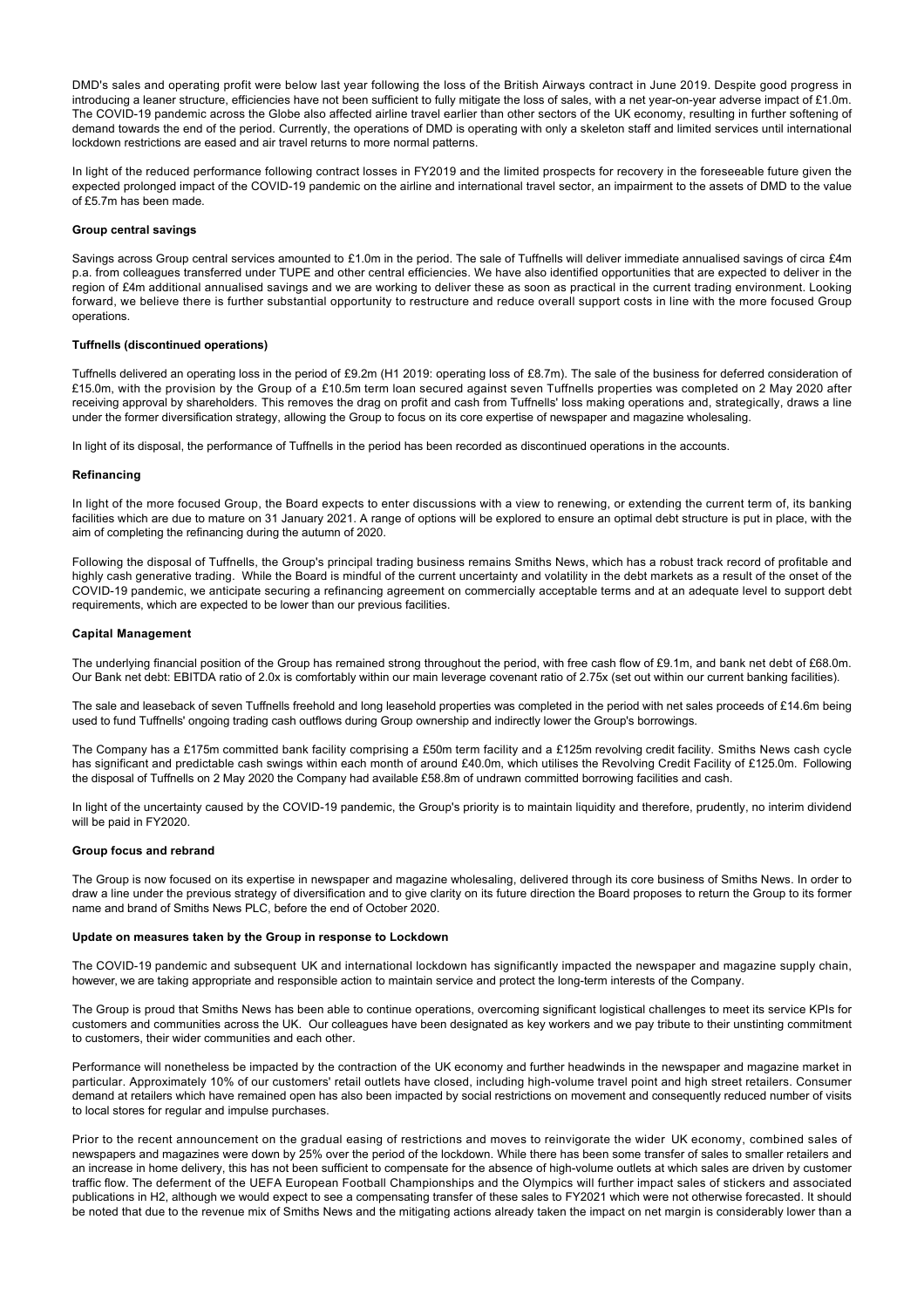DMD's sales and operating profit were below last year following the loss of the British Airways contract in June 2019. Despite good progress in introducing a leaner structure, efficiencies have not been sufficient to fully mitigate the loss of sales, with a net year-on-year adverse impact of £1.0m. The COVID-19 pandemic across the Globe also affected airline travel earlier than other sectors of the UK economy, resulting in further softening of demand towards the end of the period. Currently, the operations of DMD is operating with only a skeleton staff and limited services until international lockdown restrictions are eased and air travel returns to more normal patterns.

In light of the reduced performance following contract losses in FY2019 and the limited prospects for recovery in the foreseeable future given the expected prolonged impact of the COVID-19 pandemic on the airline and international travel sector, an impairment to the assets of DMD to the value of £5.7m has been made.

#### **Group central savings**

Savings across Group central services amounted to £1.0m in the period. The sale of Tuffnells will deliver immediate annualised savings of circa £4m p.a. from colleagues transferred under TUPE and other central efficiencies. We have also identified opportunities that are expected to deliver in the region of £4m additional annualised savings and we are working to deliver these as soon as practical in the current trading environment. Looking forward, we believe there is further substantial opportunity to restructure and reduce overall support costs in line with the more focused Group operations.

### **Tuffnells (discontinued operations)**

Tuffnells delivered an operating loss in the period of £9.2m (H1 2019: operating loss of £8.7m). The sale of the business for deferred consideration of £15.0m, with the provision by the Group of a £10.5m term loan secured against seven Tuffnells properties was completed on 2 May 2020 after receiving approval by shareholders. This removes the drag on profit and cash from Tuffnells' loss making operations and, strategically, draws a line under the former diversification strategy, allowing the Group to focus on its core expertise of newspaper and magazine wholesaling.

In light of its disposal, the performance of Tuffnells in the period has been recorded as discontinued operations in the accounts.

#### **Refinancing**

In light of the more focused Group, the Board expects to enter discussions with a view to renewing, or extending the current term of, its banking facilities which are due to mature on 31 January 2021. A range of options will be explored to ensure an optimal debt structure is put in place, with the aim of completing the refinancing during the autumn of 2020.

Following the disposal of Tuffnells, the Group's principal trading business remains Smiths News, which has a robust track record of profitable and highly cash generative trading. While the Board is mindful of the current uncertainty and volatility in the debt markets as a result of the onset of the COVID-19 pandemic, we anticipate securing a refinancing agreement on commercially acceptable terms and at an adequate level to support debt requirements, which are expected to be lower than our previous facilities.

#### **Capital Management**

The underlying financial position of the Group has remained strong throughout the period, with free cash flow of £9.1m, and bank net debt of £68.0m. Our Bank net debt: EBITDA ratio of 2.0x is comfortably within our main leverage covenant ratio of 2.75x (set out within our current banking facilities).

The sale and leaseback of seven Tuffnells freehold and long leasehold properties was completed in the period with net sales proceeds of £14.6m being used to fund Tuffnells' ongoing trading cash outflows during Group ownership and indirectly lower the Group's borrowings.

The Company has a £175m committed bank facility comprising a £50m term facility and a £125m revolving credit facility. Smiths News cash cycle has significant and predictable cash swings within each month of around £40.0m, which utilises the Revolving Credit Facility of £125.0m. Following the disposal of Tuffnells on 2 May 2020 the Company had available £58.8m of undrawn committed borrowing facilities and cash.

In light of the uncertainty caused by the COVID-19 pandemic, the Group's priority is to maintain liquidity and therefore, prudently, no interim dividend will be paid in FY2020.

#### **Group focus and rebrand**

The Group is now focused on its expertise in newspaper and magazine wholesaling, delivered through its core business of Smiths News. In order to draw a line under the previous strategy of diversification and to give clarity on its future direction the Board proposes to return the Group to its former name and brand of Smiths News PLC, before the end of October 2020.

#### **Update on measures taken by the Group in response to Lockdown**

The COVID-19 pandemic and subsequent UK and international lockdown has significantly impacted the newspaper and magazine supply chain, however, we are taking appropriate and responsible action to maintain service and protect the long-term interests of the Company.

The Group is proud that Smiths News has been able to continue operations, overcoming significant logistical challenges to meet its service KPIs for customers and communities across the UK. Our colleagues have been designated as key workers and we pay tribute to their unstinting commitment to customers, their wider communities and each other.

Performance will nonetheless be impacted by the contraction of the UK economy and further headwinds in the newspaper and magazine market in particular. Approximately 10% of our customers' retail outlets have closed, including high-volume travel point and high street retailers. Consumer demand at retailers which have remained open has also been impacted by social restrictions on movement and consequently reduced number of visits to local stores for regular and impulse purchases.

Prior to the recent announcement on the gradual easing of restrictions and moves to reinvigorate the wider UK economy, combined sales of newspapers and magazines were down by 25% over the period of the lockdown. While there has been some transfer of sales to smaller retailers and an increase in home delivery, this has not been sufficient to compensate for the absence of high-volume outlets at which sales are driven by customer traffic flow. The deferment of the UEFA European Football Championships and the Olympics will further impact sales of stickers and associated publications in H2, although we would expect to see a compensating transfer of these sales to FY2021 which were not otherwise forecasted. It should be noted that due to the revenue mix of Smiths News and the mitigating actions already taken the impact on net margin is considerably lower than a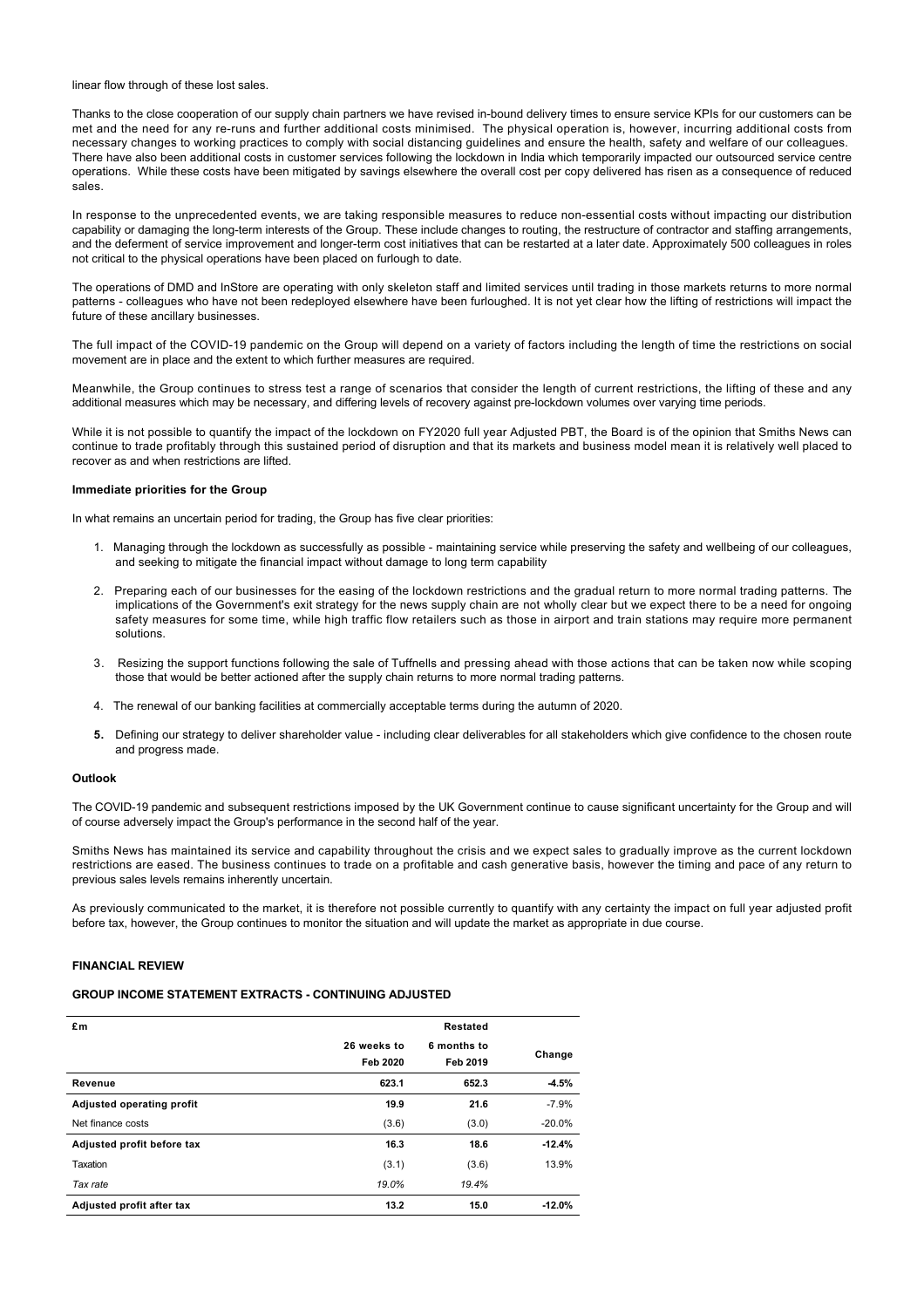linear flow through of these lost sales.

Thanks to the close cooperation of our supply chain partners we have revised in-bound delivery times to ensure service KPIs for our customers can be met and the need for any re-runs and further additional costs minimised. The physical operation is, however, incurring additional costs from necessary changes to working practices to comply with social distancing guidelines and ensure the health, safety and welfare of our colleagues. There have also been additional costs in customer services following the lockdown in India which temporarily impacted our outsourced service centre operations. While these costs have been mitigated by savings elsewhere the overall cost per copy delivered has risen as a consequence of reduced sales.

In response to the unprecedented events, we are taking responsible measures to reduce non-essential costs without impacting our distribution capability or damaging the long-term interests of the Group. These include changes to routing, the restructure of contractor and staffing arrangements, and the deferment of service improvement and longer-term cost initiatives that can be restarted at a later date. Approximately 500 colleagues in roles not critical to the physical operations have been placed on furlough to date.

The operations of DMD and InStore are operating with only skeleton staff and limited services until trading in those markets returns to more normal patterns - colleagues who have not been redeployed elsewhere have been furloughed. It is not yet clear how the lifting of restrictions will impact the future of these ancillary businesses.

The full impact of the COVID-19 pandemic on the Group will depend on a variety of factors including the length of time the restrictions on social movement are in place and the extent to which further measures are required.

Meanwhile, the Group continues to stress test a range of scenarios that consider the length of current restrictions, the lifting of these and any additional measures which may be necessary, and differing levels of recovery against pre-lockdown volumes over varying time periods.

While it is not possible to quantify the impact of the lockdown on FY2020 full year Adjusted PBT, the Board is of the opinion that Smiths News can continue to trade profitably through this sustained period of disruption and that its markets and business model mean it is relatively well placed to recover as and when restrictions are lifted.

## **Immediate priorities for the Group**

In what remains an uncertain period for trading, the Group has five clear priorities:

- 1. Managing through the lockdown as successfully as possible maintaining service while preserving the safety and wellbeing of our colleagues, and seeking to mitigate the financial impact without damage to long term capability
- 2. Preparing each of our businesses for the easing of the lockdown restrictions and the gradual return to more normal trading patterns. The implications of the Government's exit strategy for the news supply chain are not wholly clear but we expect there to be a need for ongoing safety measures for some time, while high traffic flow retailers such as those in airport and train stations may require more permanent solutions.
- 3. Resizing the support functions following the sale of Tuffnells and pressing ahead with those actions that can be taken now while scoping those that would be better actioned after the supply chain returns to more normal trading patterns.
- 4. The renewal of our banking facilities at commercially acceptable terms during the autumn of 2020.
- **5.** Defining our strategy to deliver shareholder value including clear deliverables for all stakeholders which give confidence to the chosen route and progress made.

### **Outlook**

The COVID-19 pandemic and subsequent restrictions imposed by the UK Government continue to cause significant uncertainty for the Group and will of course adversely impact the Group's performance in the second half of the year.

Smiths News has maintained its service and capability throughout the crisis and we expect sales to gradually improve as the current lockdown restrictions are eased. The business continues to trade on a profitable and cash generative basis, however the timing and pace of any return to previous sales levels remains inherently uncertain.

As previously communicated to the market, it is therefore not possible currently to quantify with any certainty the impact on full year adjusted profit before tax, however, the Group continues to monitor the situation and will update the market as appropriate in due course.

## **FINANCIAL REVIEW**

## **GROUP INCOME STATEMENT EXTRACTS - CONTINUING ADJUSTED**

| £m                         |                         | Restated                |          |
|----------------------------|-------------------------|-------------------------|----------|
|                            | 26 weeks to<br>Feb 2020 | 6 months to<br>Feb 2019 | Change   |
| Revenue                    | 623.1                   | 652.3                   | $-4.5%$  |
| Adjusted operating profit  | 19.9                    | 21.6                    | $-7.9%$  |
| Net finance costs          | (3.6)                   | (3.0)                   | $-20.0%$ |
| Adjusted profit before tax | 16.3                    | 18.6                    | $-12.4%$ |
| Taxation                   | (3.1)                   | (3.6)                   | 13.9%    |
| Tax rate                   | 19.0%                   | 19.4%                   |          |
| Adjusted profit after tax  | 13.2                    | 15.0                    | $-12.0%$ |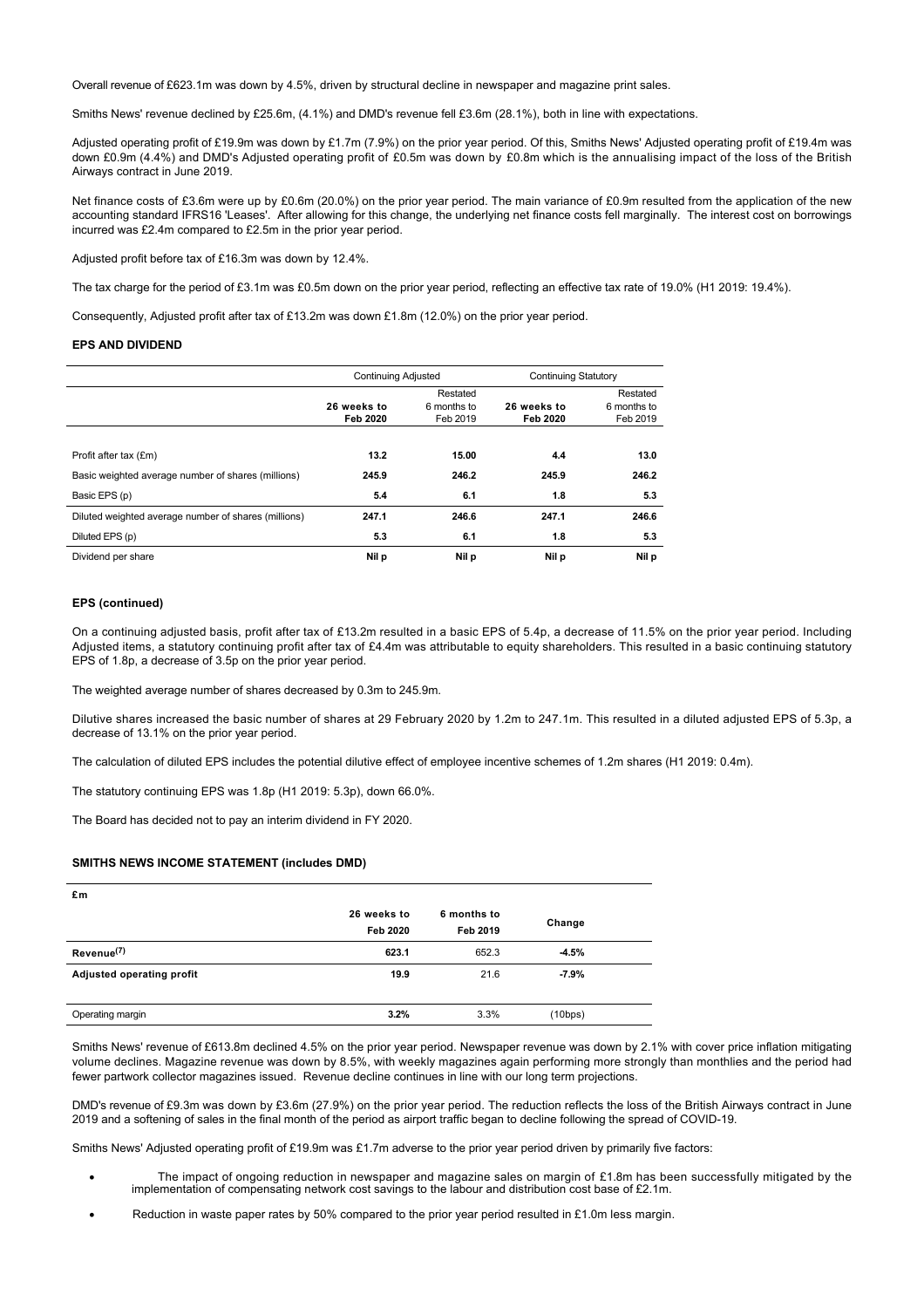Overall revenue of £623.1m was down by 4.5%, driven by structural decline in newspaper and magazine print sales.

Smiths News' revenue declined by £25.6m, (4.1%) and DMD's revenue fell £3.6m (28.1%), both in line with expectations.

Adjusted operating profit of £19.9m was down by £1.7m (7.9%) on the prior year period. Of this, Smiths News' Adjusted operating profit of £19.4m was down £0.9m (4.4%) and DMD's Adjusted operating profit of £0.5m was down by £0.8m which is the annualising impact of the loss of the British Airways contract in June 2019.

Net finance costs of £3.6m were up by £0.6m (20.0%) on the prior year period. The main variance of £0.9m resulted from the application of the new accounting standard IFRS16 'Leases'. After allowing for this change, the underlying net finance costs fell marginally. The interest cost on borrowings incurred was £2.4m compared to £2.5m in the prior year period.

Adjusted profit before tax of £16.3m was down by 12.4%.

The tax charge for the period of £3.1m was £0.5m down on the prior year period, reflecting an effective tax rate of 19.0% (H1 2019: 19.4%).

Consequently, Adjusted profit after tax of £13.2m was down £1.8m (12.0%) on the prior year period.

#### **EPS AND DIVIDEND**

|                                                      | <b>Continuing Adjusted</b> |                                     | <b>Continuing Statutory</b> |                                     |
|------------------------------------------------------|----------------------------|-------------------------------------|-----------------------------|-------------------------------------|
|                                                      | 26 weeks to<br>Feb 2020    | Restated<br>6 months to<br>Feb 2019 | 26 weeks to<br>Feb 2020     | Restated<br>6 months to<br>Feb 2019 |
| Profit after tax (£m)                                | 13.2                       | 15.00                               | 4.4                         | 13.0                                |
| Basic weighted average number of shares (millions)   | 245.9                      | 246.2                               | 245.9                       | 246.2                               |
| Basic EPS (p)                                        | 5.4                        | 6.1                                 | 1.8                         | 5.3                                 |
| Diluted weighted average number of shares (millions) | 247.1                      | 246.6                               | 247.1                       | 246.6                               |
| Diluted EPS (p)                                      | 5.3                        | 6.1                                 | 1.8                         | 5.3                                 |
| Dividend per share                                   | Nil p                      | Nil p                               | Nil p                       | Nil p                               |

### **EPS (continued)**

On a continuing adjusted basis, profit after tax of £13.2m resulted in a basic EPS of 5.4p, a decrease of 11.5% on the prior year period. Including Adjusted items, a statutory continuing profit after tax of £4.4m was attributable to equity shareholders. This resulted in a basic continuing statutory EPS of 1.8p, a decrease of 3.5p on the prior year period.

The weighted average number of shares decreased by 0.3m to 245.9m.

Dilutive shares increased the basic number of shares at 29 February 2020 by 1.2m to 247.1m. This resulted in a diluted adjusted EPS of 5.3p, a decrease of 13.1% on the prior year period.

The calculation of diluted EPS includes the potential dilutive effect of employee incentive schemes of 1.2m shares (H1 2019: 0.4m).

The statutory continuing EPS was 1.8p (H1 2019: 5.3p), down 66.0%.

The Board has decided not to pay an interim dividend in FY 2020.

## **SMITHS NEWS INCOME STATEMENT (includes DMD)**

| £m                        |                         |                         |         |  |
|---------------------------|-------------------------|-------------------------|---------|--|
|                           | 26 weeks to<br>Feb 2020 | 6 months to<br>Feb 2019 | Change  |  |
| Revenue <sup>(7)</sup>    | 623.1                   | 652.3                   | $-4.5%$ |  |
| Adjusted operating profit | 19.9                    | 21.6                    | $-7.9%$ |  |
| Operating margin          | 3.2%                    | 3.3%                    | (10bps) |  |

Smiths News' revenue of £613.8m declined 4.5% on the prior year period. Newspaper revenue was down by 2.1% with cover price inflation mitigating volume declines. Magazine revenue was down by 8.5%, with weekly magazines again performing more strongly than monthlies and the period had fewer partwork collector magazines issued. Revenue decline continues in line with our long term projections.

DMD's revenue of £9.3m was down by £3.6m (27.9%) on the prior year period. The reduction reflects the loss of the British Airways contract in June 2019 and a softening of sales in the final month of the period as airport traffic began to decline following the spread of COVID-19.

Smiths News' Adjusted operating profit of £19.9m was £1.7m adverse to the prior year period driven by primarily five factors:

- The impact of ongoing reduction in newspaper and magazine sales on margin of  $£1.8m$  has been successfully mitigated by the implementation of compensating network cost savings to the labour and distribution cost base of £2.1m.
- Reduction in waste paper rates by 50% compared to the prior year period resulted in £1.0m less margin.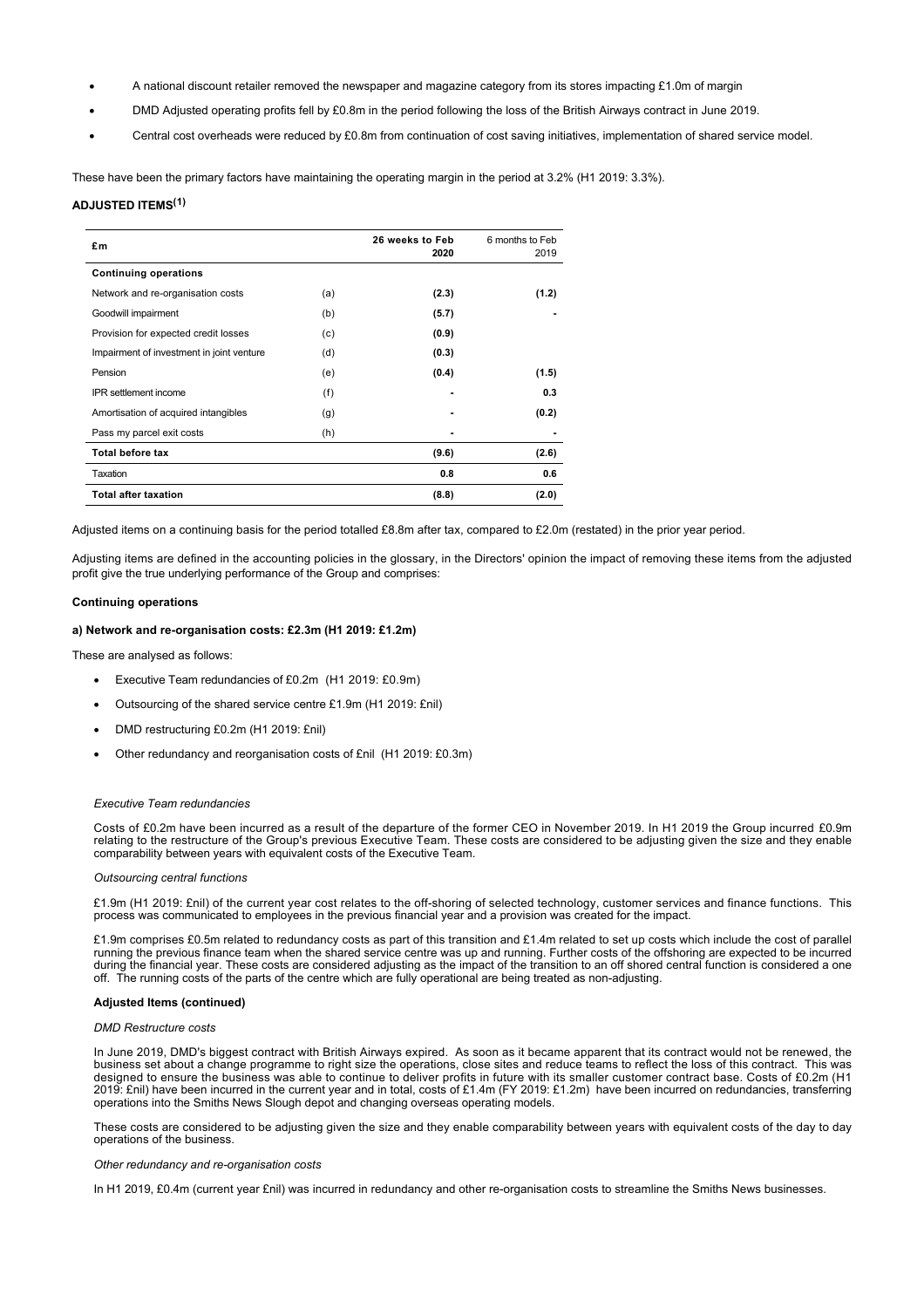- · A national discount retailer removed the newspaper and magazine category from its stores impacting £1.0m of margin
- · DMD Adjusted operating profits fell by £0.8m in the period following the loss of the British Airways contract in June 2019.
- · Central cost overheads were reduced by £0.8m from continuation of cost saving initiatives, implementation of shared service model.

These have been the primary factors have maintaining the operating margin in the period at 3.2% (H1 2019: 3.3%).

### **ADJUSTED ITEMS(1)**

| £m                                        |     | 26 weeks to Feb<br>2020 | 6 months to Feb<br>2019 |
|-------------------------------------------|-----|-------------------------|-------------------------|
| <b>Continuing operations</b>              |     |                         |                         |
| Network and re-organisation costs         | (a) | (2.3)                   | (1.2)                   |
| Goodwill impairment                       | (b) | (5.7)                   |                         |
| Provision for expected credit losses      | (c) | (0.9)                   |                         |
| Impairment of investment in joint venture | (d) | (0.3)                   |                         |
| Pension                                   | (e) | (0.4)                   | (1.5)                   |
| <b>IPR</b> settlement income              | (f) |                         | 0.3                     |
| Amortisation of acquired intangibles      | (g) |                         | (0.2)                   |
| Pass my parcel exit costs                 | (h) |                         |                         |
| <b>Total before tax</b>                   |     | (9.6)                   | (2.6)                   |
| Taxation                                  |     | 0.8                     | 0.6                     |
| <b>Total after taxation</b>               |     | (8.8)                   | (2.0)                   |

Adjusted items on a continuing basis for the period totalled £8.8m after tax, compared to £2.0m (restated) in the prior year period.

Adjusting items are defined in the accounting policies in the glossary, in the Directors' opinion the impact of removing these items from the adjusted profit give the true underlying performance of the Group and comprises:

#### **Continuing operations**

#### **a) Network and re-organisation costs: £2.3m (H1 2019: £1.2m)**

These are analysed as follows:

- Executive Team redundancies of £0.2m (H1 2019: £0.9m)
- · Outsourcing of the shared service centre £1.9m (H1 2019: £nil)
- DMD restructuring £0.2m (H1 2019: £nil)
- Other redundancy and reorganisation costs of £nil (H1 2019: £0.3m)

#### *Executive Team redundancies*

Costs of £0.2m have been incurred as a result of the departure of the former CEO in November 2019. In H1 2019 the Group incurred £0.9m relating to the restructure of the Group's previous Executive Team. These costs are considered to be adjusting given the size and they enable comparability between years with equivalent costs of the Executive Team.

### *Outsourcing central functions*

£1.9m (H1 2019: £nil) of the current year cost relates to the off-shoring of selected technology, customer services and finance functions. This process was communicated to employees in the previous financial year and a provision was created for the impact.

£1.9m comprises £0.5m related to redundancy costs as part of this transition and £1.4m related to set up costs which include the cost of parallel running the previous finance team when the shared service centre was up and running. Further costs of the offshoring are expected to be incurred during the financial year. These costs are considered adjusting as the impact of the transition to an off shored central function is considered a one off. The running costs of the parts of the centre which are fully operational are being treated as non-adjusting.

#### **Adjusted Items (continued)**

#### *DMD Restructure costs*

In June 2019, DMD's biggest contract with British Airways expired. As soon as it became apparent that its contract would not be renewed, the business set about a change programme to right size the operations, close sites and reduce teams to reflect the loss of this contract. This was designed to ensure the business was able to continue to deliver profits in future with its smaller customer contract base. Costs of £0.2m (H1 2019: £nil) have been incurred in the current year and in total, costs of £1.4m (FY 2019: £1.2m) have been incurred on redundancies, transferring operations into the Smiths News Slough depot and changing overseas operating models.

These costs are considered to be adjusting given the size and they enable comparability between years with equivalent costs of the day to day operations of the business.

#### *Other redundancy and re-organisation costs*

In H1 2019, £0.4m (current year £nil) was incurred in redundancy and other re-organisation costs to streamline the Smiths News businesses.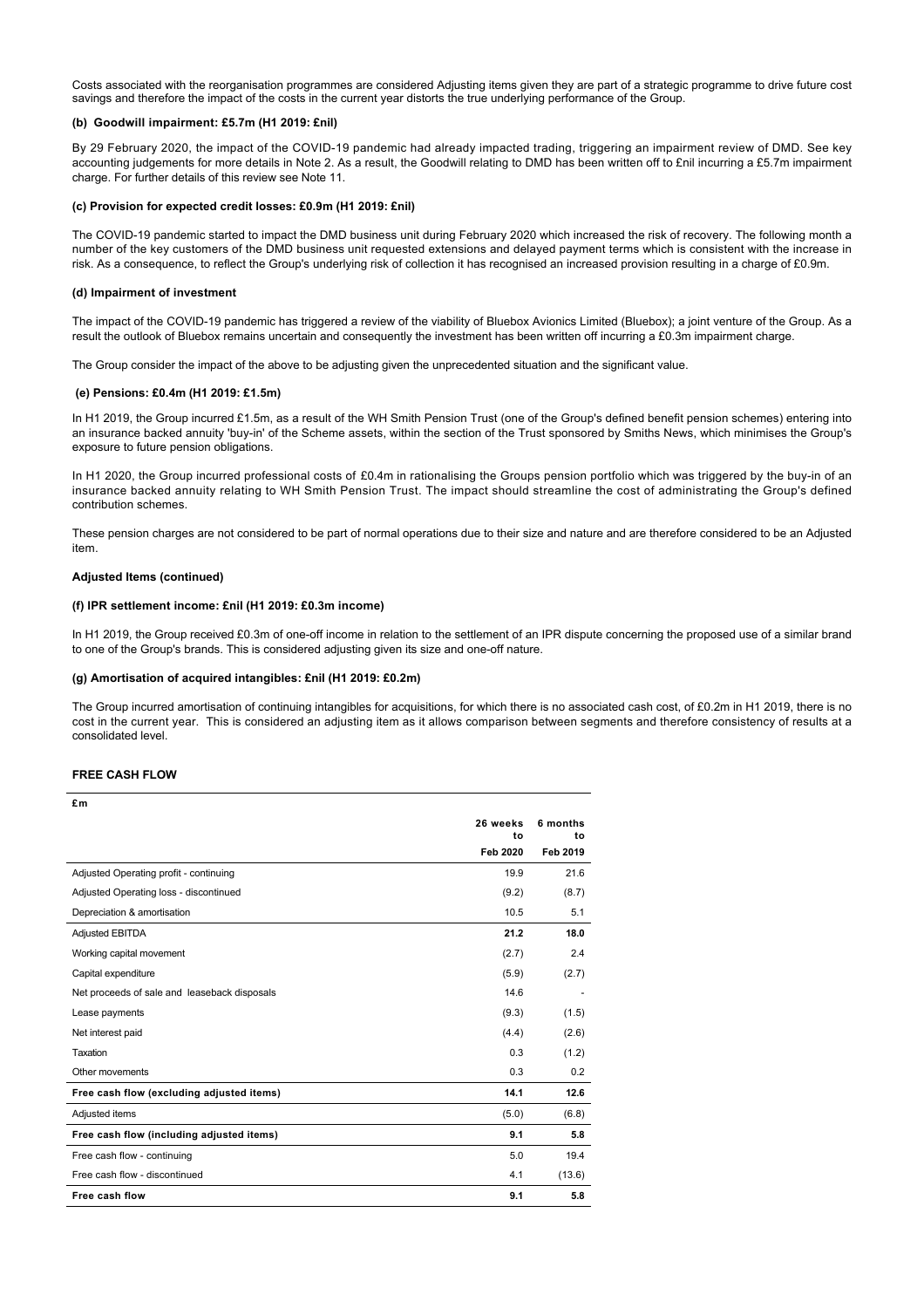Costs associated with the reorganisation programmes are considered Adjusting items given they are part of a strategic programme to drive future cost savings and therefore the impact of the costs in the current year distorts the true underlying performance of the Group.

## **(b) Goodwill impairment: £5.7m (H1 2019: £nil)**

By 29 February 2020, the impact of the COVID-19 pandemic had already impacted trading, triggering an impairment review of DMD. See key accounting judgements for more details in Note 2. As a result, the Goodwill relating to DMD has been written off to £nil incurring a £5.7m impairment charge. For further details of this review see Note 11.

#### **(c) Provision for expected credit losses: £0.9m (H1 2019: £nil)**

The COVID-19 pandemic started to impact the DMD business unit during February 2020 which increased the risk of recovery. The following month a number of the key customers of the DMD business unit requested extensions and delayed payment terms which is consistent with the increase in risk. As a consequence, to reflect the Group's underlying risk of collection it has recognised an increased provision resulting in a charge of £0.9m.

#### **(d) Impairment of investment**

The impact of the COVID-19 pandemic has triggered a review of the viability of Bluebox Avionics Limited (Bluebox); a joint venture of the Group. As a result the outlook of Bluebox remains uncertain and consequently the investment has been written off incurring a £0.3m impairment charge.

The Group consider the impact of the above to be adjusting given the unprecedented situation and the significant value.

#### **(e) Pensions: £0.4m (H1 2019: £1.5m)**

In H1 2019, the Group incurred £1.5m, as a result of the WH Smith Pension Trust (one of the Group's defined benefit pension schemes) entering into an insurance backed annuity 'buy-in' of the Scheme assets, within the section of the Trust sponsored by Smiths News, which minimises the Group's exposure to future pension obligations.

In H1 2020, the Group incurred professional costs of £0.4m in rationalising the Groups pension portfolio which was triggered by the buy-in of an insurance backed annuity relating to WH Smith Pension Trust. The impact should streamline the cost of administrating the Group's defined contribution schemes.

These pension charges are not considered to be part of normal operations due to their size and nature and are therefore considered to be an Adjusted item.

#### **Adjusted Items (continued)**

## **(f) IPR settlement income: £nil (H1 2019: £0.3m income)**

In H1 2019, the Group received £0.3m of one-off income in relation to the settlement of an IPR dispute concerning the proposed use of a similar brand to one of the Group's brands. This is considered adjusting given its size and one-off nature.

#### **(g) Amortisation of acquired intangibles: £nil (H1 2019: £0.2m)**

The Group incurred amortisation of continuing intangibles for acquisitions, for which there is no associated cash cost, of £0.2m in H1 2019, there is no cost in the current year. This is considered an adjusting item as it allows comparison between segments and therefore consistency of results at a consolidated level.

#### **FREE CASH FLOW**

| £m                                           |                |                |
|----------------------------------------------|----------------|----------------|
|                                              | 26 weeks<br>to | 6 months<br>to |
|                                              | Feb 2020       | Feb 2019       |
| Adjusted Operating profit - continuing       | 19.9           | 21.6           |
| Adjusted Operating loss - discontinued       | (9.2)          | (8.7)          |
| Depreciation & amortisation                  | 10.5           | 5.1            |
| <b>Adjusted EBITDA</b>                       | 21.2           | 18.0           |
| Working capital movement                     | (2.7)          | 2.4            |
| Capital expenditure                          | (5.9)          | (2.7)          |
| Net proceeds of sale and leaseback disposals | 14.6           |                |
| Lease payments                               | (9.3)          | (1.5)          |
| Net interest paid                            | (4.4)          | (2.6)          |
| Taxation                                     | 0.3            | (1.2)          |
| Other movements                              | 0.3            | 0.2            |
| Free cash flow (excluding adjusted items)    | 14.1           | 12.6           |
| Adjusted items                               | (5.0)          | (6.8)          |
| Free cash flow (including adjusted items)    | 9.1            | 5.8            |
| Free cash flow - continuing                  | 5.0            | 19.4           |
| Free cash flow - discontinued                | 4.1            | (13.6)         |
| Free cash flow                               | 9.1            | 5.8            |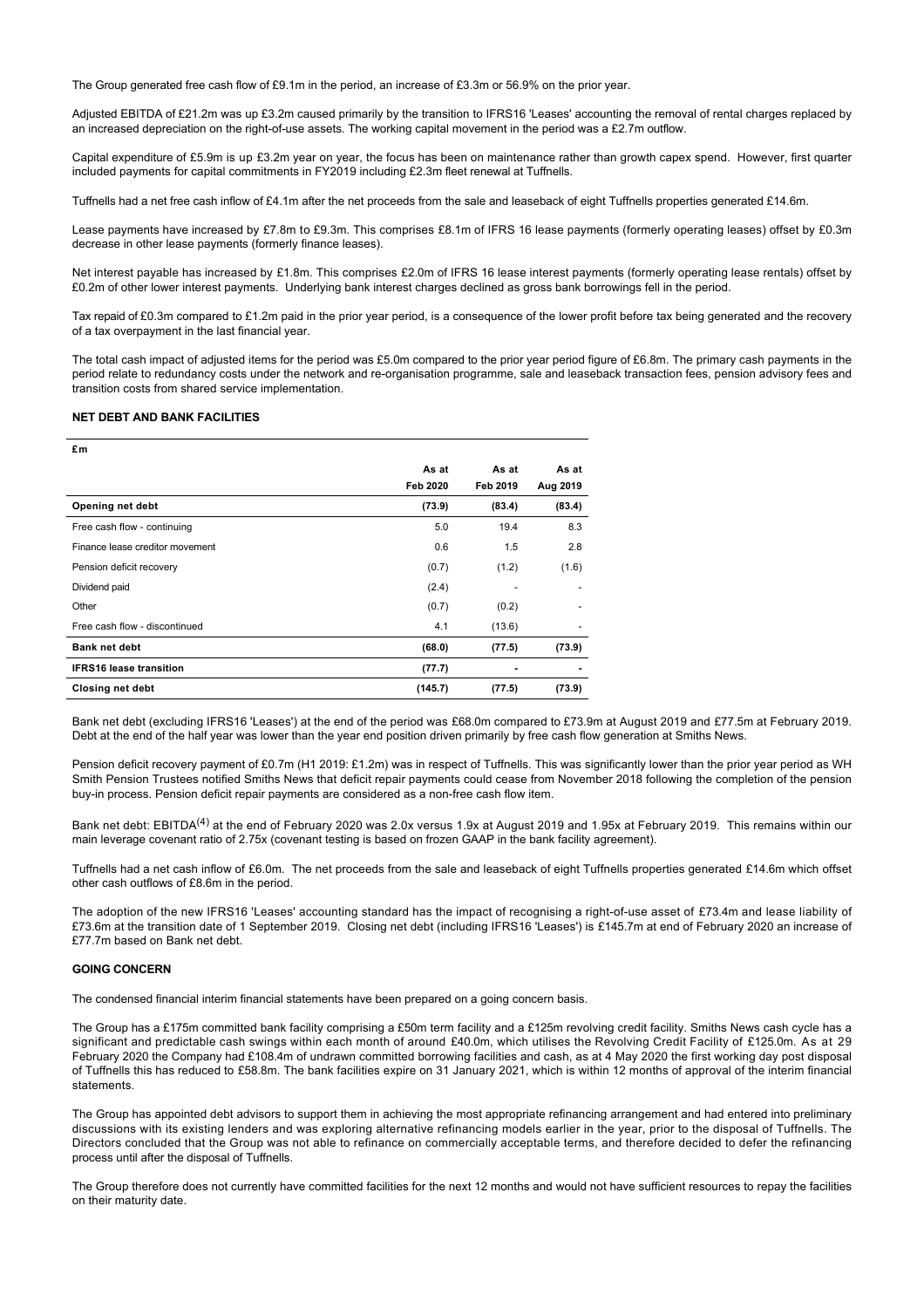The Group generated free cash flow of £9.1m in the period, an increase of £3.3m or 56.9% on the prior year.

Adjusted EBITDA of £21.2m was up £3.2m caused primarily by the transition to IFRS16 'Leases' accounting the removal of rental charges replaced by an increased depreciation on the right-of-use assets. The working capital movement in the period was a £2.7m outflow.

Capital expenditure of £5.9m is up £3.2m year on year, the focus has been on maintenance rather than growth capex spend. However, first quarter included payments for capital commitments in FY2019 including £2.3m fleet renewal at Tuffnells.

Tuffnells had a net free cash inflow of £4.1m after the net proceeds from the sale and leaseback of eight Tuffnells properties generated £14.6m.

Lease payments have increased by £7.8m to £9.3m. This comprises £8.1m of IFRS 16 lease payments (formerly operating leases) offset by £0.3m decrease in other lease payments (formerly finance leases).

Net interest payable has increased by £1.8m. This comprises £2.0m of IFRS 16 lease interest payments (formerly operating lease rentals) offset by £0.2m of other lower interest payments. Underlying bank interest charges declined as gross bank borrowings fell in the period.

Tax repaid of £0.3m compared to £1.2m paid in the prior year period, is a consequence of the lower profit before tax being generated and the recovery of a tax overpayment in the last financial year.

The total cash impact of adjusted items for the period was £5.0m compared to the prior year period figure of £6.8m. The primary cash payments in the period relate to redundancy costs under the network and re-organisation programme, sale and leaseback transaction fees, pension advisory fees and transition costs from shared service implementation.

## **NET DEBT AND BANK FACILITIES**

| £m                              |          |                          |          |
|---------------------------------|----------|--------------------------|----------|
|                                 | As at    | As at                    | As at    |
|                                 | Feb 2020 | Feb 2019                 | Aug 2019 |
| Opening net debt                | (73.9)   | (83.4)                   | (83.4)   |
| Free cash flow - continuing     | 5.0      | 19.4                     | 8.3      |
| Finance lease creditor movement | 0.6      | 1.5                      | 2.8      |
| Pension deficit recovery        | (0.7)    | (1.2)                    | (1.6)    |
| Dividend paid                   | (2.4)    | $\overline{\phantom{a}}$ |          |
| Other                           | (0.7)    | (0.2)                    |          |
| Free cash flow - discontinued   | 4.1      | (13.6)                   |          |
| <b>Bank net debt</b>            | (68.0)   | (77.5)                   | (73.9)   |
| <b>IFRS16 lease transition</b>  | (77.7)   |                          |          |
| <b>Closing net debt</b>         | (145.7)  | (77.5)                   | (73.9)   |

Bank net debt (excluding IFRS16 'Leases') at the end of the period was £68.0m compared to £73.9m at August 2019 and £77.5m at February 2019. Debt at the end of the half year was lower than the year end position driven primarily by free cash flow generation at Smiths News.

Pension deficit recovery payment of £0.7m (H1 2019: £1.2m) was in respect of Tuffnells. This was significantly lower than the prior year period as WH Smith Pension Trustees notified Smiths News that deficit repair payments could cease from November 2018 following the completion of the pension buy-in process. Pension deficit repair payments are considered as a non-free cash flow item.

Bank net debt: EBITDA<sup>(4)</sup> at the end of February 2020 was 2.0x versus 1.9x at August 2019 and 1.95x at February 2019. This remains within our main leverage covenant ratio of 2.75x (covenant testing is based on frozen GAAP in the bank facility agreement).

Tuffnells had a net cash inflow of £6.0m. The net proceeds from the sale and leaseback of eight Tuffnells properties generated £14.6m which offset other cash outflows of £8.6m in the period.

The adoption of the new IFRS16 'Leases' accounting standard has the impact of recognising a right-of-use asset of £73.4m and lease liability of £73.6m at the transition date of 1 September 2019. Closing net debt (including IFRS16 'Leases') is £145.7m at end of February 2020 an increase of £77.7m based on Bank net debt.

## **GOING CONCERN**

The condensed financial interim financial statements have been prepared on a going concern basis.

The Group has a £175m committed bank facility comprising a £50m term facility and a £125m revolving credit facility. Smiths News cash cycle has a significant and predictable cash swings within each month of around £40.0m, which utilises the Revolving Credit Facility of £125.0m. As at 29 February 2020 the Company had £108.4m of undrawn committed borrowing facilities and cash, as at 4 May 2020 the first working day post disposal of Tuffnells this has reduced to £58.8m. The bank facilities expire on 31 January 2021, which is within 12 months of approval of the interim financial statements.

The Group has appointed debt advisors to support them in achieving the most appropriate refinancing arrangement and had entered into preliminary discussions with its existing lenders and was exploring alternative refinancing models earlier in the year, prior to the disposal of Tuffnells. The Directors concluded that the Group was not able to refinance on commercially acceptable terms, and therefore decided to defer the refinancing process until after the disposal of Tuffnells.

The Group therefore does not currently have committed facilities for the next 12 months and would not have sufficient resources to repay the facilities on their maturity date.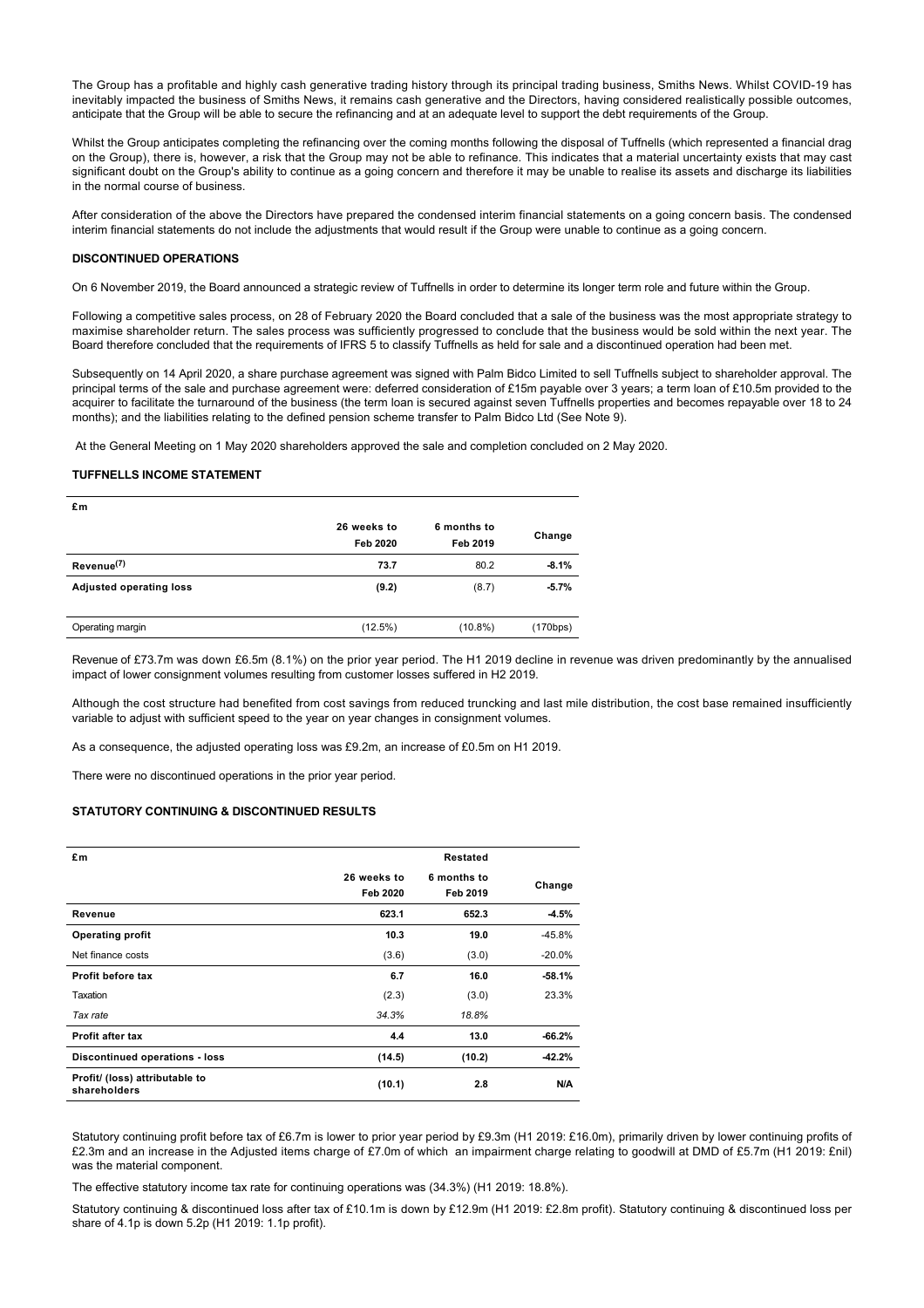The Group has a profitable and highly cash generative trading history through its principal trading business, Smiths News. Whilst COVID-19 has inevitably impacted the business of Smiths News, it remains cash generative and the Directors, having considered realistically possible outcomes, anticipate that the Group will be able to secure the refinancing and at an adequate level to support the debt requirements of the Group.

Whilst the Group anticipates completing the refinancing over the coming months following the disposal of Tuffnells (which represented a financial drag on the Group), there is, however, a risk that the Group may not be able to refinance. This indicates that a material uncertainty exists that may cast significant doubt on the Group's ability to continue as a going concern and therefore it may be unable to realise its assets and discharge its liabilities in the normal course of business.

After consideration of the above the Directors have prepared the condensed interim financial statements on a going concern basis. The condensed interim financial statements do not include the adjustments that would result if the Group were unable to continue as a going concern.

### **DISCONTINUED OPERATIONS**

On 6 November 2019, the Board announced a strategic review of Tuffnells in order to determine its longer term role and future within the Group.

Following a competitive sales process, on 28 of February 2020 the Board concluded that a sale of the business was the most appropriate strategy to maximise shareholder return. The sales process was sufficiently progressed to conclude that the business would be sold within the next year. The Board therefore concluded that the requirements of IFRS 5 to classify Tuffnells as held for sale and a discontinued operation had been met.

Subsequently on 14 April 2020, a share purchase agreement was signed with Palm Bidco Limited to sell Tuffnells subject to shareholder approval. The principal terms of the sale and purchase agreement were: deferred consideration of £15m payable over 3 years; a term loan of £10.5m provided to the acquirer to facilitate the turnaround of the business (the term loan is secured against seven Tuffnells properties and becomes repayable over 18 to 24 months); and the liabilities relating to the defined pension scheme transfer to Palm Bidco Ltd (See Note 9).

At the General Meeting on 1 May 2020 shareholders approved the sale and completion concluded on 2 May 2020.

#### **TUFFNELLS INCOME STATEMENT**

| £m                             |                         |                         |          |
|--------------------------------|-------------------------|-------------------------|----------|
|                                | 26 weeks to<br>Feb 2020 | 6 months to<br>Feb 2019 | Change   |
| Revenue <sup>(7)</sup>         | 73.7                    | 80.2                    | $-8.1%$  |
| <b>Adjusted operating loss</b> | (9.2)                   | (8.7)                   | $-5.7%$  |
|                                |                         |                         |          |
| Operating margin               | $(12.5\%)$              | $(10.8\%)$              | (170bps) |

Revenue of £73.7m was down £6.5m (8.1%) on the prior year period. The H1 2019 decline in revenue was driven predominantly by the annualised impact of lower consignment volumes resulting from customer losses suffered in H2 2019.

Although the cost structure had benefited from cost savings from reduced truncking and last mile distribution, the cost base remained insufficiently variable to adjust with sufficient speed to the year on year changes in consignment volumes.

As a consequence, the adjusted operating loss was £9.2m, an increase of £0.5m on H1 2019.

There were no discontinued operations in the prior year period.

## **STATUTORY CONTINUING & DISCONTINUED RESULTS**

| £m                                             |             | Restated    |          |
|------------------------------------------------|-------------|-------------|----------|
|                                                | 26 weeks to | 6 months to | Change   |
|                                                | Feb 2020    | Feb 2019    |          |
| Revenue                                        | 623.1       | 652.3       | $-4.5%$  |
| <b>Operating profit</b>                        | 10.3        | 19.0        | $-45.8%$ |
| Net finance costs                              | (3.6)       | (3.0)       | $-20.0%$ |
| Profit before tax                              | 6.7         | 16.0        | $-58.1%$ |
| Taxation                                       | (2.3)       | (3.0)       | 23.3%    |
| Tax rate                                       | 34.3%       | 18.8%       |          |
| Profit after tax                               | 4.4         | 13.0        | $-66.2%$ |
| <b>Discontinued operations - loss</b>          | (14.5)      | (10.2)      | $-42.2%$ |
| Profit/ (loss) attributable to<br>shareholders | (10.1)      | 2.8         | N/A      |

Statutory continuing profit before tax of £6.7m is lower to prior year period by £9.3m (H1 2019: £16.0m), primarily driven by lower continuing profits of £2.3m and an increase in the Adjusted items charge of £7.0m of which an impairment charge relating to goodwill at DMD of £5.7m (H1 2019: £nil) was the material component.

The effective statutory income tax rate for continuing operations was (34.3%) (H1 2019: 18.8%).

Statutory continuing & discontinued loss after tax of £10.1m is down by £12.9m (H1 2019: £2.8m profit). Statutory continuing & discontinued loss per share of 4.1p is down 5.2p (H1 2019: 1.1p profit).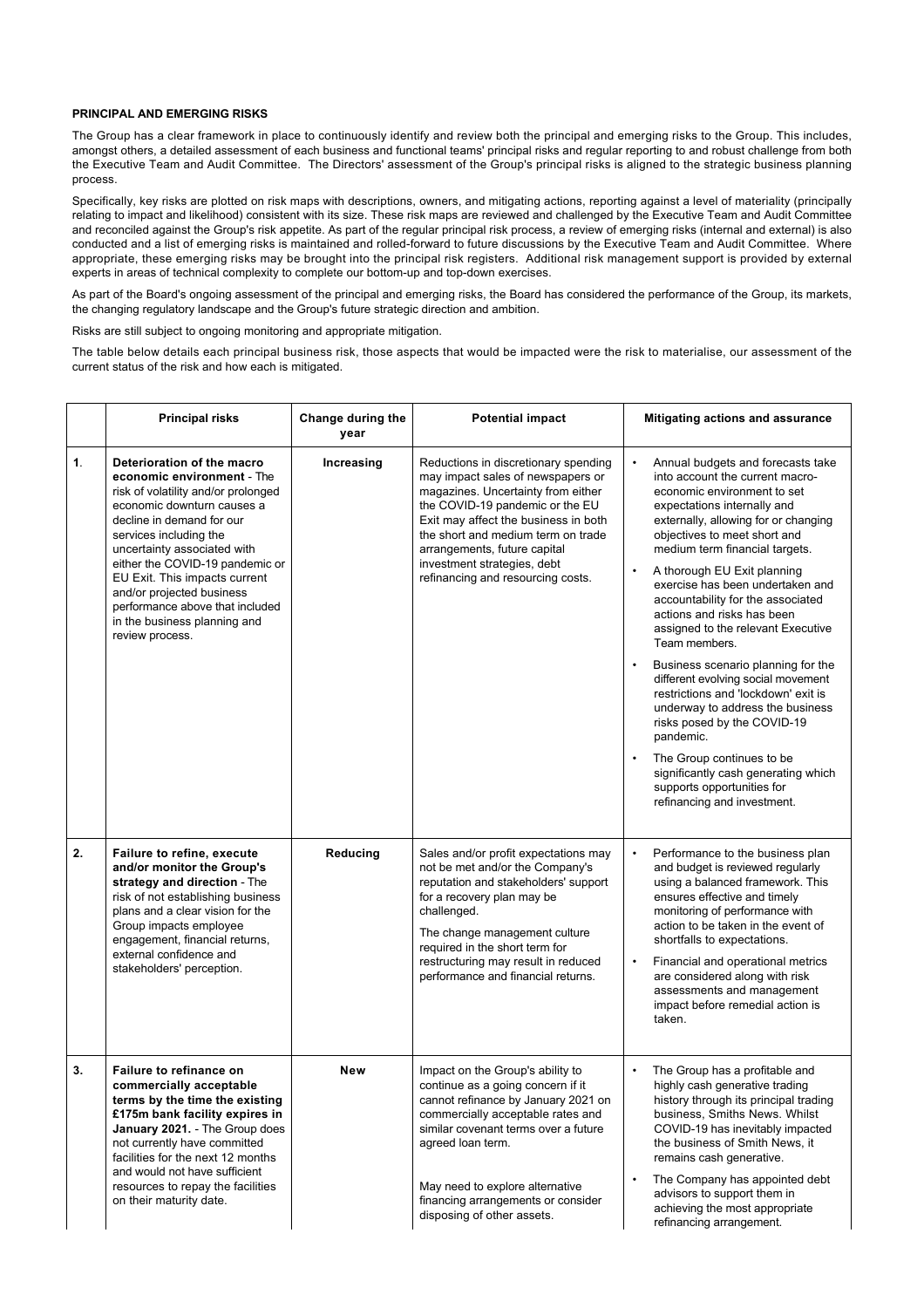## **PRINCIPAL AND EMERGING RISKS**

The Group has a clear framework in place to continuously identify and review both the principal and emerging risks to the Group. This includes, amongst others, a detailed assessment of each business and functional teams' principal risks and regular reporting to and robust challenge from both the Executive Team and Audit Committee. The Directors' assessment of the Group's principal risks is aligned to the strategic business planning process.

Specifically, key risks are plotted on risk maps with descriptions, owners, and mitigating actions, reporting against a level of materiality (principally relating to impact and likelihood) consistent with its size. These risk maps are reviewed and challenged by the Executive Team and Audit Committee and reconciled against the Group's risk appetite. As part of the regular principal risk process, a review of emerging risks (internal and external) is also conducted and a list of emerging risks is maintained and rolled-forward to future discussions by the Executive Team and Audit Committee. Where appropriate, these emerging risks may be brought into the principal risk registers. Additional risk management support is provided by external experts in areas of technical complexity to complete our bottom-up and top-down exercises.

As part of the Board's ongoing assessment of the principal and emerging risks, the Board has considered the performance of the Group, its markets, the changing regulatory landscape and the Group's future strategic direction and ambition.

Risks are still subject to ongoing monitoring and appropriate mitigation.

The table below details each principal business risk, those aspects that would be impacted were the risk to materialise, our assessment of the current status of the risk and how each is mitigated.

|    | <b>Principal risks</b>                                                                                                                                                                                                                                                                                                                                                                                     | Change during the<br>year | <b>Potential impact</b>                                                                                                                                                                                                                                                                                                              | <b>Mitigating actions and assurance</b>                                                                                                                                                                                                                                                                                                                                                                                                                                                                                                                                                                                                                                                                                                                                                    |
|----|------------------------------------------------------------------------------------------------------------------------------------------------------------------------------------------------------------------------------------------------------------------------------------------------------------------------------------------------------------------------------------------------------------|---------------------------|--------------------------------------------------------------------------------------------------------------------------------------------------------------------------------------------------------------------------------------------------------------------------------------------------------------------------------------|--------------------------------------------------------------------------------------------------------------------------------------------------------------------------------------------------------------------------------------------------------------------------------------------------------------------------------------------------------------------------------------------------------------------------------------------------------------------------------------------------------------------------------------------------------------------------------------------------------------------------------------------------------------------------------------------------------------------------------------------------------------------------------------------|
| 1. | Deterioration of the macro<br>economic environment - The<br>risk of volatility and/or prolonged<br>economic downturn causes a<br>decline in demand for our<br>services including the<br>uncertainty associated with<br>either the COVID-19 pandemic or<br>EU Exit. This impacts current<br>and/or projected business<br>performance above that included<br>in the business planning and<br>review process. | Increasing                | Reductions in discretionary spending<br>may impact sales of newspapers or<br>magazines. Uncertainty from either<br>the COVID-19 pandemic or the EU<br>Exit may affect the business in both<br>the short and medium term on trade<br>arrangements, future capital<br>investment strategies, debt<br>refinancing and resourcing costs. | Annual budgets and forecasts take<br>into account the current macro-<br>economic environment to set<br>expectations internally and<br>externally, allowing for or changing<br>objectives to meet short and<br>medium term financial targets.<br>A thorough EU Exit planning<br>$\bullet$<br>exercise has been undertaken and<br>accountability for the associated<br>actions and risks has been<br>assigned to the relevant Executive<br>Team members.<br>Business scenario planning for the<br>different evolving social movement<br>restrictions and 'lockdown' exit is<br>underway to address the business<br>risks posed by the COVID-19<br>pandemic.<br>The Group continues to be<br>significantly cash generating which<br>supports opportunities for<br>refinancing and investment. |
| 2. | <b>Failure to refine, execute</b><br>and/or monitor the Group's<br>strategy and direction - The<br>risk of not establishing business<br>plans and a clear vision for the<br>Group impacts employee<br>engagement, financial returns,<br>external confidence and<br>stakeholders' perception.                                                                                                               | Reducing                  | Sales and/or profit expectations may<br>not be met and/or the Company's<br>reputation and stakeholders' support<br>for a recovery plan may be<br>challenged.<br>The change management culture<br>required in the short term for<br>restructuring may result in reduced<br>performance and financial returns.                         | Performance to the business plan<br>and budget is reviewed regularly<br>using a balanced framework. This<br>ensures effective and timely<br>monitoring of performance with<br>action to be taken in the event of<br>shortfalls to expectations.<br>Financial and operational metrics<br>$\bullet$<br>are considered along with risk<br>assessments and management<br>impact before remedial action is<br>taken.                                                                                                                                                                                                                                                                                                                                                                            |
| 3. | Failure to refinance on<br>commercially acceptable<br>terms by the time the existing<br>£175m bank facility expires in<br>January 2021. - The Group does<br>not currently have committed<br>facilities for the next 12 months<br>and would not have sufficient<br>resources to repay the facilities<br>on their maturity date.                                                                             | New                       | Impact on the Group's ability to<br>continue as a going concern if it<br>cannot refinance by January 2021 on<br>commercially acceptable rates and<br>similar covenant terms over a future<br>agreed loan term.<br>May need to explore alternative<br>financing arrangements or consider<br>disposing of other assets.                | The Group has a profitable and<br>$\bullet$<br>highly cash generative trading<br>history through its principal trading<br>business, Smiths News. Whilst<br>COVID-19 has inevitably impacted<br>the business of Smith News, it<br>remains cash generative.<br>The Company has appointed debt<br>advisors to support them in<br>achieving the most appropriate<br>refinancing arrangement.                                                                                                                                                                                                                                                                                                                                                                                                   |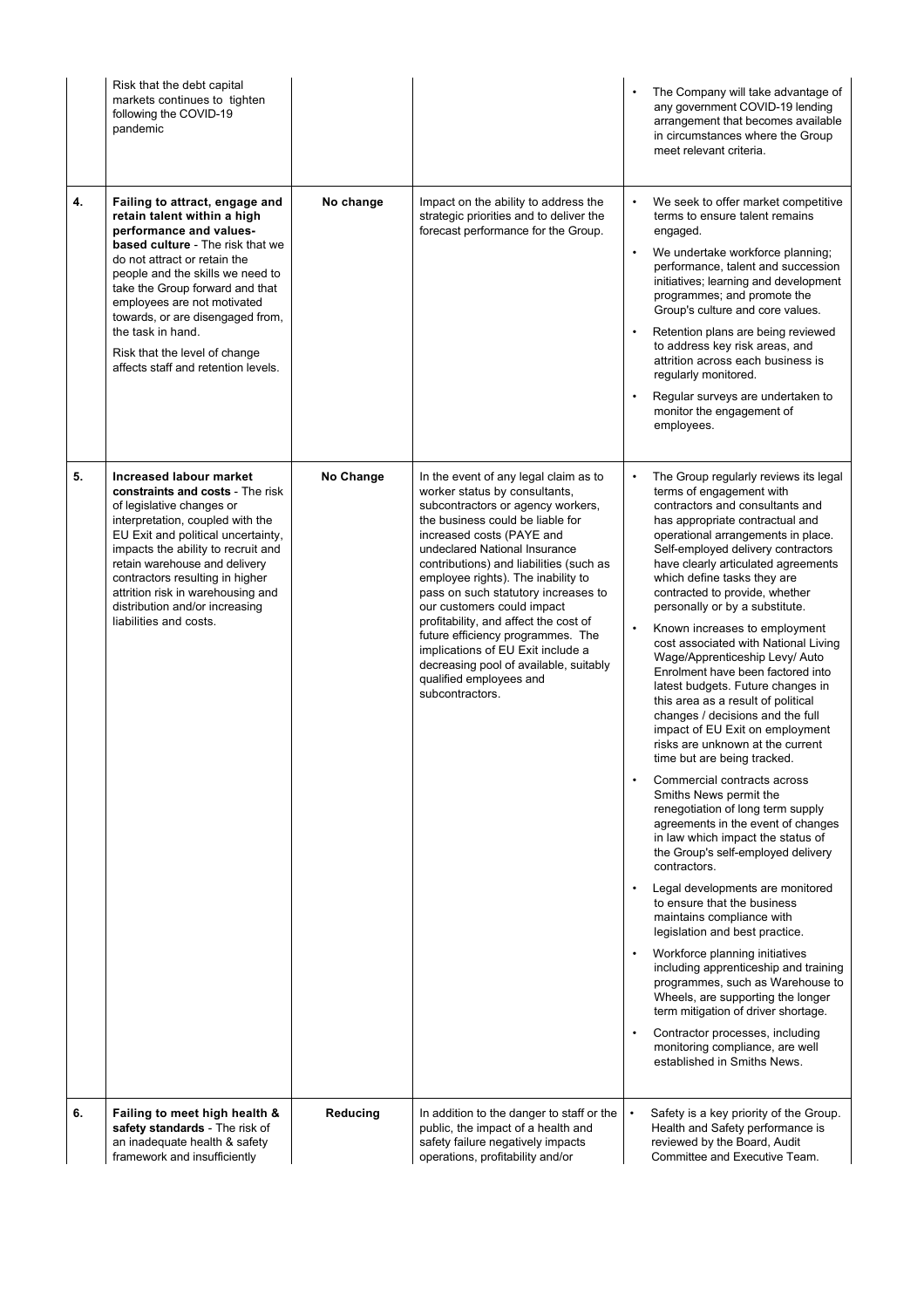|    | Risk that the debt capital<br>markets continues to tighten<br>following the COVID-19<br>pandemic                                                                                                                                                                                                                                                                                                    |           |                                                                                                                                                                                                                                                                                                                                                                                                                                                                                                                                                                                | The Company will take advantage of<br>$\bullet$<br>any government COVID-19 lending<br>arrangement that becomes available<br>in circumstances where the Group<br>meet relevant criteria.                                                                                                                                                                                                                                                                                                                                                                                                                                                                                                                                                                                                                                                                                                                                                                                                                                                                                                                                                                                                                                                                                                                                                                                                                                                                 |
|----|-----------------------------------------------------------------------------------------------------------------------------------------------------------------------------------------------------------------------------------------------------------------------------------------------------------------------------------------------------------------------------------------------------|-----------|--------------------------------------------------------------------------------------------------------------------------------------------------------------------------------------------------------------------------------------------------------------------------------------------------------------------------------------------------------------------------------------------------------------------------------------------------------------------------------------------------------------------------------------------------------------------------------|---------------------------------------------------------------------------------------------------------------------------------------------------------------------------------------------------------------------------------------------------------------------------------------------------------------------------------------------------------------------------------------------------------------------------------------------------------------------------------------------------------------------------------------------------------------------------------------------------------------------------------------------------------------------------------------------------------------------------------------------------------------------------------------------------------------------------------------------------------------------------------------------------------------------------------------------------------------------------------------------------------------------------------------------------------------------------------------------------------------------------------------------------------------------------------------------------------------------------------------------------------------------------------------------------------------------------------------------------------------------------------------------------------------------------------------------------------|
| 4. | Failing to attract, engage and<br>retain talent within a high<br>performance and values-<br>based culture - The risk that we<br>do not attract or retain the<br>people and the skills we need to<br>take the Group forward and that<br>employees are not motivated<br>towards, or are disengaged from,<br>the task in hand.<br>Risk that the level of change<br>affects staff and retention levels. | No change | Impact on the ability to address the<br>strategic priorities and to deliver the<br>forecast performance for the Group.                                                                                                                                                                                                                                                                                                                                                                                                                                                         | We seek to offer market competitive<br>$\bullet$<br>terms to ensure talent remains<br>engaged.<br>We undertake workforce planning;<br>$\bullet$<br>performance, talent and succession<br>initiatives; learning and development<br>programmes; and promote the<br>Group's culture and core values.<br>Retention plans are being reviewed<br>$\bullet$<br>to address key risk areas, and<br>attrition across each business is<br>regularly monitored.<br>Regular surveys are undertaken to<br>$\bullet$<br>monitor the engagement of<br>employees.                                                                                                                                                                                                                                                                                                                                                                                                                                                                                                                                                                                                                                                                                                                                                                                                                                                                                                        |
| 5. | Increased labour market<br>constraints and costs - The risk<br>of legislative changes or<br>interpretation, coupled with the<br>EU Exit and political uncertainty,<br>impacts the ability to recruit and<br>retain warehouse and delivery<br>contractors resulting in higher<br>attrition risk in warehousing and<br>distribution and/or increasing<br>liabilities and costs.                       | No Change | In the event of any legal claim as to<br>worker status by consultants,<br>subcontractors or agency workers,<br>the business could be liable for<br>increased costs (PAYE and<br>undeclared National Insurance<br>contributions) and liabilities (such as<br>employee rights). The inability to<br>pass on such statutory increases to<br>our customers could impact<br>profitability, and affect the cost of<br>future efficiency programmes. The<br>implications of EU Exit include a<br>decreasing pool of available, suitably<br>qualified employees and<br>subcontractors. | The Group regularly reviews its legal<br>$\bullet$<br>terms of engagement with<br>contractors and consultants and<br>has appropriate contractual and<br>operational arrangements in place.<br>Self-employed delivery contractors<br>have clearly articulated agreements<br>which define tasks they are<br>contracted to provide, whether<br>personally or by a substitute.<br>Known increases to employment<br>$\bullet$<br>cost associated with National Living<br>Wage/Apprenticeship Levy/ Auto<br>Enrolment have been factored into<br>latest budgets. Future changes in<br>this area as a result of political<br>changes / decisions and the full<br>impact of EU Exit on employment<br>risks are unknown at the current<br>time but are being tracked.<br>Commercial contracts across<br>$\bullet$<br>Smiths News permit the<br>renegotiation of long term supply<br>agreements in the event of changes<br>in law which impact the status of<br>the Group's self-employed delivery<br>contractors.<br>Legal developments are monitored<br>to ensure that the business<br>maintains compliance with<br>legislation and best practice.<br>Workforce planning initiatives<br>including apprenticeship and training<br>programmes, such as Warehouse to<br>Wheels, are supporting the longer<br>term mitigation of driver shortage.<br>Contractor processes, including<br>$\bullet$<br>monitoring compliance, are well<br>established in Smiths News. |
| 6. | Failing to meet high health &<br>safety standards - The risk of<br>an inadequate health & safety<br>framework and insufficiently                                                                                                                                                                                                                                                                    | Reducing  | In addition to the danger to staff or the<br>public, the impact of a health and<br>safety failure negatively impacts<br>operations, profitability and/or                                                                                                                                                                                                                                                                                                                                                                                                                       | Safety is a key priority of the Group.<br>Health and Safety performance is<br>reviewed by the Board, Audit<br>Committee and Executive Team.                                                                                                                                                                                                                                                                                                                                                                                                                                                                                                                                                                                                                                                                                                                                                                                                                                                                                                                                                                                                                                                                                                                                                                                                                                                                                                             |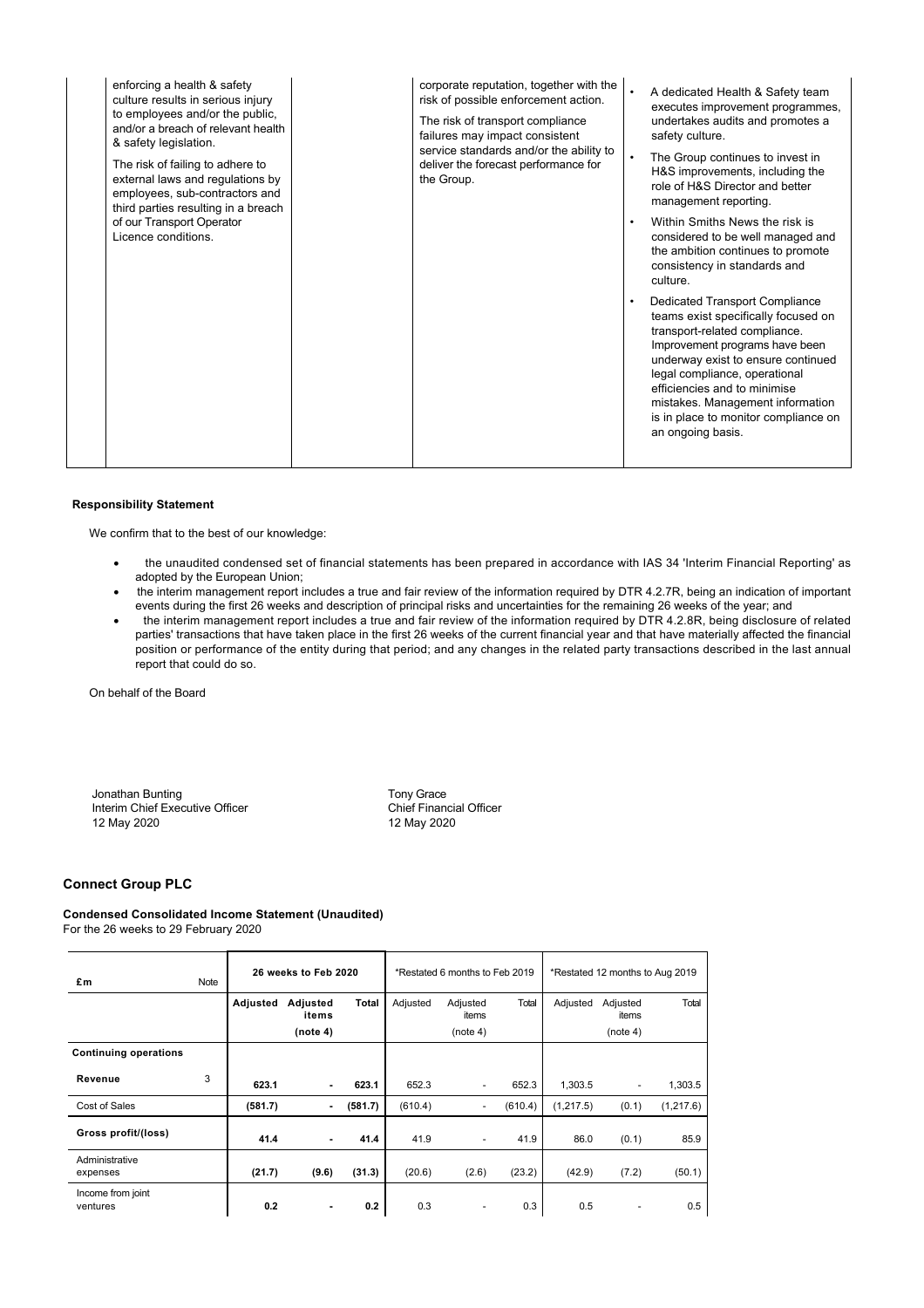| enforcing a health & safety<br>culture results in serious injury<br>to employees and/or the public,<br>and/or a breach of relevant health<br>& safety legislation.<br>The risk of failing to adhere to<br>external laws and regulations by<br>employees, sub-contractors and<br>third parties resulting in a breach | corporate reputation, together with the<br>A dedicated Health & Safety team<br>risk of possible enforcement action.<br>executes improvement programmes,<br>undertakes audits and promotes a<br>The risk of transport compliance<br>failures may impact consistent<br>safety culture.<br>service standards and/or the ability to<br>The Group continues to invest in<br>deliver the forecast performance for<br>H&S improvements, including the<br>the Group.<br>role of H&S Director and better<br>management reporting. |
|---------------------------------------------------------------------------------------------------------------------------------------------------------------------------------------------------------------------------------------------------------------------------------------------------------------------|--------------------------------------------------------------------------------------------------------------------------------------------------------------------------------------------------------------------------------------------------------------------------------------------------------------------------------------------------------------------------------------------------------------------------------------------------------------------------------------------------------------------------|
| of our Transport Operator<br>Licence conditions.                                                                                                                                                                                                                                                                    | Within Smiths News the risk is<br>$\bullet$<br>considered to be well managed and<br>the ambition continues to promote<br>consistency in standards and<br>culture.                                                                                                                                                                                                                                                                                                                                                        |
|                                                                                                                                                                                                                                                                                                                     | <b>Dedicated Transport Compliance</b><br>$\bullet$<br>teams exist specifically focused on<br>transport-related compliance.<br>Improvement programs have been<br>underway exist to ensure continued<br>legal compliance, operational<br>efficiencies and to minimise<br>mistakes. Management information<br>is in place to monitor compliance on<br>an ongoing basis.                                                                                                                                                     |

## **Responsibility Statement**

We confirm that to the best of our knowledge:

- · the unaudited condensed set of financial statements has been prepared in accordance with IAS 34 'Interim Financial Reporting' as adopted by the European Union;
- · the interim management report includes a true and fair review of the information required by DTR 4.2.7R, being an indication of important events during the first 26 weeks and description of principal risks and uncertainties for the remaining 26 weeks of the year; and
- · the interim management report includes a true and fair review of the information required by DTR 4.2.8R, being disclosure of related parties' transactions that have taken place in the first 26 weeks of the current financial year and that have materially affected the financial position or performance of the entity during that period; and any changes in the related party transactions described in the last annual report that could do so.

On behalf of the Board

Jonathan Bunting<br>
Interim Chief Executive Officer<br>
The Tomas Chief Financial Officer Interim Chief Executive Officer 12 May 2020 12 May 2020

## **Connect Group PLC**

## **Condensed Consolidated Income Statement (Unaudited)** For the 26 weeks to 29 February 2020

| £m                            | Note | 26 weeks to Feb 2020 |                               |         |          | *Restated 6 months to Feb 2019 |         | *Restated 12 months to Aug 2019 |                               |            |
|-------------------------------|------|----------------------|-------------------------------|---------|----------|--------------------------------|---------|---------------------------------|-------------------------------|------------|
|                               |      | Adjusted             | Adjusted<br>items<br>(note 4) | Total   | Adjusted | Adjusted<br>items<br>(note 4)  | Total   | Adjusted                        | Adjusted<br>items<br>(note 4) | Total      |
| <b>Continuing operations</b>  |      |                      |                               |         |          |                                |         |                                 |                               |            |
| Revenue                       | 3    | 623.1                |                               | 623.1   | 652.3    |                                | 652.3   | 1,303.5                         |                               | 1,303.5    |
| Cost of Sales                 |      | (581.7)              |                               | (581.7) | (610.4)  | $\overline{\phantom{a}}$       | (610.4) | (1,217.5)                       | (0.1)                         | (1, 217.6) |
| Gross profit/(loss)           |      | 41.4                 |                               | 41.4    | 41.9     | $\overline{\phantom{a}}$       | 41.9    | 86.0                            | (0.1)                         | 85.9       |
| Administrative<br>expenses    |      | (21.7)               | (9.6)                         | (31.3)  | (20.6)   | (2.6)                          | (23.2)  | (42.9)                          | (7.2)                         | (50.1)     |
| Income from joint<br>ventures |      | 0.2                  |                               | 0.2     | 0.3      |                                | 0.3     | 0.5                             | ٠                             | 0.5        |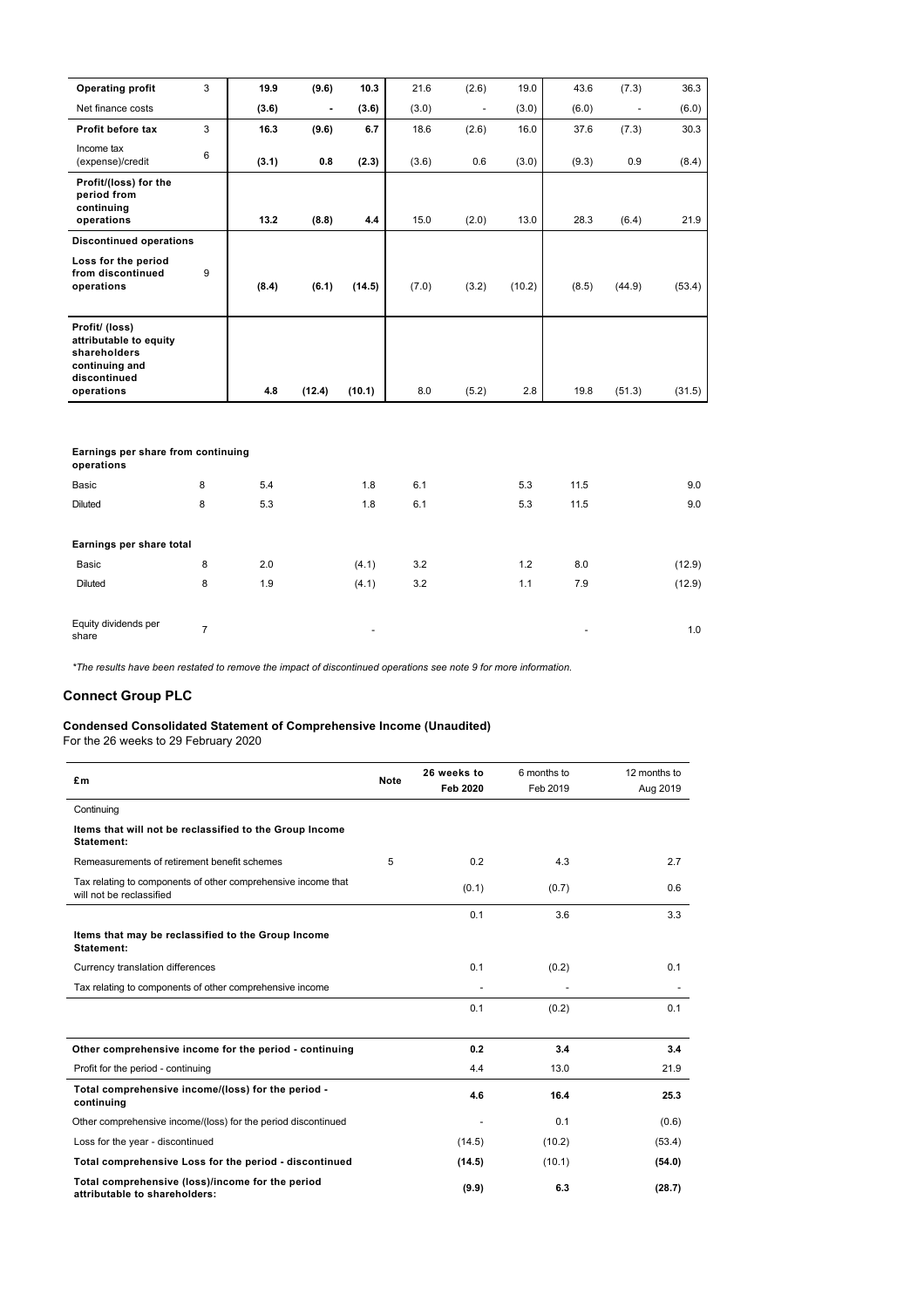| <b>Operating profit</b>                                                                                  | 3 | 19.9  | (9.6)  | 10.3   | 21.6  | (2.6)                    | 19.0   | 43.6  | (7.3)  | 36.3   |
|----------------------------------------------------------------------------------------------------------|---|-------|--------|--------|-------|--------------------------|--------|-------|--------|--------|
| Net finance costs                                                                                        |   | (3.6) |        | (3.6)  | (3.0) | $\overline{\phantom{a}}$ | (3.0)  | (6.0) | ٠      | (6.0)  |
| Profit before tax                                                                                        | 3 | 16.3  | (9.6)  | 6.7    | 18.6  | (2.6)                    | 16.0   | 37.6  | (7.3)  | 30.3   |
| Income tax<br>(expense)/credit                                                                           | 6 | (3.1) | 0.8    | (2.3)  | (3.6) | 0.6                      | (3.0)  | (9.3) | 0.9    | (8.4)  |
| Profit/(loss) for the<br>period from<br>continuing<br>operations                                         |   | 13.2  | (8.8)  | 4.4    | 15.0  | (2.0)                    | 13.0   | 28.3  | (6.4)  | 21.9   |
| <b>Discontinued operations</b>                                                                           |   |       |        |        |       |                          |        |       |        |        |
| Loss for the period<br>from discontinued<br>operations                                                   | 9 | (8.4) | (6.1)  | (14.5) | (7.0) | (3.2)                    | (10.2) | (8.5) | (44.9) | (53.4) |
| Profit/ (loss)<br>attributable to equity<br>shareholders<br>continuing and<br>discontinued<br>operations |   | 4.8   | (12.4) | (10.1) | 8.0   | (5.2)                    | 2.8    | 19.8  | (51.3) | (31.5) |
|                                                                                                          |   |       |        |        |       |                          |        |       |        |        |

## **Earnings per share from continuing**

| operations                    |   |     |                          |     |     |                          |        |
|-------------------------------|---|-----|--------------------------|-----|-----|--------------------------|--------|
| Basic                         | 8 | 5.4 | 1.8                      | 6.1 | 5.3 | 11.5                     | 9.0    |
| Diluted                       | 8 | 5.3 | 1.8                      | 6.1 | 5.3 | 11.5                     | 9.0    |
|                               |   |     |                          |     |     |                          |        |
| Earnings per share total      |   |     |                          |     |     |                          |        |
| Basic                         | 8 | 2.0 | (4.1)                    | 3.2 | 1.2 | 8.0                      | (12.9) |
| <b>Diluted</b>                | 8 | 1.9 | (4.1)                    | 3.2 | 1.1 | 7.9                      | (12.9) |
|                               |   |     |                          |     |     |                          |        |
| Equity dividends per<br>share | 7 |     | $\overline{\phantom{a}}$ |     |     | $\overline{\phantom{a}}$ | 1.0    |

*\*The results have been restated to remove the impact of discontinued operations see note 9 for more information.*

## **Connect Group PLC**

#### **Condensed Consolidated Statement of Comprehensive Income (Unaudited)**

For the 26 weeks to 29 February 2020

| £m                                                                                        | <b>Note</b> | 26 weeks to     | 6 months to | 12 months to |
|-------------------------------------------------------------------------------------------|-------------|-----------------|-------------|--------------|
|                                                                                           |             | <b>Feb 2020</b> | Feb 2019    | Aug 2019     |
| Continuing                                                                                |             |                 |             |              |
| Items that will not be reclassified to the Group Income<br>Statement:                     |             |                 |             |              |
| Remeasurements of retirement benefit schemes                                              | 5           | 0.2             | 4.3         | 2.7          |
| Tax relating to components of other comprehensive income that<br>will not be reclassified |             | (0.1)           | (0.7)       | 0.6          |
|                                                                                           |             | 0.1             | 3.6         | 3.3          |
| Items that may be reclassified to the Group Income<br>Statement:                          |             |                 |             |              |
| Currency translation differences                                                          |             | 0.1             | (0.2)       | 0.1          |
| Tax relating to components of other comprehensive income                                  |             |                 |             |              |
|                                                                                           |             | 0.1             | (0.2)       | 0.1          |
| Other comprehensive income for the period - continuing                                    |             | 0.2             | 3.4         | 3.4          |
| Profit for the period - continuing                                                        |             | 4.4             | 13.0        | 21.9         |
| Total comprehensive income/(loss) for the period -<br>continuing                          |             | 4.6             | 16.4        | 25.3         |
| Other comprehensive income/(loss) for the period discontinued                             |             |                 | 0.1         | (0.6)        |
| Loss for the year - discontinued                                                          |             | (14.5)          | (10.2)      | (53.4)       |
| Total comprehensive Loss for the period - discontinued                                    |             | (14.5)          | (10.1)      | (54.0)       |
| Total comprehensive (loss)/income for the period<br>attributable to shareholders:         |             | (9.9)           | 6.3         | (28.7)       |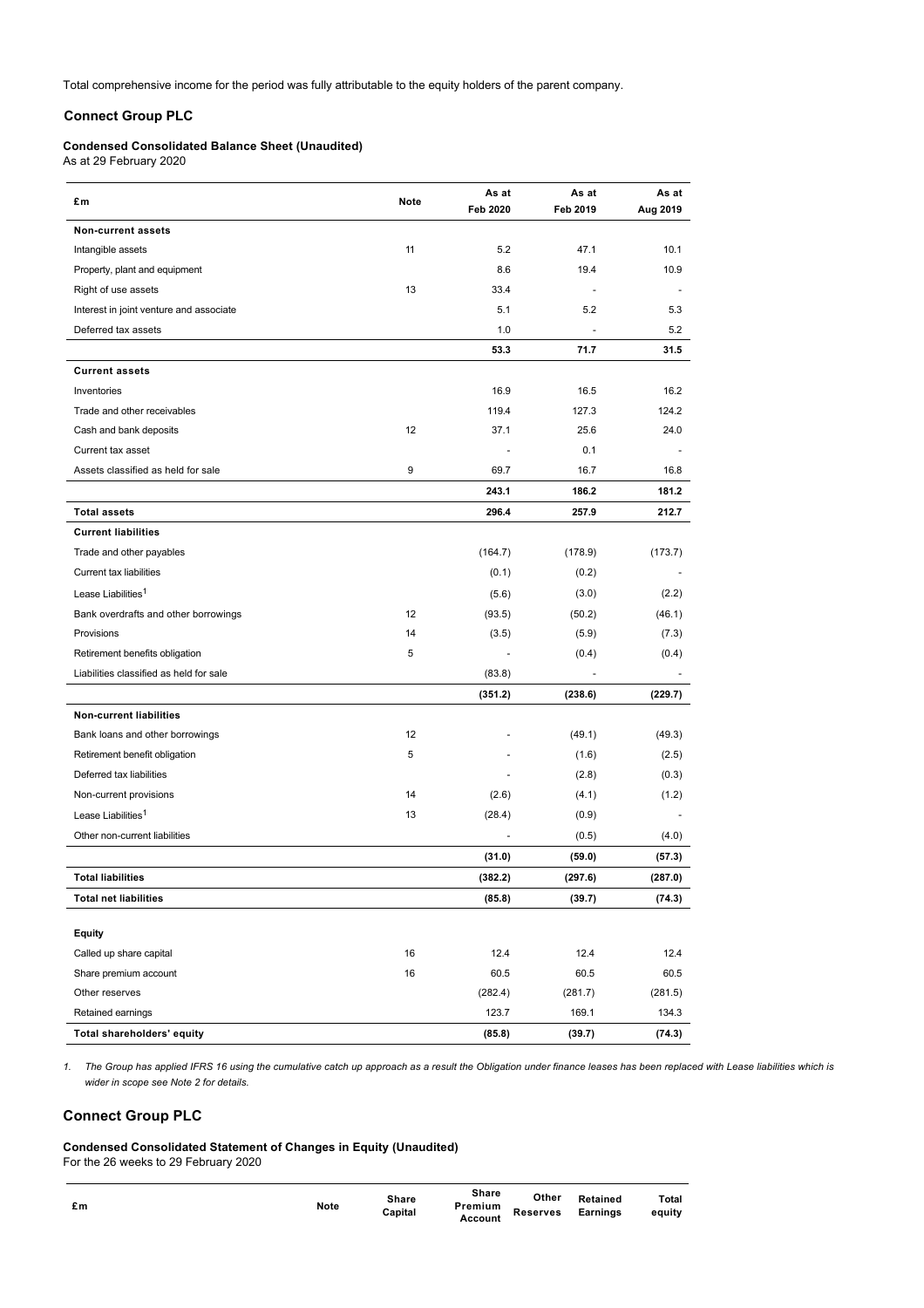Total comprehensive income for the period was fully attributable to the equity holders of the parent company.

## **Connect Group PLC**

## **Condensed Consolidated Balance Sheet (Unaudited)**

As at 29 February 2020

| £m                                      | Note | As at<br><b>Feb 2020</b> | As at<br>Feb 2019 | As at<br>Aug 2019 |
|-----------------------------------------|------|--------------------------|-------------------|-------------------|
| <b>Non-current assets</b>               |      |                          |                   |                   |
| Intangible assets                       | 11   | 5.2                      | 47.1              | 10.1              |
| Property, plant and equipment           |      | 8.6                      | 19.4              | 10.9              |
| Right of use assets                     | 13   | 33.4                     | ÷,                |                   |
| Interest in joint venture and associate |      | 5.1                      | 5.2               | 5.3               |
| Deferred tax assets                     |      | 1.0                      |                   | 5.2               |
|                                         |      | 53.3                     | 71.7              | 31.5              |
| <b>Current assets</b>                   |      |                          |                   |                   |
| Inventories                             |      | 16.9                     | 16.5              | 16.2              |
| Trade and other receivables             |      | 119.4                    | 127.3             | 124.2             |
| Cash and bank deposits                  | 12   | 37.1                     | 25.6              | 24.0              |
| Current tax asset                       |      |                          | 0.1               |                   |
| Assets classified as held for sale      | 9    | 69.7                     | 16.7              | 16.8              |
|                                         |      | 243.1                    | 186.2             | 181.2             |
| <b>Total assets</b>                     |      | 296.4                    | 257.9             | 212.7             |
| <b>Current liabilities</b>              |      |                          |                   |                   |
| Trade and other payables                |      | (164.7)                  | (178.9)           | (173.7)           |
| Current tax liabilities                 |      | (0.1)                    | (0.2)             |                   |
| Lease Liabilities <sup>1</sup>          |      | (5.6)                    | (3.0)             | (2.2)             |
| Bank overdrafts and other borrowings    | 12   | (93.5)                   | (50.2)            | (46.1)            |
| Provisions                              | 14   | (3.5)                    | (5.9)             | (7.3)             |
| Retirement benefits obligation          | 5    |                          | (0.4)             | (0.4)             |
| Liabilities classified as held for sale |      | (83.8)                   |                   |                   |
|                                         |      | (351.2)                  | (238.6)           | (229.7)           |
| <b>Non-current liabilities</b>          |      |                          |                   |                   |
| Bank loans and other borrowings         | 12   |                          | (49.1)            | (49.3)            |
| Retirement benefit obligation           | 5    |                          | (1.6)             | (2.5)             |
| Deferred tax liabilities                |      |                          | (2.8)             | (0.3)             |
| Non-current provisions                  | 14   | (2.6)                    | (4.1)             | (1.2)             |
| Lease Liabilities <sup>1</sup>          | 13   | (28.4)                   | (0.9)             |                   |
| Other non-current liabilities           |      |                          | (0.5)             | (4.0)             |
|                                         |      | (31.0)                   | (59.0)            | (57.3)            |
| Total liabilities                       |      | (382.2)                  | (297.6)           | (287.0)           |
| <b>Total net liabilities</b>            |      | (85.8)                   | (39.7)            | (74.3)            |
| <b>Equity</b>                           |      |                          |                   |                   |
| Called up share capital                 | 16   | 12.4                     | 12.4              | 12.4              |
| Share premium account                   | 16   | 60.5                     | 60.5              | 60.5              |
| Other reserves                          |      | (282.4)                  | (281.7)           | (281.5)           |
| Retained earnings                       |      | 123.7                    | 169.1             | 134.3             |
| Total shareholders' equity              |      | (85.8)                   | (39.7)            | (74.3)            |

*1. The Group has applied IFRS 16 using the cumulative catch up approach as a result the Obligation under finance leases has been replaced with Lease liabilities which is wider in scope see Note 2 for details.*

## **Connect Group PLC**

**Condensed Consolidated Statement of Changes in Equity (Unaudited)**

For the 26 weeks to 29 February 2020

| £m | <b>Note</b> | Share<br>Capital | <b>Share</b><br>Premium<br>Account | Other<br><b>Reserves</b> | Retained<br>Earnings | Total<br>equity |
|----|-------------|------------------|------------------------------------|--------------------------|----------------------|-----------------|
|    |             |                  |                                    |                          |                      |                 |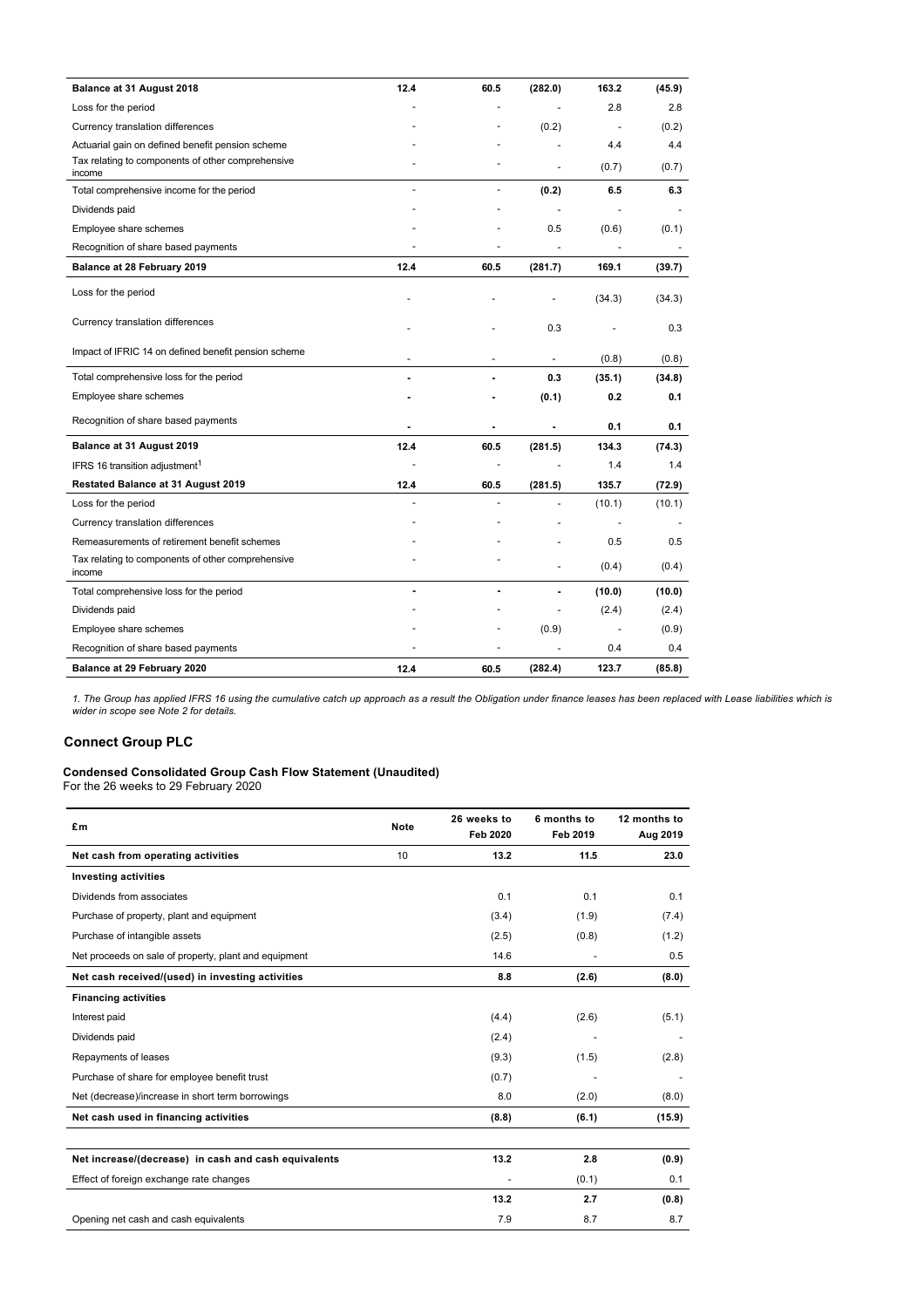| Balance at 31 August 2018                                   | 12.4                     | 60.5                     | (282.0)        | 163.2  | (45.9) |
|-------------------------------------------------------------|--------------------------|--------------------------|----------------|--------|--------|
| Loss for the period                                         |                          |                          |                | 2.8    | 2.8    |
| Currency translation differences                            |                          |                          | (0.2)          |        | (0.2)  |
| Actuarial gain on defined benefit pension scheme            |                          |                          |                | 4.4    | 4.4    |
| Tax relating to components of other comprehensive<br>income |                          |                          | L.             | (0.7)  | (0.7)  |
| Total comprehensive income for the period                   | $\tilde{\phantom{a}}$    | ÷.                       | (0.2)          | 6.5    | 6.3    |
| Dividends paid                                              |                          |                          | ÷              |        |        |
| Employee share schemes                                      |                          |                          | 0.5            | (0.6)  | (0.1)  |
| Recognition of share based payments                         |                          |                          |                |        |        |
| Balance at 28 February 2019                                 | 12.4                     | 60.5                     | (281.7)        | 169.1  | (39.7) |
| Loss for the period                                         |                          |                          |                | (34.3) | (34.3) |
| Currency translation differences                            |                          |                          | 0.3            |        | 0.3    |
| Impact of IFRIC 14 on defined benefit pension scheme        | $\overline{\phantom{a}}$ | $\overline{\phantom{a}}$ | $\blacksquare$ | (0.8)  | (0.8)  |
| Total comprehensive loss for the period                     |                          |                          | 0.3            | (35.1) | (34.8) |
| Employee share schemes                                      |                          |                          | (0.1)          | 0.2    | 0.1    |
| Recognition of share based payments                         |                          | ٠                        | ٠              | 0.1    | 0.1    |
| Balance at 31 August 2019                                   | 12.4                     | 60.5                     | (281.5)        | 134.3  | (74.3) |
| IFRS 16 transition adjustment <sup>1</sup>                  |                          |                          |                | 1.4    | 1.4    |
| Restated Balance at 31 August 2019                          | 12.4                     | 60.5                     | (281.5)        | 135.7  | (72.9) |
| Loss for the period                                         |                          |                          |                | (10.1) | (10.1) |
| Currency translation differences                            |                          |                          |                |        |        |
| Remeasurements of retirement benefit schemes                |                          |                          |                | 0.5    | 0.5    |
| Tax relating to components of other comprehensive<br>income |                          |                          | ٠              | (0.4)  | (0.4)  |
| Total comprehensive loss for the period                     |                          |                          | ä,             | (10.0) | (10.0) |
| Dividends paid                                              |                          |                          | ÷,             | (2.4)  | (2.4)  |
| Employee share schemes                                      |                          |                          | (0.9)          |        | (0.9)  |
| Recognition of share based payments                         |                          |                          |                | 0.4    | 0.4    |
| Balance at 29 February 2020                                 | 12.4                     | 60.5                     | (282.4)        | 123.7  | (85.8) |

*1. The Group has applied IFRS 16 using the cumulative catch up approach as a result the Obligation under finance leases has been replaced with Lease liabilities which is wider in scope see Note 2 for details.*

## **Connect Group PLC**

#### **Condensed Consolidated Group Cash Flow Statement (Unaudited)**

For the 26 weeks to 29 February 2020

| £m                                                    | <b>Note</b> | 26 weeks to<br><b>Feb 2020</b> | 6 months to<br>Feb 2019 | 12 months to<br>Aug 2019 |
|-------------------------------------------------------|-------------|--------------------------------|-------------------------|--------------------------|
| Net cash from operating activities                    | 10          | 13.2                           | 11.5                    | 23.0                     |
| <b>Investing activities</b>                           |             |                                |                         |                          |
| Dividends from associates                             |             | 0.1                            | 0.1                     | 0.1                      |
| Purchase of property, plant and equipment             |             | (3.4)                          | (1.9)                   | (7.4)                    |
| Purchase of intangible assets                         |             | (2.5)                          | (0.8)                   | (1.2)                    |
| Net proceeds on sale of property, plant and equipment |             | 14.6                           |                         | 0.5                      |
| Net cash received/(used) in investing activities      |             | 8.8                            | (2.6)                   | (8.0)                    |
| <b>Financing activities</b>                           |             |                                |                         |                          |
| Interest paid                                         |             | (4.4)                          | (2.6)                   | (5.1)                    |
| Dividends paid                                        |             | (2.4)                          |                         |                          |
| Repayments of leases                                  |             | (9.3)                          | (1.5)                   | (2.8)                    |
| Purchase of share for employee benefit trust          |             | (0.7)                          |                         |                          |
| Net (decrease)/increase in short term borrowings      |             | 8.0                            | (2.0)                   | (8.0)                    |
| Net cash used in financing activities                 |             | (8.8)                          | (6.1)                   | (15.9)                   |
|                                                       |             |                                |                         |                          |
| Net increase/(decrease) in cash and cash equivalents  |             | 13.2                           | 2.8                     | (0.9)                    |
| Effect of foreign exchange rate changes               |             |                                | (0.1)                   | 0.1                      |
|                                                       |             | 13.2                           | 2.7                     | (0.8)                    |
| Opening net cash and cash equivalents                 |             | 7.9                            | 8.7                     | 8.7                      |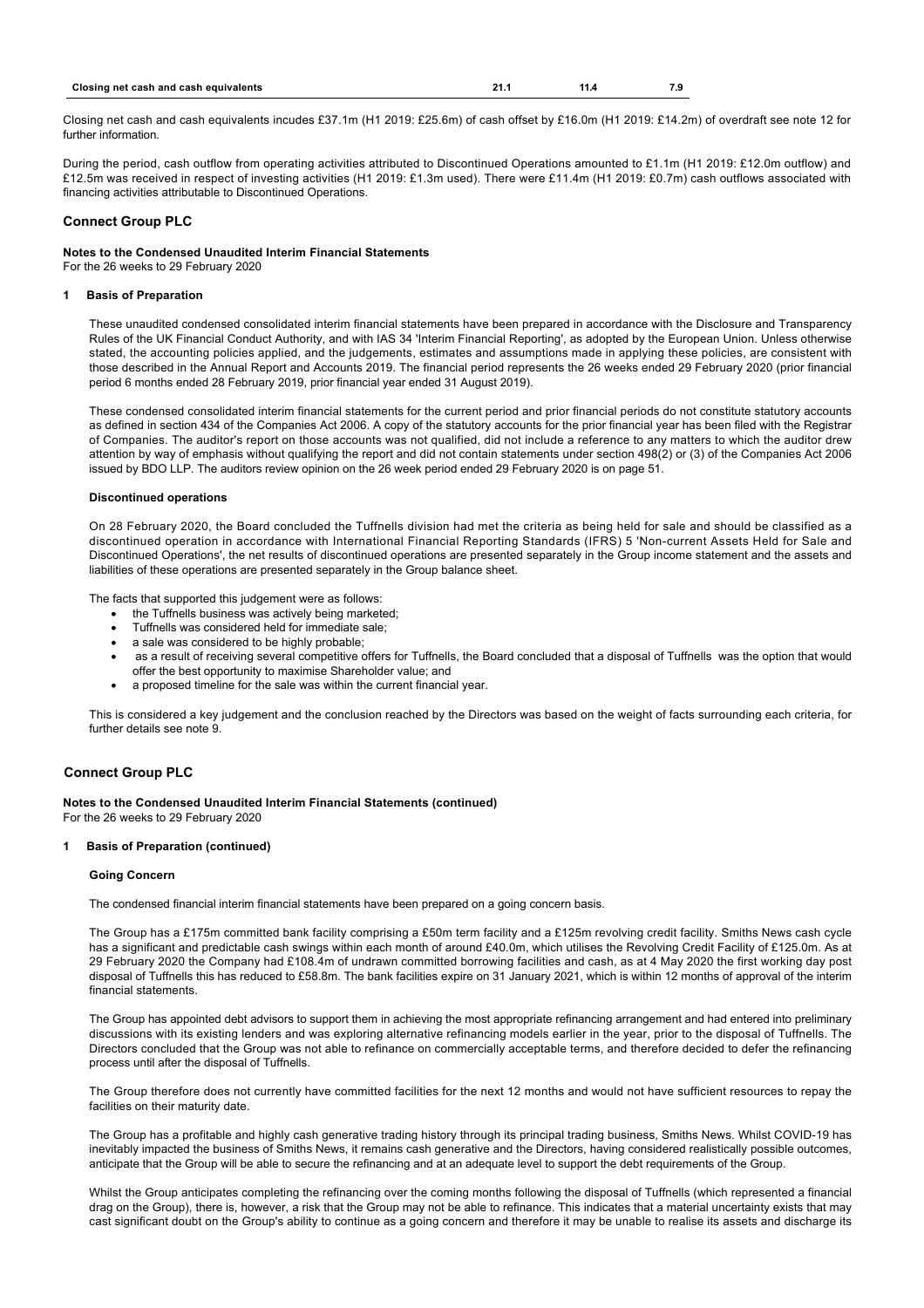| Closing net cash and cash equivalents | 21. | 11.4 |  |
|---------------------------------------|-----|------|--|

Closing net cash and cash equivalents incudes £37.1m (H1 2019: £25.6m) of cash offset by £16.0m (H1 2019: £14.2m) of overdraft see note 12 for further information.

During the period, cash outflow from operating activities attributed to Discontinued Operations amounted to £1.1m (H1 2019: £12.0m outflow) and £12.5m was received in respect of investing activities (H1 2019: £1.3m used). There were £11.4m (H1 2019: £0.7m) cash outflows associated with financing activities attributable to Discontinued Operations.

## **Connect Group PLC**

## **Notes to the Condensed Unaudited Interim Financial Statements**

For the 26 weeks to 29 February 2020

## **1 Basis of Preparation**

These unaudited condensed consolidated interim financial statements have been prepared in accordance with the Disclosure and Transparency Rules of the UK Financial Conduct Authority, and with IAS 34 'Interim Financial Reporting', as adopted by the European Union. Unless otherwise stated, the accounting policies applied, and the judgements, estimates and assumptions made in applying these policies, are consistent with those described in the Annual Report and Accounts 2019. The financial period represents the 26 weeks ended 29 February 2020 (prior financial period 6 months ended 28 February 2019, prior financial year ended 31 August 2019).

These condensed consolidated interim financial statements for the current period and prior financial periods do not constitute statutory accounts as defined in section 434 of the Companies Act 2006. A copy of the statutory accounts for the prior financial year has been filed with the Registrar of Companies. The auditor's report on those accounts was not qualified, did not include a reference to any matters to which the auditor drew attention by way of emphasis without qualifying the report and did not contain statements under section 498(2) or (3) of the Companies Act 2006 issued by BDO LLP. The auditors review opinion on the 26 week period ended 29 February 2020 is on page 51.

## **Discontinued operations**

On 28 February 2020, the Board concluded the Tuffnells division had met the criteria as being held for sale and should be classified as a discontinued operation in accordance with International Financial Reporting Standards (IFRS) 5 'Non-current Assets Held for Sale and Discontinued Operations', the net results of discontinued operations are presented separately in the Group income statement and the assets and liabilities of these operations are presented separately in the Group balance sheet.

The facts that supported this judgement were as follows:

- the Tuffnells business was actively being marketed;
- · Tuffnells was considered held for immediate sale;
- · a sale was considered to be highly probable;
- · as a result of receiving several competitive offers for Tuffnells, the Board concluded that a disposal of Tuffnells was the option that would offer the best opportunity to maximise Shareholder value; and
- · a proposed timeline for the sale was within the current financial year.

This is considered a key judgement and the conclusion reached by the Directors was based on the weight of facts surrounding each criteria, for further details see note 9.

## **Connect Group PLC**

**Notes to the Condensed Unaudited Interim Financial Statements (continued)** For the 26 weeks to 29 February 2020

#### **1 Basis of Preparation (continued)**

#### **Going Concern**

The condensed financial interim financial statements have been prepared on a going concern basis.

The Group has a £175m committed bank facility comprising a £50m term facility and a £125m revolving credit facility. Smiths News cash cycle has a significant and predictable cash swings within each month of around £40.0m, which utilises the Revolving Credit Facility of £125.0m. As at 29 February 2020 the Company had £108.4m of undrawn committed borrowing facilities and cash, as at 4 May 2020 the first working day post disposal of Tuffnells this has reduced to £58.8m. The bank facilities expire on 31 January 2021, which is within 12 months of approval of the interim financial statements.

The Group has appointed debt advisors to support them in achieving the most appropriate refinancing arrangement and had entered into preliminary discussions with its existing lenders and was exploring alternative refinancing models earlier in the year, prior to the disposal of Tuffnells. The Directors concluded that the Group was not able to refinance on commercially acceptable terms, and therefore decided to defer the refinancing process until after the disposal of Tuffnells.

The Group therefore does not currently have committed facilities for the next 12 months and would not have sufficient resources to repay the facilities on their maturity date.

The Group has a profitable and highly cash generative trading history through its principal trading business, Smiths News. Whilst COVID-19 has inevitably impacted the business of Smiths News, it remains cash generative and the Directors, having considered realistically possible outcomes, anticipate that the Group will be able to secure the refinancing and at an adequate level to support the debt requirements of the Group.

Whilst the Group anticipates completing the refinancing over the coming months following the disposal of Tuffnells (which represented a financial drag on the Group), there is, however, a risk that the Group may not be able to refinance. This indicates that a material uncertainty exists that may cast significant doubt on the Group's ability to continue as a going concern and therefore it may be unable to realise its assets and discharge its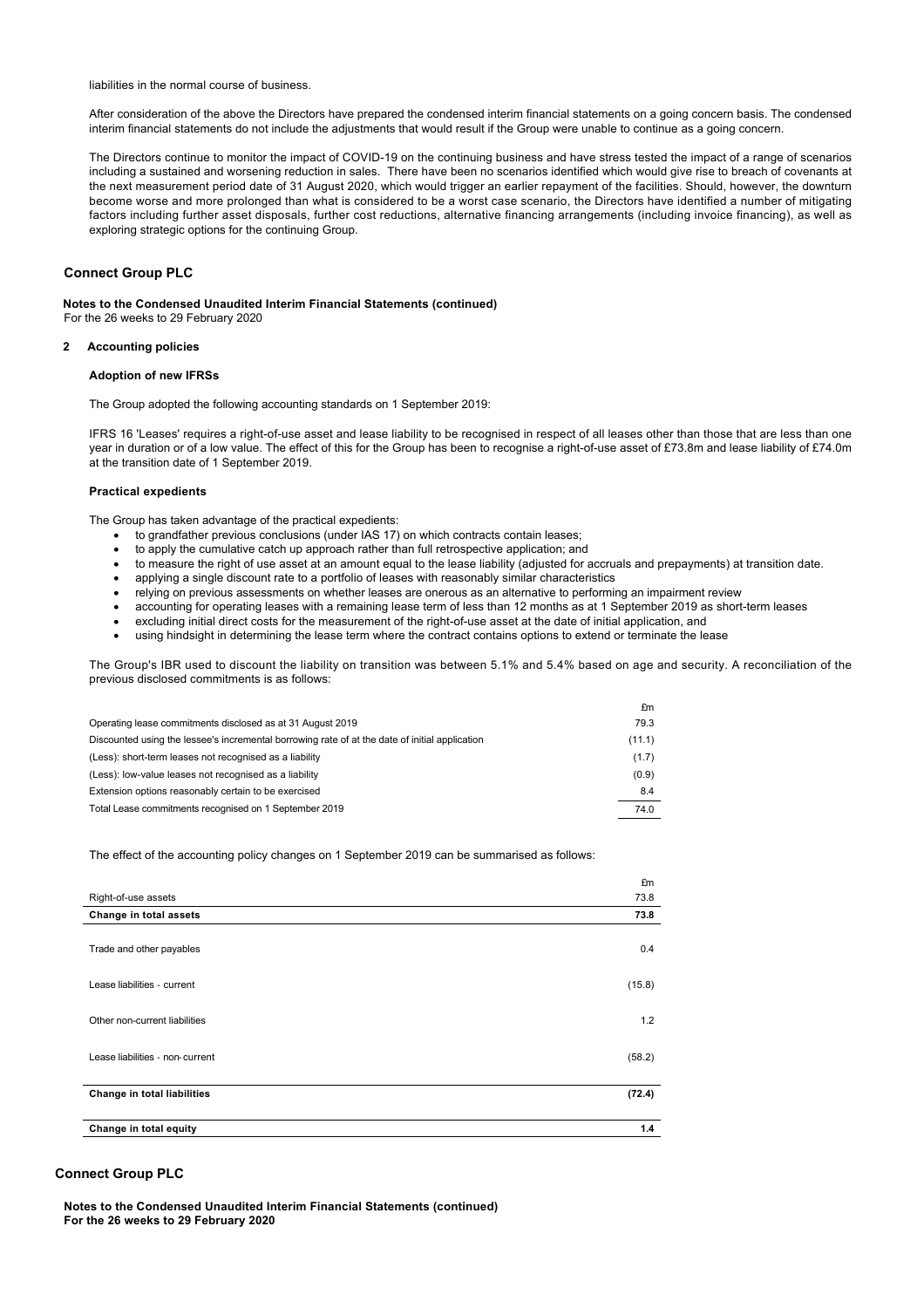liabilities in the normal course of business.

After consideration of the above the Directors have prepared the condensed interim financial statements on a going concern basis. The condensed interim financial statements do not include the adjustments that would result if the Group were unable to continue as a going concern.

The Directors continue to monitor the impact of COVID-19 on the continuing business and have stress tested the impact of a range of scenarios including a sustained and worsening reduction in sales. There have been no scenarios identified which would give rise to breach of covenants at the next measurement period date of 31 August 2020, which would trigger an earlier repayment of the facilities. Should, however, the downturn become worse and more prolonged than what is considered to be a worst case scenario, the Directors have identified a number of mitigating factors including further asset disposals, further cost reductions, alternative financing arrangements (including invoice financing), as well as exploring strategic options for the continuing Group.

## **Connect Group PLC**

#### **Notes to the Condensed Unaudited Interim Financial Statements (continued)**

For the 26 weeks to 29 February 2020

## **2 Accounting policies**

## **Adoption of new IFRSs**

The Group adopted the following accounting standards on 1 September 2019:

IFRS 16 'Leases' requires a right-of-use asset and lease liability to be recognised in respect of all leases other than those that are less than one year in duration or of a low value. The effect of this for the Group has been to recognise a right-of-use asset of £73.8m and lease liability of £74.0m at the transition date of 1 September 2019.

#### **Practical expedients**

The Group has taken advantage of the practical expedients:

- to grandfather previous conclusions (under IAS 17) on which contracts contain leases;
- to apply the cumulative catch up approach rather than full retrospective application; and
- · to measure the right of use asset at an amount equal to the lease liability (adjusted for accruals and prepayments) at transition date.
- applying a single discount rate to a portfolio of leases with reasonably similar characteristics
- relying on previous assessments on whether leases are onerous as an alternative to performing an impairment review
- · accounting for operating leases with a remaining lease term of less than 12 months as at 1 September 2019 as short-term leases
- excluding initial direct costs for the measurement of the right-of-use asset at the date of initial application, and
- using hindsight in determining the lease term where the contract contains options to extend or terminate the lease

The Group's IBR used to discount the liability on transition was between 5.1% and 5.4% based on age and security. A reconciliation of the previous disclosed commitments is as follows:

|                                                                                                | £m     |
|------------------------------------------------------------------------------------------------|--------|
| Operating lease commitments disclosed as at 31 August 2019                                     | 79.3   |
| Discounted using the lessee's incremental borrowing rate of at the date of initial application | (11.1) |
| (Less): short-term leases not recognised as a liability                                        | (1.7)  |
| (Less): low-value leases not recognised as a liability                                         | (0.9)  |
| Extension options reasonably certain to be exercised                                           | 8.4    |
| Total Lease commitments recognised on 1 September 2019                                         | 74.0   |
|                                                                                                |        |

The effect of the accounting policy changes on 1 September 2019 can be summarised as follows:

|                                 | £m     |
|---------------------------------|--------|
| Right-of-use assets             | 73.8   |
| Change in total assets          | 73.8   |
| Trade and other payables        | 0.4    |
| Lease liabilities - current     | (15.8) |
|                                 |        |
| Other non-current liabilities   | 1.2    |
|                                 |        |
| Lease liabilities - non-current | (58.2) |
|                                 |        |
| Change in total liabilities     | (72.4) |
|                                 |        |
| Change in total equity          | 1.4    |
|                                 |        |

## **Connect Group PLC**

**Notes to the Condensed Unaudited Interim Financial Statements (continued) For the 26 weeks to 29 February 2020**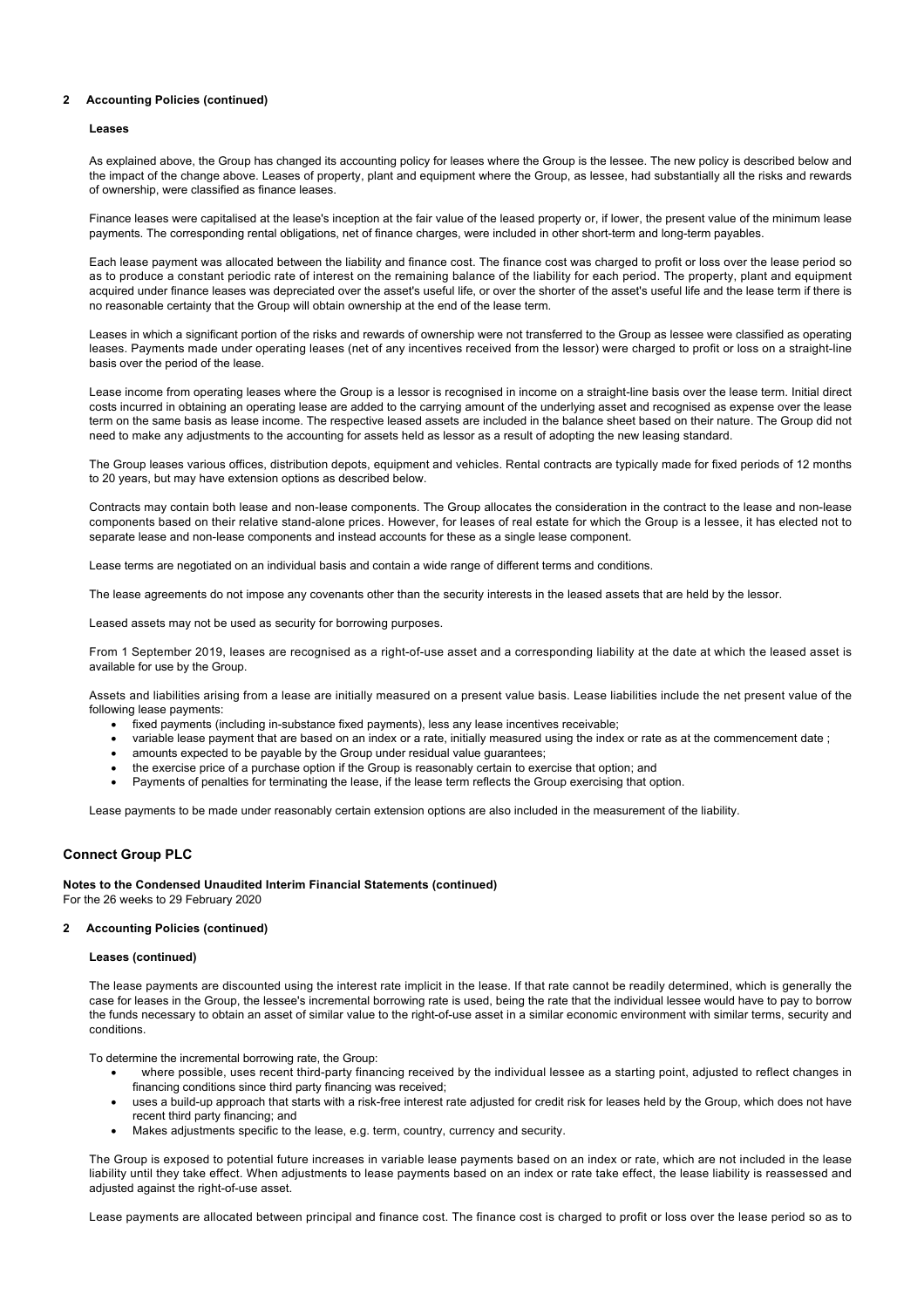### **2 Accounting Policies (continued)**

#### **Leases**

As explained above, the Group has changed its accounting policy for leases where the Group is the lessee. The new policy is described below and the impact of the change above. Leases of property, plant and equipment where the Group, as lessee, had substantially all the risks and rewards of ownership, were classified as finance leases.

Finance leases were capitalised at the lease's inception at the fair value of the leased property or, if lower, the present value of the minimum lease payments. The corresponding rental obligations, net of finance charges, were included in other short-term and long-term payables.

Each lease payment was allocated between the liability and finance cost. The finance cost was charged to profit or loss over the lease period so as to produce a constant periodic rate of interest on the remaining balance of the liability for each period. The property, plant and equipment acquired under finance leases was depreciated over the asset's useful life, or over the shorter of the asset's useful life and the lease term if there is no reasonable certainty that the Group will obtain ownership at the end of the lease term.

Leases in which a significant portion of the risks and rewards of ownership were not transferred to the Group as lessee were classified as operating leases. Payments made under operating leases (net of any incentives received from the lessor) were charged to profit or loss on a straight-line basis over the period of the lease.

Lease income from operating leases where the Group is a lessor is recognised in income on a straight-line basis over the lease term. Initial direct costs incurred in obtaining an operating lease are added to the carrying amount of the underlying asset and recognised as expense over the lease term on the same basis as lease income. The respective leased assets are included in the balance sheet based on their nature. The Group did not need to make any adjustments to the accounting for assets held as lessor as a result of adopting the new leasing standard.

The Group leases various offices, distribution depots, equipment and vehicles. Rental contracts are typically made for fixed periods of 12 months to 20 years, but may have extension options as described below.

Contracts may contain both lease and non-lease components. The Group allocates the consideration in the contract to the lease and non-lease components based on their relative stand-alone prices. However, for leases of real estate for which the Group is a lessee, it has elected not to separate lease and non-lease components and instead accounts for these as a single lease component.

Lease terms are negotiated on an individual basis and contain a wide range of different terms and conditions.

The lease agreements do not impose any covenants other than the security interests in the leased assets that are held by the lessor.

Leased assets may not be used as security for borrowing purposes.

From 1 September 2019, leases are recognised as a right-of-use asset and a corresponding liability at the date at which the leased asset is available for use by the Group.

Assets and liabilities arising from a lease are initially measured on a present value basis. Lease liabilities include the net present value of the following lease payments:

- · fixed payments (including in-substance fixed payments), less any lease incentives receivable;
- · variable lease payment that are based on an index or a rate, initially measured using the index or rate as at the commencement date ;
- amounts expected to be payable by the Group under residual value guarantees;
- the exercise price of a purchase option if the Group is reasonably certain to exercise that option; and
- Payments of penalties for terminating the lease, if the lease term reflects the Group exercising that option.

Lease payments to be made under reasonably certain extension options are also included in the measurement of the liability.

## **Connect Group PLC**

**Notes to the Condensed Unaudited Interim Financial Statements (continued)** For the 26 weeks to 29 February 2020

## **2 Accounting Policies (continued)**

#### **Leases (continued)**

The lease payments are discounted using the interest rate implicit in the lease. If that rate cannot be readily determined, which is generally the case for leases in the Group, the lessee's incremental borrowing rate is used, being the rate that the individual lessee would have to pay to borrow the funds necessary to obtain an asset of similar value to the right-of-use asset in a similar economic environment with similar terms, security and conditions.

To determine the incremental borrowing rate, the Group:

- · where possible, uses recent third-party financing received by the individual lessee as a starting point, adjusted to reflect changes in financing conditions since third party financing was received;
- · uses a build-up approach that starts with a risk-free interest rate adjusted for credit risk for leases held by the Group, which does not have recent third party financing; and
- Makes adjustments specific to the lease, e.g. term, country, currency and security.

The Group is exposed to potential future increases in variable lease payments based on an index or rate, which are not included in the lease liability until they take effect. When adjustments to lease payments based on an index or rate take effect, the lease liability is reassessed and adjusted against the right-of-use asset.

Lease payments are allocated between principal and finance cost. The finance cost is charged to profit or loss over the lease period so as to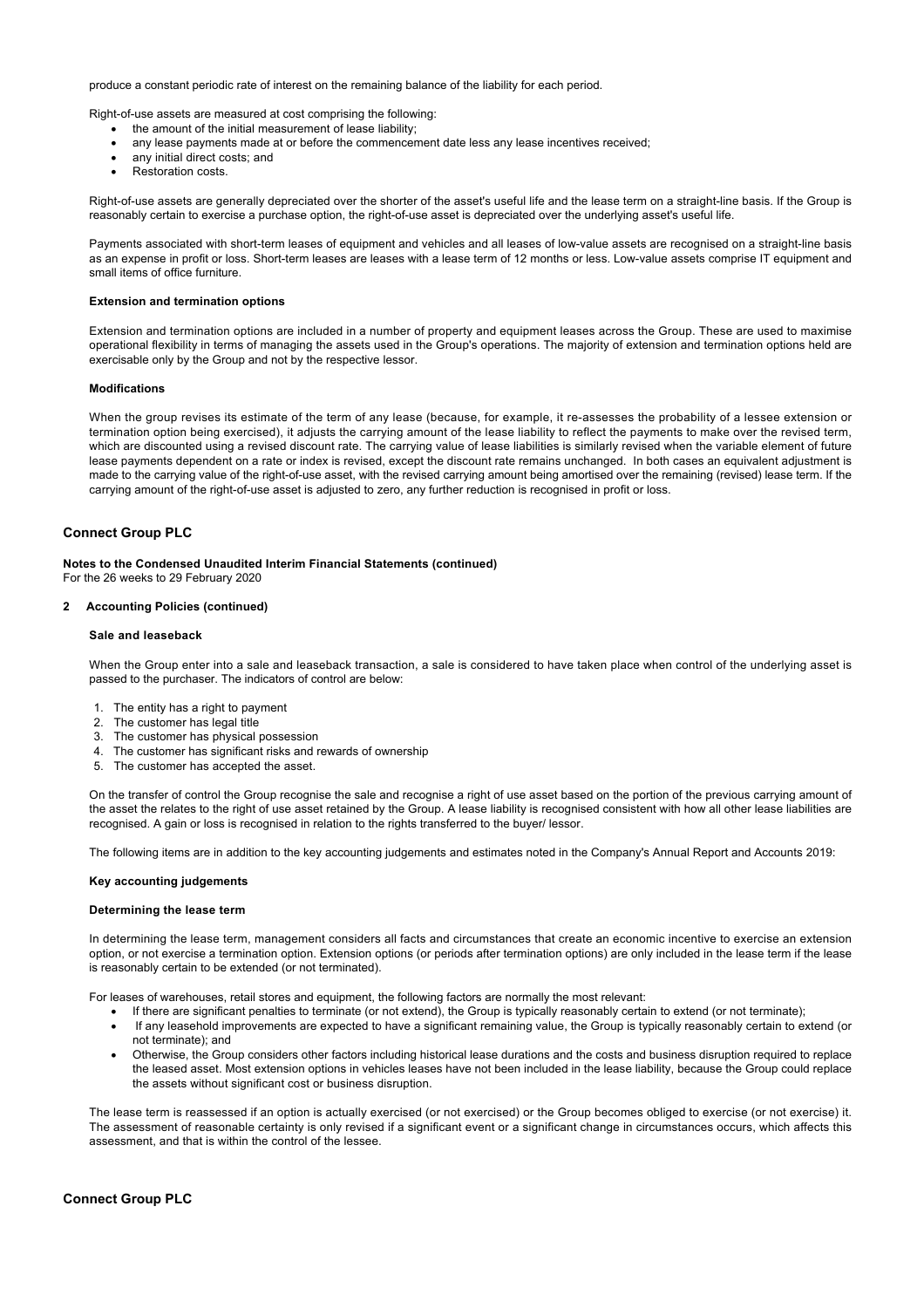produce a constant periodic rate of interest on the remaining balance of the liability for each period.

Right-of-use assets are measured at cost comprising the following:

- · the amount of the initial measurement of lease liability;
- any lease payments made at or before the commencement date less any lease incentives received;
- any initial direct costs; and
- · Restoration costs.

Right-of-use assets are generally depreciated over the shorter of the asset's useful life and the lease term on a straight-line basis. If the Group is reasonably certain to exercise a purchase option, the right-of-use asset is depreciated over the underlying asset's useful life.

Payments associated with short-term leases of equipment and vehicles and all leases of low-value assets are recognised on a straight-line basis as an expense in profit or loss. Short-term leases are leases with a lease term of 12 months or less. Low-value assets comprise IT equipment and small items of office furniture.

## **Extension and termination options**

Extension and termination options are included in a number of property and equipment leases across the Group. These are used to maximise operational flexibility in terms of managing the assets used in the Group's operations. The majority of extension and termination options held are exercisable only by the Group and not by the respective lessor.

#### **Modifications**

When the group revises its estimate of the term of any lease (because, for example, it re-assesses the probability of a lessee extension or termination option being exercised), it adjusts the carrying amount of the lease liability to reflect the payments to make over the revised term, which are discounted using a revised discount rate. The carrying value of lease liabilities is similarly revised when the variable element of future lease payments dependent on a rate or index is revised, except the discount rate remains unchanged. In both cases an equivalent adjustment is made to the carrying value of the right-of-use asset, with the revised carrying amount being amortised over the remaining (revised) lease term. If the carrying amount of the right-of-use asset is adjusted to zero, any further reduction is recognised in profit or loss.

## **Connect Group PLC**

**Notes to the Condensed Unaudited Interim Financial Statements (continued)**

For the 26 weeks to 29 February 2020

## **2 Accounting Policies (continued)**

#### **Sale and leaseback**

When the Group enter into a sale and leaseback transaction, a sale is considered to have taken place when control of the underlying asset is passed to the purchaser. The indicators of control are below:

- 1. The entity has a right to payment
- 2. The customer has legal title
- 3. The customer has physical possession
- 4. The customer has significant risks and rewards of ownership
- 5. The customer has accepted the asset.

On the transfer of control the Group recognise the sale and recognise a right of use asset based on the portion of the previous carrying amount of the asset the relates to the right of use asset retained by the Group. A lease liability is recognised consistent with how all other lease liabilities are recognised. A gain or loss is recognised in relation to the rights transferred to the buyer/ lessor.

The following items are in addition to the key accounting judgements and estimates noted in the Company's Annual Report and Accounts 2019:

#### **Key accounting judgements**

#### **Determining the lease term**

In determining the lease term, management considers all facts and circumstances that create an economic incentive to exercise an extension option, or not exercise a termination option. Extension options (or periods after termination options) are only included in the lease term if the lease is reasonably certain to be extended (or not terminated).

For leases of warehouses, retail stores and equipment, the following factors are normally the most relevant:

- If there are significant penalties to terminate (or not extend), the Group is typically reasonably certain to extend (or not terminate);
- · If any leasehold improvements are expected to have a significant remaining value, the Group is typically reasonably certain to extend (or not terminate); and
- · Otherwise, the Group considers other factors including historical lease durations and the costs and business disruption required to replace the leased asset. Most extension options in vehicles leases have not been included in the lease liability, because the Group could replace the assets without significant cost or business disruption.

The lease term is reassessed if an option is actually exercised (or not exercised) or the Group becomes obliged to exercise (or not exercise) it. The assessment of reasonable certainty is only revised if a significant event or a significant change in circumstances occurs, which affects this assessment, and that is within the control of the lessee.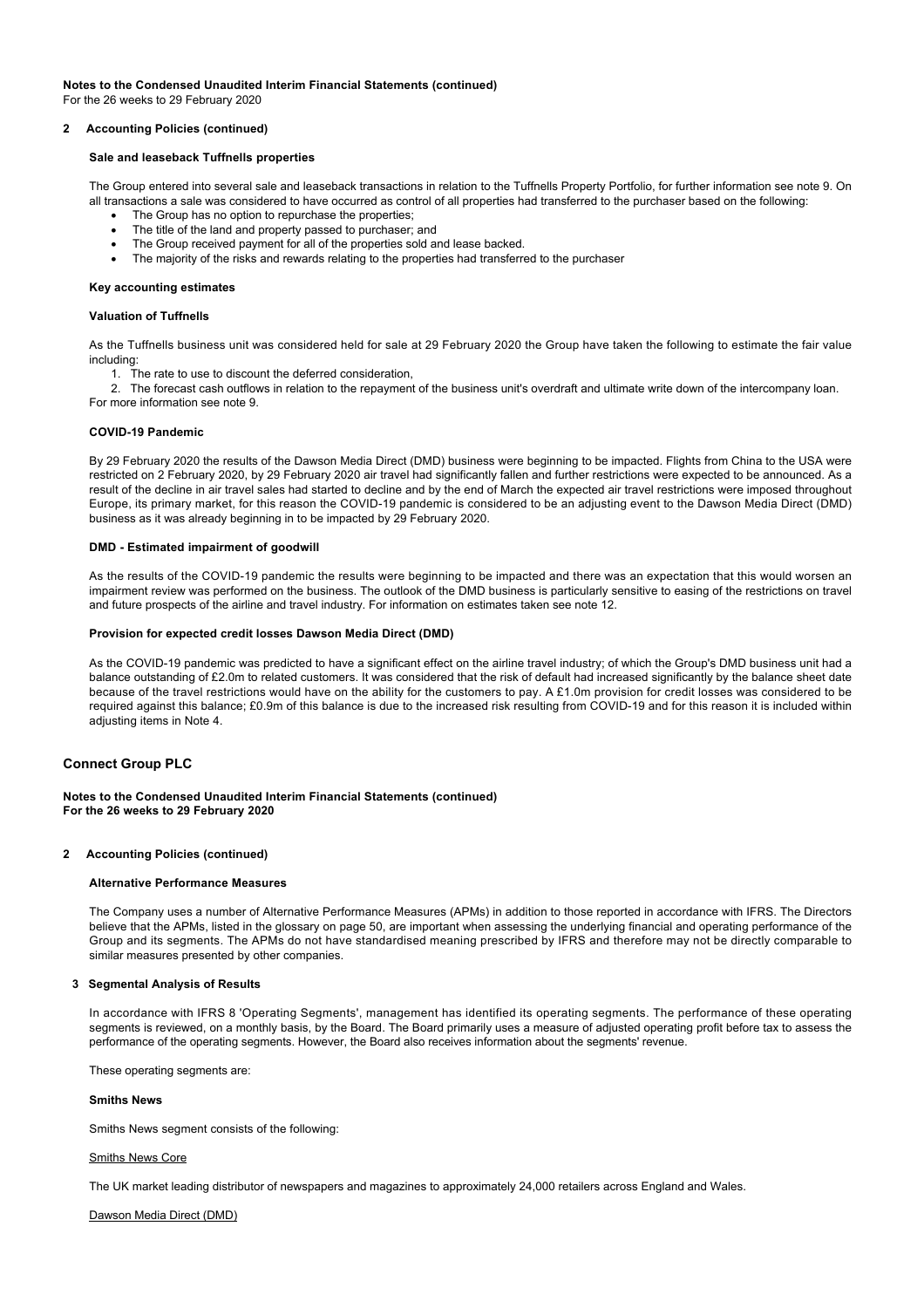# **Notes to the Condensed Unaudited Interim Financial Statements (continued)**

For the 26 weeks to 29 February 2020

## **2 Accounting Policies (continued)**

## **Sale and leaseback Tuffnells properties**

The Group entered into several sale and leaseback transactions in relation to the Tuffnells Property Portfolio, for further information see note 9. On all transactions a sale was considered to have occurred as control of all properties had transferred to the purchaser based on the following:

- The Group has no option to repurchase the properties:
- The title of the land and property passed to purchaser; and
- The Group received payment for all of the properties sold and lease backed.
- · The majority of the risks and rewards relating to the properties had transferred to the purchaser

#### **Key accounting estimates**

#### **Valuation of Tuffnells**

As the Tuffnells business unit was considered held for sale at 29 February 2020 the Group have taken the following to estimate the fair value including:

- 1. The rate to use to discount the deferred consideration,
- 2. The forecast cash outflows in relation to the repayment of the business unit's overdraft and ultimate write down of the intercompany loan.
- For more information see note 9.

## **COVID-19 Pandemic**

By 29 February 2020 the results of the Dawson Media Direct (DMD) business were beginning to be impacted. Flights from China to the USA were restricted on 2 February 2020, by 29 February 2020 air travel had significantly fallen and further restrictions were expected to be announced. As a result of the decline in air travel sales had started to decline and by the end of March the expected air travel restrictions were imposed throughout Europe, its primary market, for this reason the COVID-19 pandemic is considered to be an adjusting event to the Dawson Media Direct (DMD) business as it was already beginning in to be impacted by 29 February 2020.

## **DMD - Estimated impairment of goodwill**

As the results of the COVID-19 pandemic the results were beginning to be impacted and there was an expectation that this would worsen an impairment review was performed on the business. The outlook of the DMD business is particularly sensitive to easing of the restrictions on travel and future prospects of the airline and travel industry. For information on estimates taken see note 12.

#### **Provision for expected credit losses Dawson Media Direct (DMD)**

As the COVID-19 pandemic was predicted to have a significant effect on the airline travel industry; of which the Group's DMD business unit had a balance outstanding of £2.0m to related customers. It was considered that the risk of default had increased significantly by the balance sheet date because of the travel restrictions would have on the ability for the customers to pay. A £1.0m provision for credit losses was considered to be required against this balance; £0.9m of this balance is due to the increased risk resulting from COVID-19 and for this reason it is included within adjusting items in Note 4.

## **Connect Group PLC**

## **Notes to the Condensed Unaudited Interim Financial Statements (continued) For the 26 weeks to 29 February 2020**

### **2 Accounting Policies (continued)**

#### **Alternative Performance Measures**

The Company uses a number of Alternative Performance Measures (APMs) in addition to those reported in accordance with IFRS. The Directors believe that the APMs, listed in the glossary on page 50, are important when assessing the underlying financial and operating performance of the Group and its segments. The APMs do not have standardised meaning prescribed by IFRS and therefore may not be directly comparable to similar measures presented by other companies.

### **3 Segmental Analysis of Results**

In accordance with IFRS 8 'Operating Segments', management has identified its operating segments. The performance of these operating segments is reviewed, on a monthly basis, by the Board. The Board primarily uses a measure of adjusted operating profit before tax to assess the performance of the operating segments. However, the Board also receives information about the segments' revenue.

These operating segments are:

#### **Smiths News**

Smiths News segment consists of the following:

#### Smiths News Core

The UK market leading distributor of newspapers and magazines to approximately 24,000 retailers across England and Wales.

Dawson Media Direct (DMD)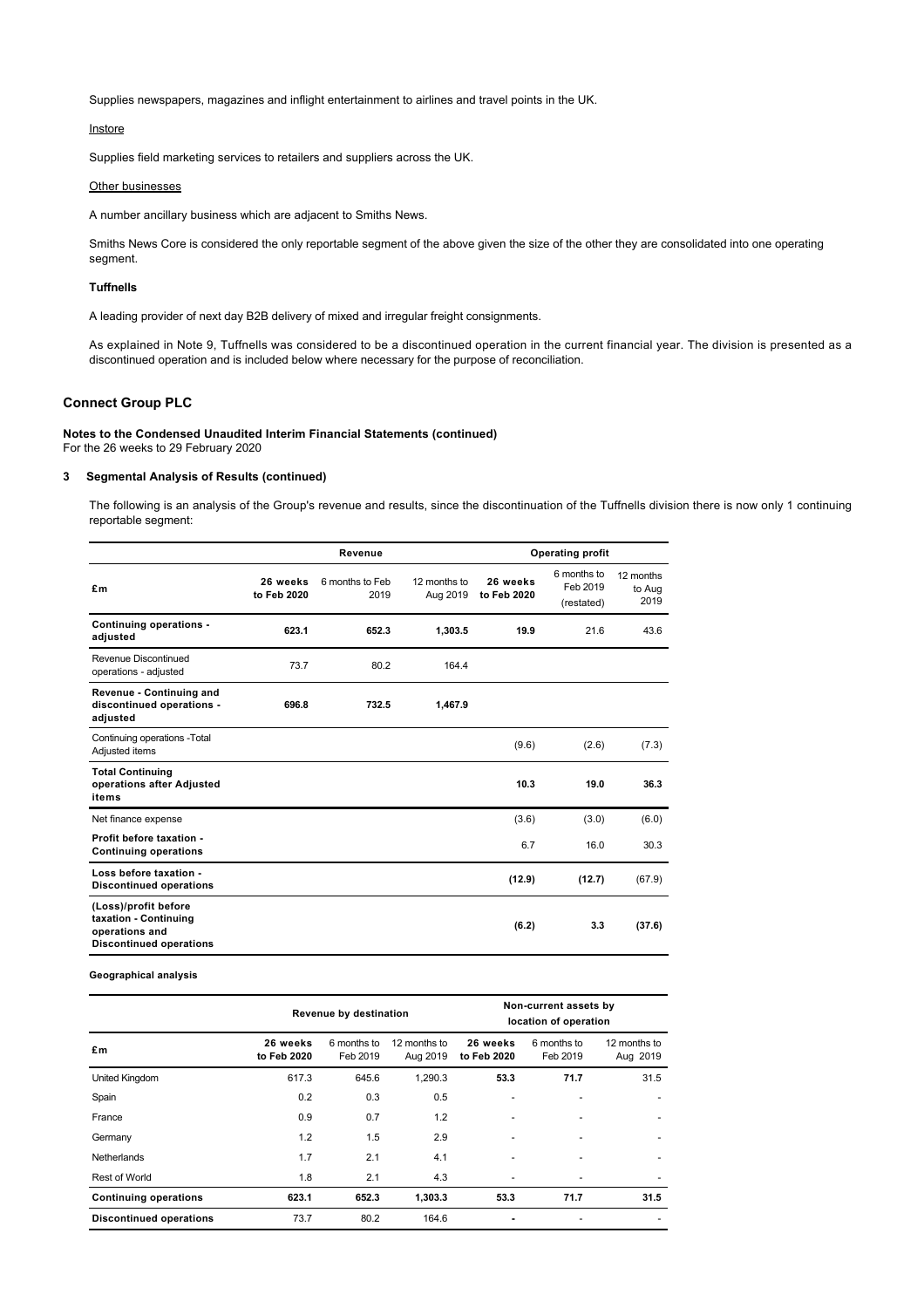Supplies newspapers, magazines and inflight entertainment to airlines and travel points in the UK.

## **Instore**

Supplies field marketing services to retailers and suppliers across the UK.

#### Other businesses

A number ancillary business which are adjacent to Smiths News.

Smiths News Core is considered the only reportable segment of the above given the size of the other they are consolidated into one operating segment.

#### **Tuffnells**

A leading provider of next day B2B delivery of mixed and irregular freight consignments.

As explained in Note 9, Tuffnells was considered to be a discontinued operation in the current financial year. The division is presented as a discontinued operation and is included below where necessary for the purpose of reconciliation.

## **Connect Group PLC**

**Notes to the Condensed Unaudited Interim Financial Statements (continued)** For the 26 weeks to 29 February 2020

## **3 Segmental Analysis of Results (continued)**

The following is an analysis of the Group's revenue and results, since the discontinuation of the Tuffnells division there is now only 1 continuing reportable segment:

|                                                                                                   | Operating profit<br>Revenue |                         |                          |                         |                                       |                             |
|---------------------------------------------------------------------------------------------------|-----------------------------|-------------------------|--------------------------|-------------------------|---------------------------------------|-----------------------------|
| £m                                                                                                | 26 weeks<br>to Feb 2020     | 6 months to Feb<br>2019 | 12 months to<br>Aug 2019 | 26 weeks<br>to Feb 2020 | 6 months to<br>Feb 2019<br>(restated) | 12 months<br>to Aug<br>2019 |
| Continuing operations -<br>adjusted                                                               | 623.1                       | 652.3                   | 1,303.5                  | 19.9                    | 21.6                                  | 43.6                        |
| Revenue Discontinued<br>operations - adjusted                                                     | 73.7                        | 80.2                    | 164.4                    |                         |                                       |                             |
| Revenue - Continuing and<br>discontinued operations -<br>adjusted                                 | 696.8                       | 732.5                   | 1,467.9                  |                         |                                       |                             |
| Continuing operations - Total<br>Adjusted items                                                   |                             |                         |                          | (9.6)                   | (2.6)                                 | (7.3)                       |
| <b>Total Continuing</b><br>operations after Adjusted<br>items                                     |                             |                         |                          | 10.3                    | 19.0                                  | 36.3                        |
| Net finance expense                                                                               |                             |                         |                          | (3.6)                   | (3.0)                                 | (6.0)                       |
| Profit before taxation -<br><b>Continuing operations</b>                                          |                             |                         |                          | 6.7                     | 16.0                                  | 30.3                        |
| Loss before taxation -<br><b>Discontinued operations</b>                                          |                             |                         |                          | (12.9)                  | (12.7)                                | (67.9)                      |
| (Loss)/profit before<br>taxation - Continuing<br>operations and<br><b>Discontinued operations</b> |                             |                         |                          | (6.2)                   | 3.3                                   | (37.6)                      |

**Geographical analysis**

|                                |                         | Revenue by destination  |                          | Non-current assets by<br>location of operation |                         |                          |  |
|--------------------------------|-------------------------|-------------------------|--------------------------|------------------------------------------------|-------------------------|--------------------------|--|
| £m                             | 26 weeks<br>to Feb 2020 | 6 months to<br>Feb 2019 | 12 months to<br>Aug 2019 | 26 weeks<br>to Feb 2020                        | 6 months to<br>Feb 2019 | 12 months to<br>Aug 2019 |  |
| United Kingdom                 | 617.3                   | 645.6                   | 1,290.3                  | 53.3                                           | 71.7                    | 31.5                     |  |
| Spain                          | 0.2                     | 0.3                     | 0.5                      |                                                |                         |                          |  |
| France                         | 0.9                     | 0.7                     | 1.2                      |                                                |                         |                          |  |
| Germany                        | 1.2                     | 1.5                     | 2.9                      | ۰                                              |                         | ٠                        |  |
| Netherlands                    | 1.7                     | 2.1                     | 4.1                      |                                                |                         |                          |  |
| <b>Rest of World</b>           | 1.8                     | 2.1                     | 4.3                      | ۰                                              |                         |                          |  |
| <b>Continuing operations</b>   | 623.1                   | 652.3                   | 1,303.3                  | 53.3                                           | 71.7                    | 31.5                     |  |
| <b>Discontinued operations</b> | 73.7                    | 80.2                    | 164.6                    | $\blacksquare$                                 |                         |                          |  |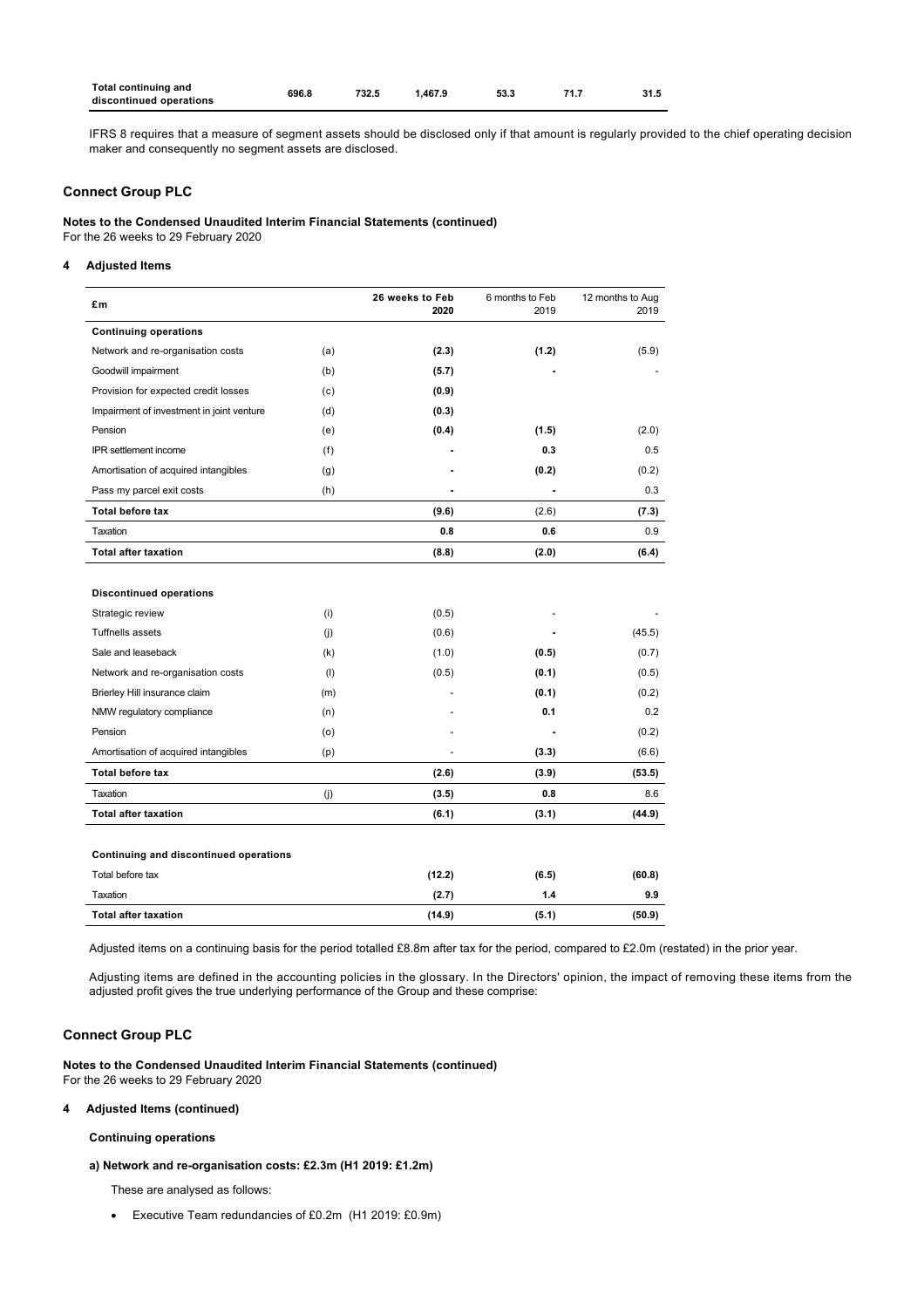| <b>Total continuing and</b><br>discontinued operations | 696.8 | 732.5 | 1.467.9 | 53.3 | 71.7 | 31.5 |
|--------------------------------------------------------|-------|-------|---------|------|------|------|
|                                                        |       |       |         |      |      |      |

IFRS 8 requires that a measure of segment assets should be disclosed only if that amount is regularly provided to the chief operating decision maker and consequently no segment assets are disclosed.

## **Connect Group PLC**

**Notes to the Condensed Unaudited Interim Financial Statements (continued)**

For the 26 weeks to 29 February 2020

## **4 Adjusted Items**

| £m                                               | 26 weeks to Feb | 2020   | 6 months to Feb<br>2019 | 12 months to Aug<br>2019 |
|--------------------------------------------------|-----------------|--------|-------------------------|--------------------------|
| <b>Continuing operations</b>                     |                 |        |                         |                          |
| Network and re-organisation costs<br>(a)         |                 | (2.3)  | (1.2)                   | (5.9)                    |
| Goodwill impairment<br>(b)                       |                 | (5.7)  |                         |                          |
| Provision for expected credit losses<br>(c)      |                 | (0.9)  |                         |                          |
| Impairment of investment in joint venture<br>(d) |                 | (0.3)  |                         |                          |
| Pension<br>(e)                                   |                 | (0.4)  | (1.5)                   | (2.0)                    |
| IPR settlement income<br>(f)                     |                 |        | 0.3                     | 0.5                      |
| Amortisation of acquired intangibles<br>(g)      |                 |        | (0.2)                   | (0.2)                    |
| Pass my parcel exit costs<br>(h)                 |                 |        |                         | 0.3                      |
| <b>Total before tax</b>                          |                 | (9.6)  | (2.6)                   | (7.3)                    |
| Taxation                                         |                 | 0.8    | 0.6                     | 0.9                      |
| <b>Total after taxation</b>                      |                 | (8.8)  | (2.0)                   | (6.4)                    |
|                                                  |                 |        |                         |                          |
| <b>Discontinued operations</b>                   |                 |        |                         |                          |
| Strategic review<br>(i)                          |                 | (0.5)  |                         |                          |
| <b>Tuffnells assets</b><br>(i)                   |                 | (0.6)  |                         | (45.5)                   |
| Sale and leaseback                               | (k)             | (1.0)  | (0.5)                   | (0.7)                    |
| Network and re-organisation costs                | (1)             | (0.5)  | (0.1)                   | (0.5)                    |
| Brierley Hill insurance claim<br>(m)             |                 |        | (0.1)                   | (0.2)                    |
| NMW regulatory compliance<br>(n)                 |                 |        | 0.1                     | 0.2                      |
| Pension<br>(0)                                   |                 |        |                         | (0.2)                    |
| Amortisation of acquired intangibles<br>(p)      |                 |        | (3.3)                   | (6.6)                    |
| <b>Total before tax</b>                          |                 | (2.6)  | (3.9)                   | (53.5)                   |
| Taxation<br>(i)                                  |                 | (3.5)  | 0.8                     | 8.6                      |
| <b>Total after taxation</b>                      |                 | (6.1)  | (3.1)                   | (44.9)                   |
|                                                  |                 |        |                         |                          |
| Continuing and discontinued operations           |                 |        |                         |                          |
| Total before tax                                 |                 | (12.2) | (6.5)                   | (60.8)                   |
| Taxation                                         |                 | (2.7)  | $1.4$                   | 9.9                      |
| <b>Total after taxation</b>                      |                 | (14.9) | (5.1)                   | (50.9)                   |

Adjusted items on a continuing basis for the period totalled £8.8m after tax for the period, compared to £2.0m (restated) in the prior year.

Adjusting items are defined in the accounting policies in the glossary. In the Directors' opinion, the impact of removing these items from the adjusted profit gives the true underlying performance of the Group and these comprise:

## **Connect Group PLC**

**Notes to the Condensed Unaudited Interim Financial Statements (continued)** For the 26 weeks to 29 February 2020

## **4 Adjusted Items (continued)**

**Continuing operations**

## **a) Network and re-organisation costs: £2.3m (H1 2019: £1.2m)**

These are analysed as follows:

· Executive Team redundancies of £0.2m (H1 2019: £0.9m)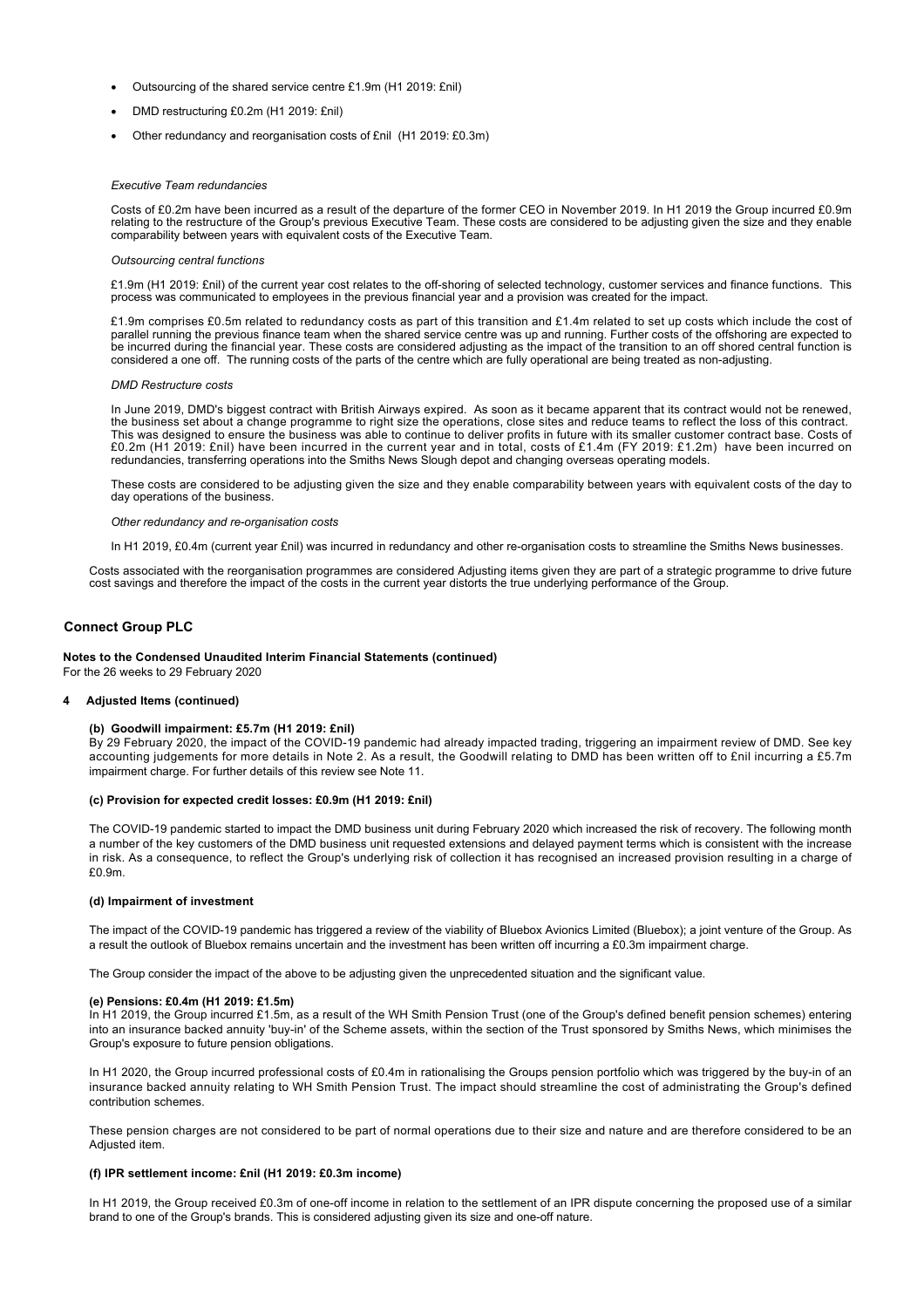- · Outsourcing of the shared service centre £1.9m (H1 2019: £nil)
- DMD restructuring £0.2m (H1 2019: £nil)
- Other redundancy and reorganisation costs of £nil (H1 2019: £0.3m)

#### *Executive Team redundancies*

Costs of £0.2m have been incurred as a result of the departure of the former CEO in November 2019. In H1 2019 the Group incurred £0.9m relating to the restructure of the Group's previous Executive Team. These costs are considered to be adjusting given the size and they enable comparability between years with equivalent costs of the Executive Team.

#### *Outsourcing central functions*

£1.9m (H1 2019: £nil) of the current year cost relates to the off-shoring of selected technology, customer services and finance functions. This process was communicated to employees in the previous financial year and a provision was created for the impact.

£1.9m comprises £0.5m related to redundancy costs as part of this transition and £1.4m related to set up costs which include the cost of parallel running the previous finance team when the shared service centre was up and running. Further costs of the offshoring are expected to be incurred during the financial year. These costs are considered adjusting as the impact of the transition to an off shored central function is considered a one off. The running costs of the parts of the centre which are fully operational are being treated as non-adjusting.

#### *DMD Restructure costs*

In June 2019, DMD's biggest contract with British Airways expired. As soon as it became apparent that its contract would not be renewed, the business set about a change programme to right size the operations, close sites and reduce teams to reflect the loss of this contract. This was designed to ensure the business was able to continue to deliver profits in future with its smaller customer contract base. Costs of £0.2m (H1 2019: £nil) have been incurred in the current year and in total, costs of £1.4m (FY 2019: £1.2m) have been incurred on redundancies, transferring operations into the Smiths News Slough depot and changing overseas operating models.

These costs are considered to be adjusting given the size and they enable comparability between years with equivalent costs of the day to day operations of the business.

#### *Other redundancy and re-organisation costs*

In H1 2019, £0.4m (current year £nil) was incurred in redundancy and other re-organisation costs to streamline the Smiths News businesses.

Costs associated with the reorganisation programmes are considered Adjusting items given they are part of a strategic programme to drive future cost savings and therefore the impact of the costs in the current year distorts the true underlying performance of the Group.

### **Connect Group PLC**

#### **Notes to the Condensed Unaudited Interim Financial Statements (continued)**

For the 26 weeks to 29 February 2020

#### **4 Adjusted Items (continued)**

## **(b) Goodwill impairment: £5.7m (H1 2019: £nil)**

By 29 February 2020, the impact of the COVID-19 pandemic had already impacted trading, triggering an impairment review of DMD. See key accounting judgements for more details in Note 2. As a result, the Goodwill relating to DMD has been written off to £nil incurring a £5.7m impairment charge. For further details of this review see Note 11.

#### **(c) Provision for expected credit losses: £0.9m (H1 2019: £nil)**

The COVID-19 pandemic started to impact the DMD business unit during February 2020 which increased the risk of recovery. The following month a number of the key customers of the DMD business unit requested extensions and delayed payment terms which is consistent with the increase in risk. As a consequence, to reflect the Group's underlying risk of collection it has recognised an increased provision resulting in a charge of £0.9m.

#### **(d) Impairment of investment**

The impact of the COVID-19 pandemic has triggered a review of the viability of Bluebox Avionics Limited (Bluebox); a joint venture of the Group. As a result the outlook of Bluebox remains uncertain and the investment has been written off incurring a £0.3m impairment charge.

The Group consider the impact of the above to be adjusting given the unprecedented situation and the significant value.

#### **(e) Pensions: £0.4m (H1 2019: £1.5m)**

In H1 2019, the Group incurred £1.5m, as a result of the WH Smith Pension Trust (one of the Group's defined benefit pension schemes) entering into an insurance backed annuity 'buy-in' of the Scheme assets, within the section of the Trust sponsored by Smiths News, which minimises the Group's exposure to future pension obligations.

In H1 2020, the Group incurred professional costs of £0.4m in rationalising the Groups pension portfolio which was triggered by the buy-in of an insurance backed annuity relating to WH Smith Pension Trust. The impact should streamline the cost of administrating the Group's defined contribution schemes.

These pension charges are not considered to be part of normal operations due to their size and nature and are therefore considered to be an Adjusted item.

#### **(f) IPR settlement income: £nil (H1 2019: £0.3m income)**

In H1 2019, the Group received £0.3m of one-off income in relation to the settlement of an IPR dispute concerning the proposed use of a similar brand to one of the Group's brands. This is considered adjusting given its size and one-off nature.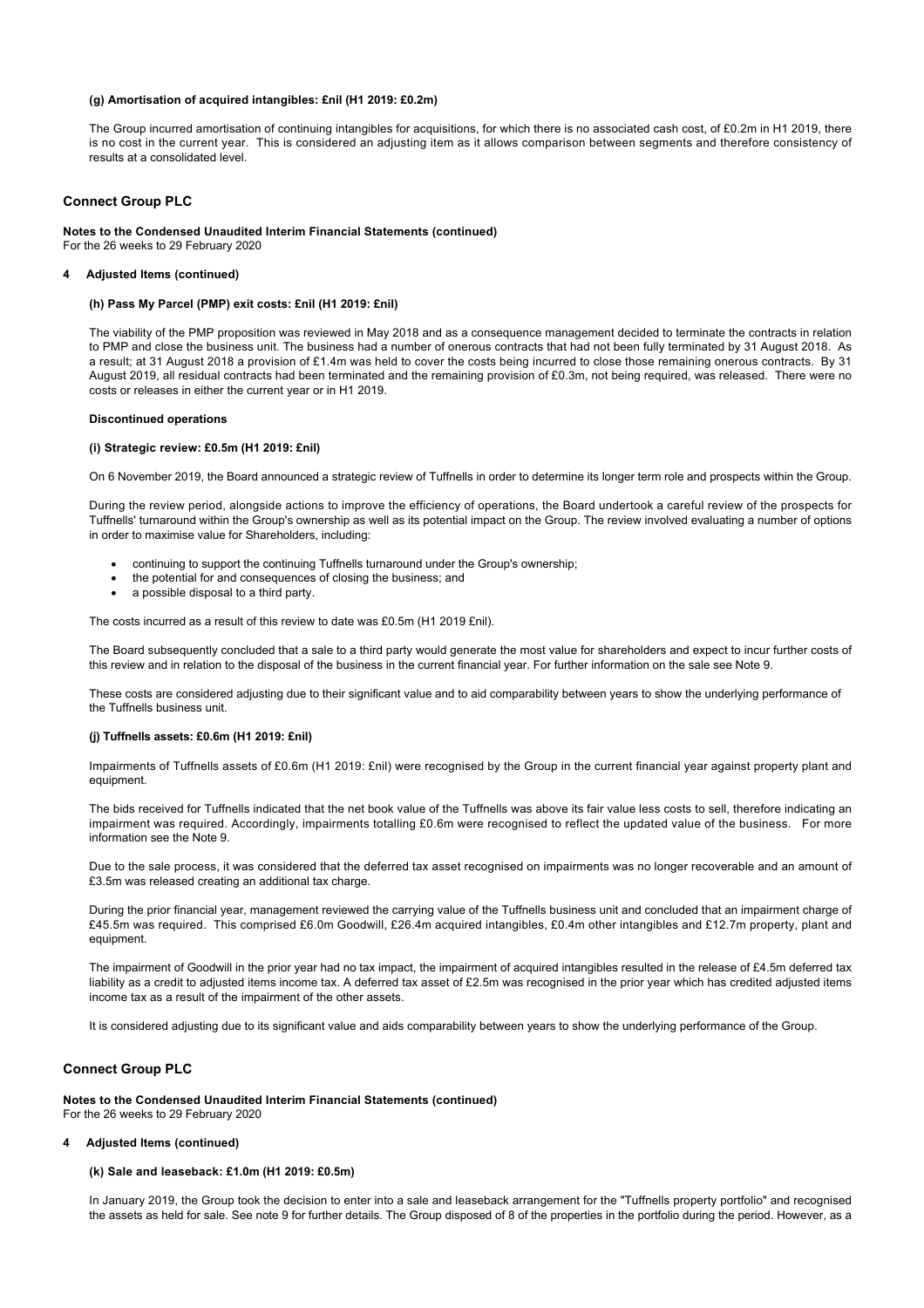#### **(g) Amortisation of acquired intangibles: £nil (H1 2019: £0.2m)**

The Group incurred amortisation of continuing intangibles for acquisitions, for which there is no associated cash cost, of £0.2m in H1 2019, there is no cost in the current year. This is considered an adjusting item as it allows comparison between segments and therefore consistency of results at a consolidated level.

#### **Connect Group PLC**

## **Notes to the Condensed Unaudited Interim Financial Statements (continued)** For the 26 weeks to 29 February 2020

#### **4 Adjusted Items (continued)**

#### **(h) Pass My Parcel (PMP) exit costs: £nil (H1 2019: £nil)**

The viability of the PMP proposition was reviewed in May 2018 and as a consequence management decided to terminate the contracts in relation to PMP and close the business unit. The business had a number of onerous contracts that had not been fully terminated by 31 August 2018. As a result; at 31 August 2018 a provision of £1.4m was held to cover the costs being incurred to close those remaining onerous contracts. By 31 August 2019, all residual contracts had been terminated and the remaining provision of £0.3m, not being required, was released. There were no costs or releases in either the current year or in H1 2019.

#### **Discontinued operations**

#### **(i) Strategic review: £0.5m (H1 2019: £nil)**

On 6 November 2019, the Board announced a strategic review of Tuffnells in order to determine its longer term role and prospects within the Group.

During the review period, alongside actions to improve the efficiency of operations, the Board undertook a careful review of the prospects for Tuffnells' turnaround within the Group's ownership as well as its potential impact on the Group. The review involved evaluating a number of options in order to maximise value for Shareholders, including:

- · continuing to support the continuing Tuffnells turnaround under the Group's ownership;
- the potential for and consequences of closing the business; and
- a possible disposal to a third party.

The costs incurred as a result of this review to date was £0.5m (H1 2019 £nil).

The Board subsequently concluded that a sale to a third party would generate the most value for shareholders and expect to incur further costs of this review and in relation to the disposal of the business in the current financial year. For further information on the sale see Note 9.

These costs are considered adjusting due to their significant value and to aid comparability between years to show the underlying performance of the Tuffnells business unit.

#### **(j) Tuffnells assets: £0.6m (H1 2019: £nil)**

Impairments of Tuffnells assets of £0.6m (H1 2019: £nil) were recognised by the Group in the current financial year against property plant and equipment.

The bids received for Tuffnells indicated that the net book value of the Tuffnells was above its fair value less costs to sell, therefore indicating an impairment was required. Accordingly, impairments totalling £0.6m were recognised to reflect the updated value of the business. For more information see the Note 9.

Due to the sale process, it was considered that the deferred tax asset recognised on impairments was no longer recoverable and an amount of £3.5m was released creating an additional tax charge.

During the prior financial year, management reviewed the carrying value of the Tuffnells business unit and concluded that an impairment charge of £45.5m was required. This comprised £6.0m Goodwill, £26.4m acquired intangibles, £0.4m other intangibles and £12.7m property, plant and equipment.

The impairment of Goodwill in the prior year had no tax impact, the impairment of acquired intangibles resulted in the release of £4.5m deferred tax liability as a credit to adjusted items income tax. A deferred tax asset of £2.5m was recognised in the prior year which has credited adjusted items income tax as a result of the impairment of the other assets.

It is considered adjusting due to its significant value and aids comparability between years to show the underlying performance of the Group.

## **Connect Group PLC**

**Notes to the Condensed Unaudited Interim Financial Statements (continued)** For the 26 weeks to 29 February 2020

### **4 Adjusted Items (continued)**

## **(k) Sale and leaseback: £1.0m (H1 2019: £0.5m)**

In January 2019, the Group took the decision to enter into a sale and leaseback arrangement for the "Tuffnells property portfolio" and recognised the assets as held for sale. See note 9 for further details. The Group disposed of 8 of the properties in the portfolio during the period. However, as a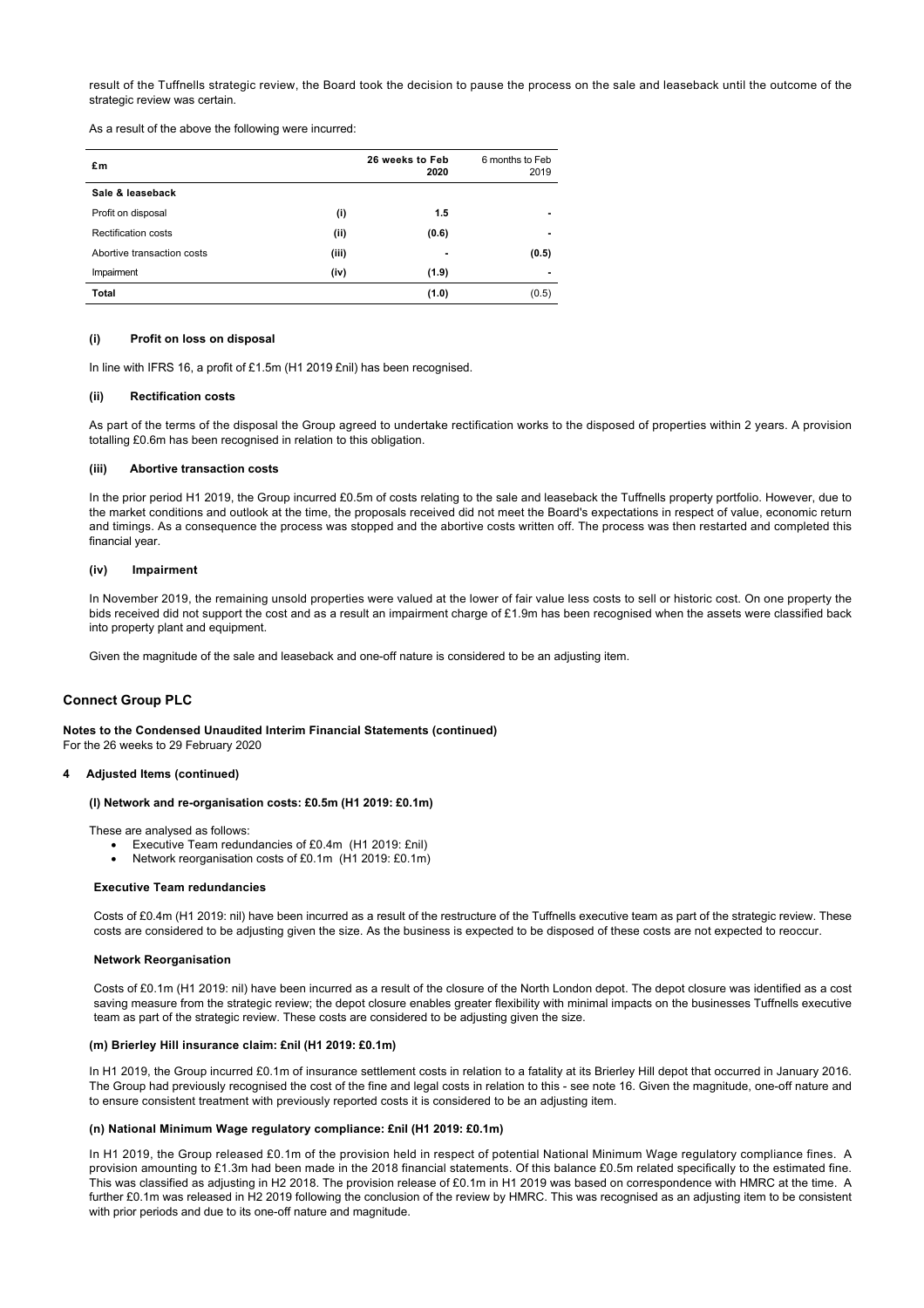result of the Tuffnells strategic review, the Board took the decision to pause the process on the sale and leaseback until the outcome of the strategic review was certain.

As a result of the above the following were incurred:

| £m                         | 26 weeks to Feb<br>2020 | 6 months to Feb<br>2019 |
|----------------------------|-------------------------|-------------------------|
| Sale & leaseback           |                         |                         |
| Profit on disposal         | (i)<br>1.5              |                         |
| <b>Rectification costs</b> | (ii)<br>(0.6)           |                         |
| Abortive transaction costs | (iii)<br>-              | (0.5)                   |
| Impairment                 | (iv)<br>(1.9)           |                         |
| Total                      | (1.0)                   | (0.5)                   |

#### **(i) Profit on loss on disposal**

In line with IFRS 16, a profit of £1.5m (H1 2019 £nil) has been recognised.

#### **(ii) Rectification costs**

As part of the terms of the disposal the Group agreed to undertake rectification works to the disposed of properties within 2 years. A provision totalling £0.6m has been recognised in relation to this obligation.

### **(iii) Abortive transaction costs**

In the prior period H1 2019, the Group incurred £0.5m of costs relating to the sale and leaseback the Tuffnells property portfolio. However, due to the market conditions and outlook at the time, the proposals received did not meet the Board's expectations in respect of value, economic return and timings. As a consequence the process was stopped and the abortive costs written off. The process was then restarted and completed this financial year.

#### **(iv) Impairment**

In November 2019, the remaining unsold properties were valued at the lower of fair value less costs to sell or historic cost. On one property the bids received did not support the cost and as a result an impairment charge of £1.9m has been recognised when the assets were classified back into property plant and equipment.

Given the magnitude of the sale and leaseback and one-off nature is considered to be an adjusting item.

## **Connect Group PLC**

**Notes to the Condensed Unaudited Interim Financial Statements (continued)** For the 26 weeks to 29 February 2020

## **4 Adjusted Items (continued)**

#### **(l) Network and re-organisation costs: £0.5m (H1 2019: £0.1m)**

These are analysed as follows:

- Executive Team redundancies of £0.4m (H1 2019: £nil)
- Network reorganisation costs of £0.1m (H1 2019: £0.1m)

#### **Executive Team redundancies**

Costs of £0.4m (H1 2019: nil) have been incurred as a result of the restructure of the Tuffnells executive team as part of the strategic review. These costs are considered to be adjusting given the size. As the business is expected to be disposed of these costs are not expected to reoccur.

## **Network Reorganisation**

Costs of £0.1m (H1 2019: nil) have been incurred as a result of the closure of the North London depot. The depot closure was identified as a cost saving measure from the strategic review; the depot closure enables greater flexibility with minimal impacts on the businesses Tuffnells executive team as part of the strategic review. These costs are considered to be adjusting given the size.

#### **(m) Brierley Hill insurance claim: £nil (H1 2019: £0.1m)**

In H1 2019, the Group incurred £0.1m of insurance settlement costs in relation to a fatality at its Brierley Hill depot that occurred in January 2016. The Group had previously recognised the cost of the fine and legal costs in relation to this - see note 16. Given the magnitude, one-off nature and to ensure consistent treatment with previously reported costs it is considered to be an adjusting item.

## **(n) National Minimum Wage regulatory compliance: £nil (H1 2019: £0.1m)**

In H1 2019, the Group released £0.1m of the provision held in respect of potential National Minimum Wage regulatory compliance fines. A provision amounting to £1.3m had been made in the 2018 financial statements. Of this balance £0.5m related specifically to the estimated fine. This was classified as adjusting in H2 2018. The provision release of £0.1m in H1 2019 was based on correspondence with HMRC at the time. A further £0.1m was released in H2 2019 following the conclusion of the review by HMRC. This was recognised as an adjusting item to be consistent with prior periods and due to its one-off nature and magnitude.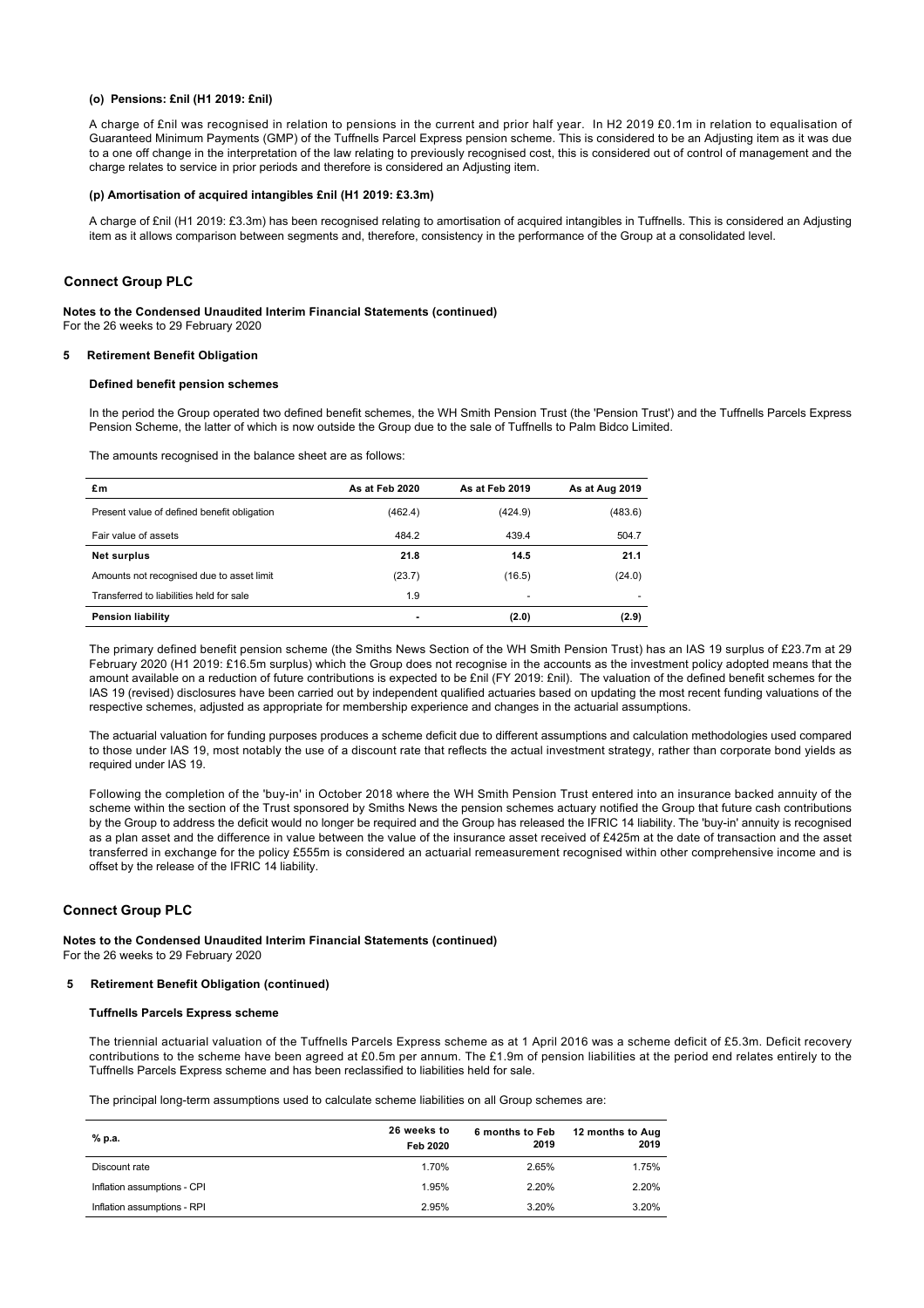#### **(o) Pensions: £nil (H1 2019: £nil)**

A charge of £nil was recognised in relation to pensions in the current and prior half year. In H2 2019 £0.1m in relation to equalisation of Guaranteed Minimum Payments (GMP) of the Tuffnells Parcel Express pension scheme. This is considered to be an Adjusting item as it was due to a one off change in the interpretation of the law relating to previously recognised cost, this is considered out of control of management and the charge relates to service in prior periods and therefore is considered an Adjusting item.

### **(p) Amortisation of acquired intangibles £nil (H1 2019: £3.3m)**

A charge of £nil (H1 2019: £3.3m) has been recognised relating to amortisation of acquired intangibles in Tuffnells. This is considered an Adjusting item as it allows comparison between segments and, therefore, consistency in the performance of the Group at a consolidated level.

## **Connect Group PLC**

# **Notes to the Condensed Unaudited Interim Financial Statements (continued)**

For the 26 weeks to 29 February 2020

## **5 Retirement Benefit Obligation**

## **Defined benefit pension schemes**

In the period the Group operated two defined benefit schemes, the WH Smith Pension Trust (the 'Pension Trust') and the Tuffnells Parcels Express Pension Scheme, the latter of which is now outside the Group due to the sale of Tuffnells to Palm Bidco Limited.

The amounts recognised in the balance sheet are as follows:

| £m                                          | As at Feb 2020 | As at Feb 2019           | As at Aug 2019 |
|---------------------------------------------|----------------|--------------------------|----------------|
| Present value of defined benefit obligation | (462.4)        | (424.9)                  | (483.6)        |
| Fair value of assets                        | 484.2          | 439.4                    | 504.7          |
| Net surplus                                 | 21.8           | 14.5                     | 21.1           |
| Amounts not recognised due to asset limit   | (23.7)         | (16.5)                   | (24.0)         |
| Transferred to liabilities held for sale    | 1.9            | $\overline{\phantom{a}}$ |                |
| <b>Pension liability</b>                    |                | (2.0)                    | (2.9)          |

The primary defined benefit pension scheme (the Smiths News Section of the WH Smith Pension Trust) has an IAS 19 surplus of £23.7m at 29 February 2020 (H1 2019: £16.5m surplus) which the Group does not recognise in the accounts as the investment policy adopted means that the amount available on a reduction of future contributions is expected to be £nil (FY 2019: £nil). The valuation of the defined benefit schemes for the IAS 19 (revised) disclosures have been carried out by independent qualified actuaries based on updating the most recent funding valuations of the respective schemes, adjusted as appropriate for membership experience and changes in the actuarial assumptions.

The actuarial valuation for funding purposes produces a scheme deficit due to different assumptions and calculation methodologies used compared to those under IAS 19, most notably the use of a discount rate that reflects the actual investment strategy, rather than corporate bond yields as required under IAS 19.

Following the completion of the 'buy-in' in October 2018 where the WH Smith Pension Trust entered into an insurance backed annuity of the scheme within the section of the Trust sponsored by Smiths News the pension schemes actuary notified the Group that future cash contributions by the Group to address the deficit would no longer be required and the Group has released the IFRIC 14 liability. The 'buy-in' annuity is recognised as a plan asset and the difference in value between the value of the insurance asset received of £425m at the date of transaction and the asset transferred in exchange for the policy £555m is considered an actuarial remeasurement recognised within other comprehensive income and is offset by the release of the IFRIC 14 liability.

## **Connect Group PLC**

**Notes to the Condensed Unaudited Interim Financial Statements (continued)** For the 26 weeks to 29 February 2020

### **5 Retirement Benefit Obligation (continued)**

#### **Tuffnells Parcels Express scheme**

The triennial actuarial valuation of the Tuffnells Parcels Express scheme as at 1 April 2016 was a scheme deficit of £5.3m. Deficit recovery contributions to the scheme have been agreed at £0.5m per annum. The £1.9m of pension liabilities at the period end relates entirely to the Tuffnells Parcels Express scheme and has been reclassified to liabilities held for sale.

The principal long-term assumptions used to calculate scheme liabilities on all Group schemes are:

| % p.a.                      | 26 weeks to<br>Feb 2020 | 6 months to Feb<br>2019 | 12 months to Aug<br>2019 |
|-----------------------------|-------------------------|-------------------------|--------------------------|
| Discount rate               | 1.70%                   | 2.65%                   | 1.75%                    |
| Inflation assumptions - CPI | 1.95%                   | 2.20%                   | 2.20%                    |
| Inflation assumptions - RPI | 2.95%                   | 3.20%                   | 3.20%                    |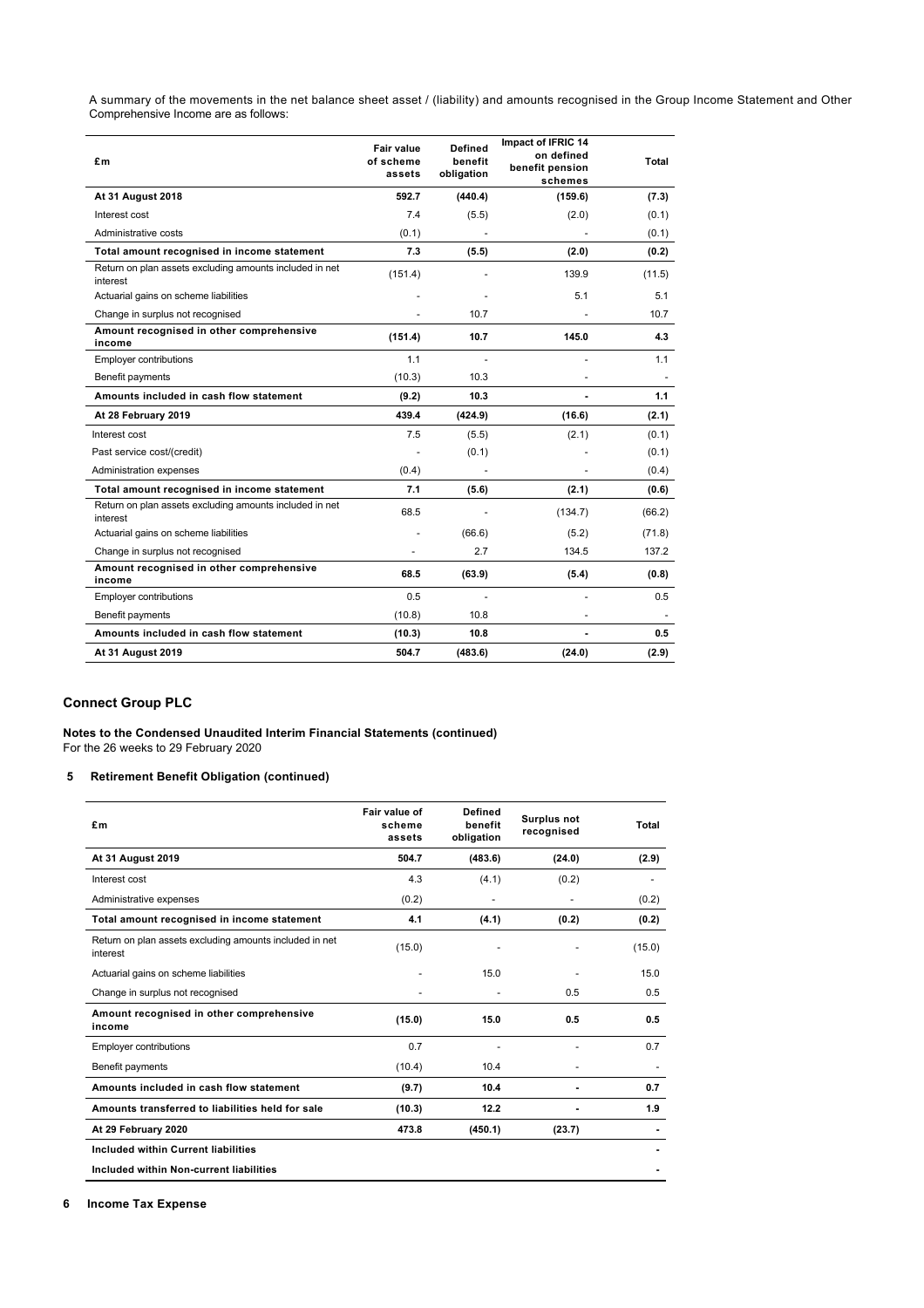A summary of the movements in the net balance sheet asset / (liability) and amounts recognised in the Group Income Statement and Other Comprehensive Income are as follows:

| £m                                                                  | Fair value<br>of scheme<br>assets | <b>Defined</b><br>benefit<br>obligation | Impact of IFRIC 14<br>on defined<br>benefit pension<br>schemes | Total         |
|---------------------------------------------------------------------|-----------------------------------|-----------------------------------------|----------------------------------------------------------------|---------------|
| <b>At 31 August 2018</b>                                            | 592.7                             | (440.4)                                 | (159.6)                                                        | (7.3)         |
| Interest cost                                                       | 7.4                               | (5.5)                                   | (2.0)                                                          | (0.1)         |
| Administrative costs                                                | (0.1)                             |                                         |                                                                | (0.1)         |
| Total amount recognised in income statement                         | 7.3                               | (5.5)                                   | (2.0)                                                          | (0.2)         |
| Return on plan assets excluding amounts included in net<br>interest | (151.4)                           |                                         | 139.9                                                          | (11.5)        |
| Actuarial gains on scheme liabilities                               |                                   |                                         | 5.1                                                            | 5.1           |
| Change in surplus not recognised                                    |                                   | 10.7                                    |                                                                | 10.7          |
| Amount recognised in other comprehensive<br>income                  | (151.4)                           | 10.7                                    | 145.0                                                          | 4.3           |
| <b>Employer contributions</b>                                       | 1.1                               |                                         |                                                                | 1.1           |
| Benefit payments                                                    | (10.3)                            | 10.3                                    |                                                                |               |
| Amounts included in cash flow statement                             | (9.2)                             | 10.3                                    |                                                                | 1.1           |
| At 28 February 2019                                                 | 439.4                             | (424.9)                                 | (16.6)                                                         | (2.1)         |
| Interest cost                                                       | 7.5                               | (5.5)                                   | (2.1)                                                          | (0.1)         |
| Past service cost/(credit)                                          |                                   | (0.1)                                   |                                                                | (0.1)         |
| Administration expenses                                             | (0.4)                             |                                         |                                                                | (0.4)         |
| Total amount recognised in income statement                         | 7.1                               | (5.6)                                   | (2.1)                                                          | (0.6)         |
| Return on plan assets excluding amounts included in net<br>interest | 68.5                              |                                         | (134.7)                                                        | (66.2)        |
| Actuarial gains on scheme liabilities                               |                                   | (66.6)                                  | (5.2)                                                          | (71.8)        |
| Change in surplus not recognised                                    |                                   | 2.7                                     | 134.5                                                          | 137.2         |
| Amount recognised in other comprehensive<br>income                  | 68.5                              | (63.9)                                  | (5.4)                                                          | (0.8)         |
| <b>Employer contributions</b>                                       | 0.5                               |                                         |                                                                | $0.5^{\circ}$ |
| Benefit payments                                                    | (10.8)                            | 10.8                                    |                                                                |               |
| Amounts included in cash flow statement                             | (10.3)                            | 10.8                                    |                                                                | 0.5           |
| <b>At 31 August 2019</b>                                            | 504.7                             | (483.6)                                 | (24.0)                                                         | (2.9)         |

## **Connect Group PLC**

**Notes to the Condensed Unaudited Interim Financial Statements (continued)** For the 26 weeks to 29 February 2020

## **5 Retirement Benefit Obligation (continued)**

| £m                                                                  | Fair value of<br>scheme<br>assets | <b>Defined</b><br>benefit<br>obligation | <b>Surplus not</b><br>recognised | Total  |
|---------------------------------------------------------------------|-----------------------------------|-----------------------------------------|----------------------------------|--------|
| <b>At 31 August 2019</b>                                            | 504.7                             | (483.6)                                 | (24.0)                           | (2.9)  |
| Interest cost                                                       | 4.3                               | (4.1)                                   | (0.2)                            |        |
| Administrative expenses                                             | (0.2)                             |                                         |                                  | (0.2)  |
| Total amount recognised in income statement                         | 4.1                               | (4.1)                                   | (0.2)                            | (0.2)  |
| Return on plan assets excluding amounts included in net<br>interest | (15.0)                            |                                         |                                  | (15.0) |
| Actuarial gains on scheme liabilities                               |                                   | 15.0                                    |                                  | 15.0   |
| Change in surplus not recognised                                    |                                   |                                         | 0.5                              | 0.5    |
| Amount recognised in other comprehensive<br>income                  | (15.0)                            | 15.0                                    | 0.5                              | 0.5    |
| <b>Employer contributions</b>                                       | 0.7                               |                                         |                                  | 0.7    |
| Benefit payments                                                    | (10.4)                            | 10.4                                    | $\qquad \qquad \blacksquare$     |        |
| Amounts included in cash flow statement                             | (9.7)                             | 10.4                                    |                                  | 0.7    |
| Amounts transferred to liabilities held for sale                    | (10.3)                            | 12.2                                    |                                  | 1.9    |
| At 29 February 2020                                                 | 473.8                             | (450.1)                                 | (23.7)                           |        |
| Included within Current liabilities                                 |                                   |                                         |                                  |        |
| Included within Non-current liabilities                             |                                   |                                         |                                  |        |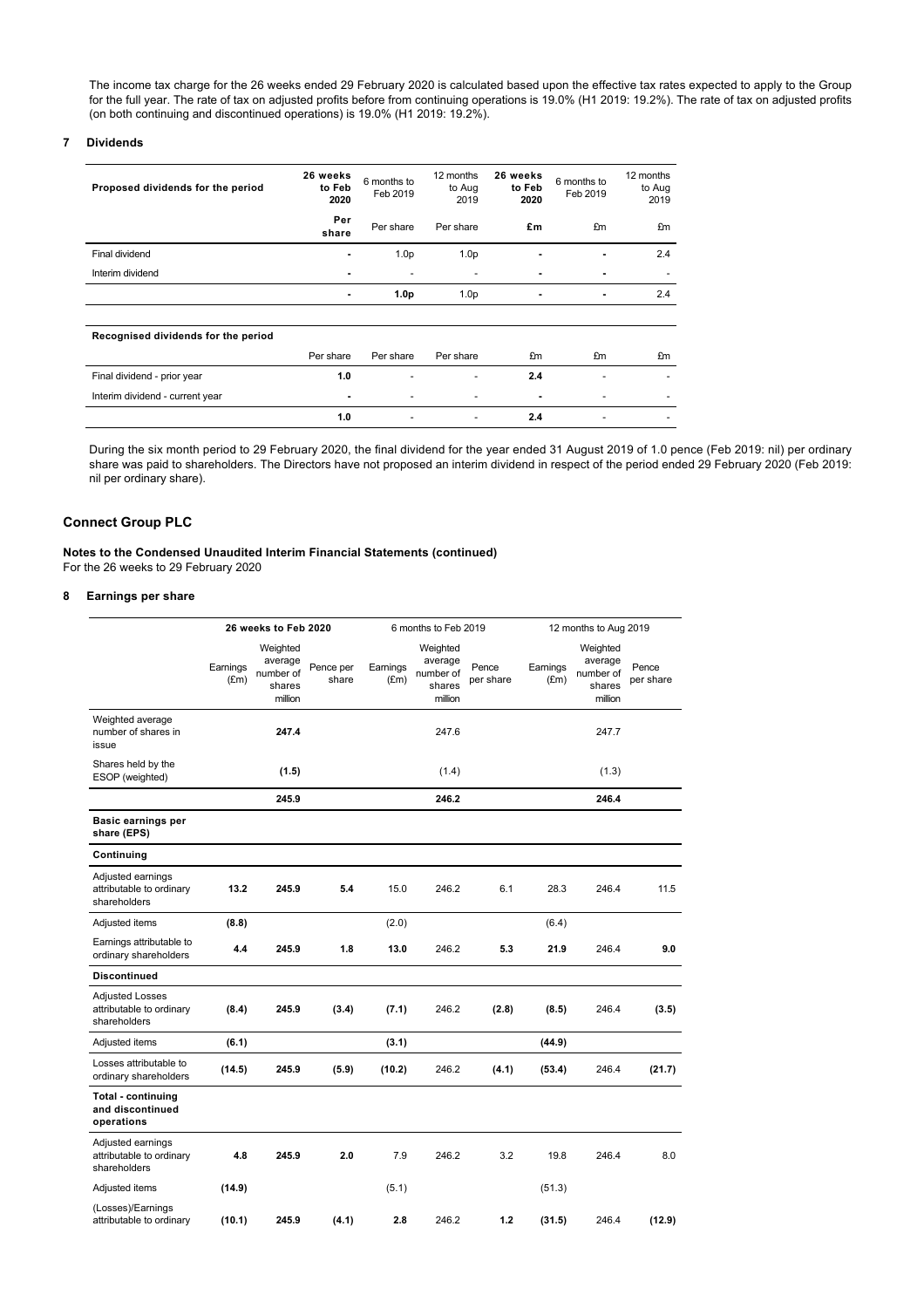The income tax charge for the 26 weeks ended 29 February 2020 is calculated based upon the effective tax rates expected to apply to the Group for the full year. The rate of tax on adjusted profits before from continuing operations is 19.0% (H1 2019: 19.2%). The rate of tax on adjusted profits (on both continuing and discontinued operations) is 19.0% (H1 2019: 19.2%).

## **7 Dividends**

| Proposed dividends for the period   | 26 weeks<br>to Feb<br>2020 | 6 months to<br>Feb 2019 | 12 months<br>to Aug<br>2019 | 26 weeks<br>to Feb<br>2020 | 6 months to<br>Feb 2019 | 12 months<br>to Aug<br>2019 |
|-------------------------------------|----------------------------|-------------------------|-----------------------------|----------------------------|-------------------------|-----------------------------|
|                                     | Per<br>share               | Per share               | Per share                   | £m                         | £m                      | £m                          |
| Final dividend                      | $\blacksquare$             | 1.0 <sub>p</sub>        | 1.0 <sub>p</sub>            | ۰                          | $\blacksquare$          | 2.4                         |
| Interim dividend                    |                            |                         |                             |                            |                         |                             |
|                                     | ۰                          | 1.0 <sub>p</sub>        | 1.0 <sub>p</sub>            | ۰                          | $\blacksquare$          | 2.4                         |
|                                     |                            |                         |                             |                            |                         |                             |
| Recognised dividends for the period |                            |                         |                             |                            |                         |                             |
|                                     | Per share                  | Per share               | Per share                   | £m                         | £m                      | £m                          |
| Final dividend - prior year         | 1.0                        |                         |                             | 2.4                        |                         |                             |
| Interim dividend - current year     |                            |                         |                             | $\blacksquare$             |                         |                             |
|                                     | 1.0                        |                         | $\overline{\phantom{a}}$    | 2.4                        | -                       | $\overline{\phantom{a}}$    |

During the six month period to 29 February 2020, the final dividend for the year ended 31 August 2019 of 1.0 pence (Feb 2019: nil) per ordinary share was paid to shareholders. The Directors have not proposed an interim dividend in respect of the period ended 29 February 2020 (Feb 2019: nil per ordinary share).

## **Connect Group PLC**

**Notes to the Condensed Unaudited Interim Financial Statements (continued)** For the 26 weeks to 29 February 2020

## **8 Earnings per share**

|                                                                    |                  | 26 weeks to Feb 2020                                  |                    |                           | 6 months to Feb 2019                                  |                    |                           | 12 months to Aug 2019                                 |                    |  |
|--------------------------------------------------------------------|------------------|-------------------------------------------------------|--------------------|---------------------------|-------------------------------------------------------|--------------------|---------------------------|-------------------------------------------------------|--------------------|--|
|                                                                    | Earnings<br>(Em) | Weighted<br>average<br>number of<br>shares<br>million | Pence per<br>share | Earnings<br>$(\text{Em})$ | Weighted<br>average<br>number of<br>shares<br>million | Pence<br>per share | Earnings<br>$(\text{Em})$ | Weighted<br>average<br>number of<br>shares<br>million | Pence<br>per share |  |
| Weighted average<br>number of shares in<br>issue                   |                  | 247.4                                                 |                    |                           | 247.6                                                 |                    |                           | 247.7                                                 |                    |  |
| Shares held by the<br>ESOP (weighted)                              |                  | (1.5)                                                 |                    |                           | (1.4)                                                 |                    |                           | (1.3)                                                 |                    |  |
|                                                                    |                  | 245.9                                                 |                    |                           | 246.2                                                 |                    |                           | 246.4                                                 |                    |  |
| Basic earnings per<br>share (EPS)                                  |                  |                                                       |                    |                           |                                                       |                    |                           |                                                       |                    |  |
| Continuing                                                         |                  |                                                       |                    |                           |                                                       |                    |                           |                                                       |                    |  |
| Adjusted earnings<br>attributable to ordinary<br>shareholders      | 13.2             | 245.9                                                 | 5.4                | 15.0                      | 246.2                                                 | 6.1                | 28.3                      | 246.4                                                 | 11.5               |  |
| Adjusted items                                                     | (8.8)            |                                                       |                    | (2.0)                     |                                                       |                    | (6.4)                     |                                                       |                    |  |
| Earnings attributable to<br>ordinary shareholders                  | 4.4              | 245.9                                                 | 1.8                | 13.0                      | 246.2                                                 | 5.3                | 21.9                      | 246.4                                                 | 9.0                |  |
| <b>Discontinued</b>                                                |                  |                                                       |                    |                           |                                                       |                    |                           |                                                       |                    |  |
| <b>Adjusted Losses</b><br>attributable to ordinary<br>shareholders | (8.4)            | 245.9                                                 | (3.4)              | (7.1)                     | 246.2                                                 | (2.8)              | (8.5)                     | 246.4                                                 | (3.5)              |  |
| Adjusted items                                                     | (6.1)            |                                                       |                    | (3.1)                     |                                                       |                    | (44.9)                    |                                                       |                    |  |
| Losses attributable to<br>ordinary shareholders                    | (14.5)           | 245.9                                                 | (5.9)              | (10.2)                    | 246.2                                                 | (4.1)              | (53.4)                    | 246.4                                                 | (21.7)             |  |
| <b>Total - continuing</b><br>and discontinued<br>operations        |                  |                                                       |                    |                           |                                                       |                    |                           |                                                       |                    |  |
| Adjusted earnings<br>attributable to ordinary<br>shareholders      | 4.8              | 245.9                                                 | 2.0                | 7.9                       | 246.2                                                 | 3.2                | 19.8                      | 246.4                                                 | 8.0                |  |
| Adjusted items                                                     | (14.9)           |                                                       |                    | (5.1)                     |                                                       |                    | (51.3)                    |                                                       |                    |  |
| (Losses)/Earnings<br>attributable to ordinary                      | (10.1)           | 245.9                                                 | (4.1)              | 2.8                       | 246.2                                                 | 1.2                | (31.5)                    | 246.4                                                 | (12.9)             |  |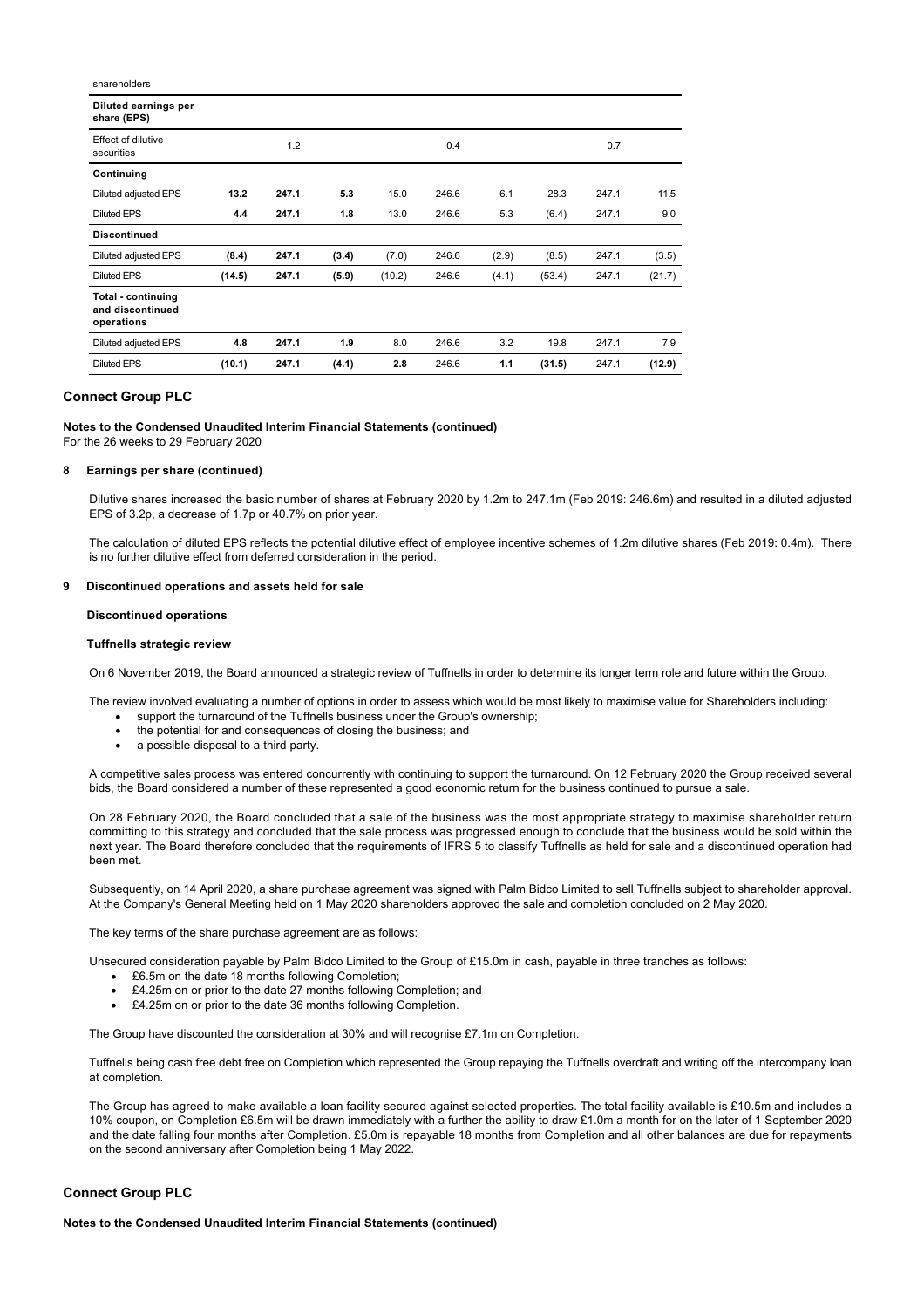| shareholders                                                |        |       |       |        |       |       |        |       |        |
|-------------------------------------------------------------|--------|-------|-------|--------|-------|-------|--------|-------|--------|
| Diluted earnings per<br>share (EPS)                         |        |       |       |        |       |       |        |       |        |
| Effect of dilutive<br>securities                            |        | 1.2   |       |        | 0.4   |       |        | 0.7   |        |
| Continuing                                                  |        |       |       |        |       |       |        |       |        |
| Diluted adjusted EPS                                        | 13.2   | 247.1 | 5.3   | 15.0   | 246.6 | 6.1   | 28.3   | 247.1 | 11.5   |
| <b>Diluted EPS</b>                                          | 4.4    | 247.1 | 1.8   | 13.0   | 246.6 | 5.3   | (6.4)  | 247.1 | 9.0    |
| <b>Discontinued</b>                                         |        |       |       |        |       |       |        |       |        |
| Diluted adjusted EPS                                        | (8.4)  | 247.1 | (3.4) | (7.0)  | 246.6 | (2.9) | (8.5)  | 247.1 | (3.5)  |
| <b>Diluted EPS</b>                                          | (14.5) | 247.1 | (5.9) | (10.2) | 246.6 | (4.1) | (53.4) | 247.1 | (21.7) |
| <b>Total - continuing</b><br>and discontinued<br>operations |        |       |       |        |       |       |        |       |        |
| Diluted adjusted EPS                                        | 4.8    | 247.1 | 1.9   | 8.0    | 246.6 | 3.2   | 19.8   | 247.1 | 7.9    |
| <b>Diluted EPS</b>                                          | (10.1) | 247.1 | (4.1) | 2.8    | 246.6 | 1.1   | (31.5) | 247.1 | (12.9) |

## **Connect Group PLC**

**Notes to the Condensed Unaudited Interim Financial Statements (continued)**

For the 26 weeks to 29 February 2020

#### **8 Earnings per share (continued)**

Dilutive shares increased the basic number of shares at February 2020 by 1.2m to 247.1m (Feb 2019: 246.6m) and resulted in a diluted adjusted EPS of 3.2p, a decrease of 1.7p or 40.7% on prior year.

The calculation of diluted EPS reflects the potential dilutive effect of employee incentive schemes of 1.2m dilutive shares (Feb 2019: 0.4m). There is no further dilutive effect from deferred consideration in the period.

#### **9 Discontinued operations and assets held for sale**

#### **Discontinued operations**

#### **Tuffnells strategic review**

On 6 November 2019, the Board announced a strategic review of Tuffnells in order to determine its longer term role and future within the Group.

- The review involved evaluating a number of options in order to assess which would be most likely to maximise value for Shareholders including:
	- support the turnaround of the Tuffnells business under the Group's ownership:
	- the potential for and consequences of closing the business; and
	- a possible disposal to a third party.

A competitive sales process was entered concurrently with continuing to support the turnaround. On 12 February 2020 the Group received several bids, the Board considered a number of these represented a good economic return for the business continued to pursue a sale.

On 28 February 2020, the Board concluded that a sale of the business was the most appropriate strategy to maximise shareholder return committing to this strategy and concluded that the sale process was progressed enough to conclude that the business would be sold within the next year. The Board therefore concluded that the requirements of IFRS 5 to classify Tuffnells as held for sale and a discontinued operation had been met.

Subsequently, on 14 April 2020, a share purchase agreement was signed with Palm Bidco Limited to sell Tuffnells subject to shareholder approval. At the Company's General Meeting held on 1 May 2020 shareholders approved the sale and completion concluded on 2 May 2020.

The key terms of the share purchase agreement are as follows:

Unsecured consideration payable by Palm Bidco Limited to the Group of £15.0m in cash, payable in three tranches as follows:

- · £6.5m on the date 18 months following Completion;
- · £4.25m on or prior to the date 27 months following Completion; and
- · £4.25m on or prior to the date 36 months following Completion.

The Group have discounted the consideration at 30% and will recognise £7.1m on Completion.

Tuffnells being cash free debt free on Completion which represented the Group repaying the Tuffnells overdraft and writing off the intercompany loan at completion.

The Group has agreed to make available a loan facility secured against selected properties. The total facility available is £10.5m and includes a 10% coupon, on Completion £6.5m will be drawn immediately with a further the ability to draw £1.0m a month for on the later of 1 September 2020 and the date falling four months after Completion. £5.0m is repayable 18 months from Completion and all other balances are due for repayments on the second anniversary after Completion being 1 May 2022.

## **Connect Group PLC**

**Notes to the Condensed Unaudited Interim Financial Statements (continued)**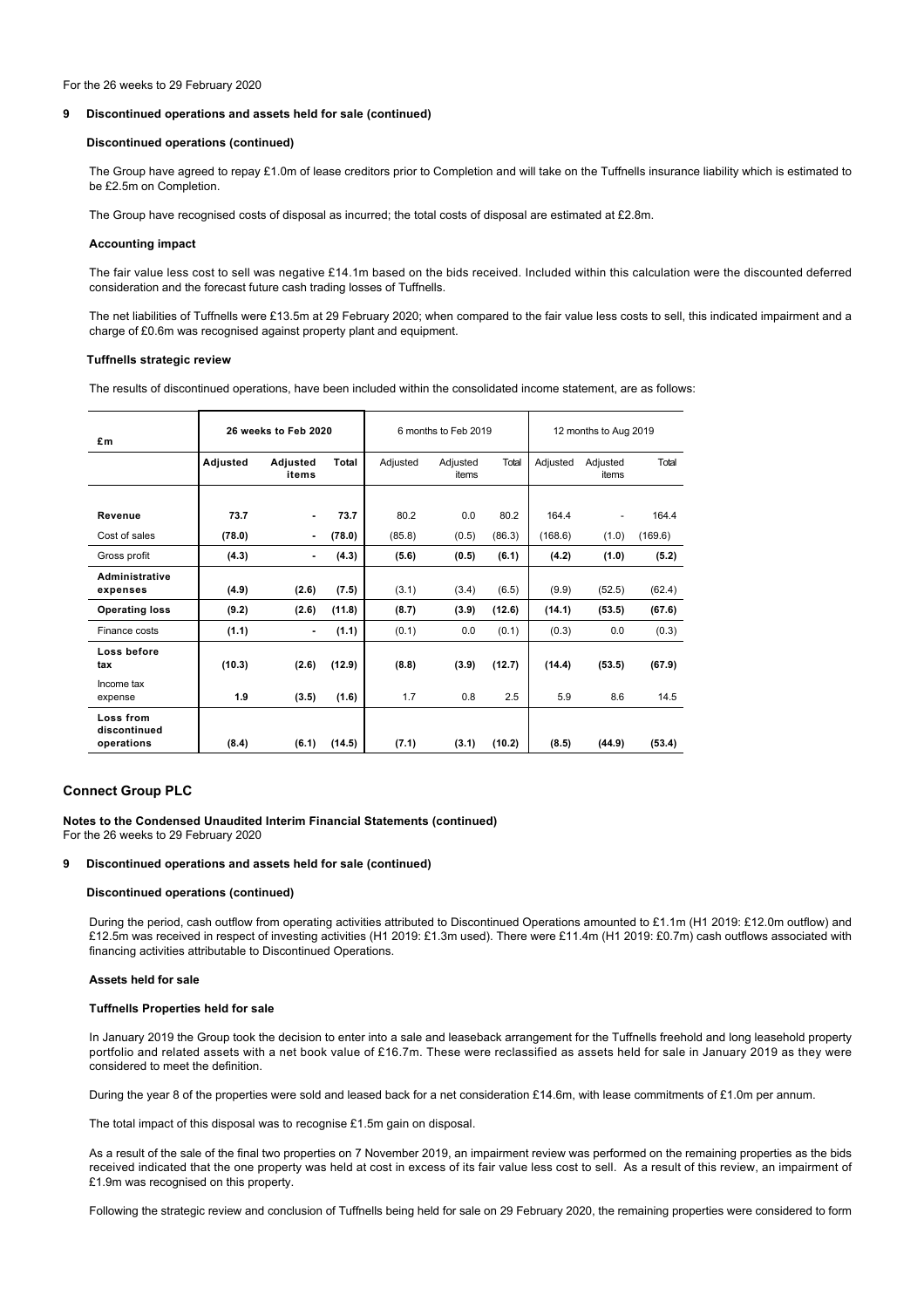#### For the 26 weeks to 29 February 2020

#### **9 Discontinued operations and assets held for sale (continued)**

## **Discontinued operations (continued)**

The Group have agreed to repay £1.0m of lease creditors prior to Completion and will take on the Tuffnells insurance liability which is estimated to be £2.5m on Completion.

The Group have recognised costs of disposal as incurred; the total costs of disposal are estimated at £2.8m.

### **Accounting impact**

The fair value less cost to sell was negative £14.1m based on the bids received. Included within this calculation were the discounted deferred consideration and the forecast future cash trading losses of Tuffnells.

The net liabilities of Tuffnells were £13.5m at 29 February 2020; when compared to the fair value less costs to sell, this indicated impairment and a charge of £0.6m was recognised against property plant and equipment.

## **Tuffnells strategic review**

The results of discontinued operations, have been included within the consolidated income statement, are as follows:

| £m                                      |          | 26 weeks to Feb 2020 |        |          | 6 months to Feb 2019 |        | 12 months to Aug 2019 |                   |         |
|-----------------------------------------|----------|----------------------|--------|----------|----------------------|--------|-----------------------|-------------------|---------|
|                                         | Adjusted | Adjusted<br>items    | Total  | Adjusted | Adjusted<br>items    | Total  | Adjusted              | Adjusted<br>items | Total   |
|                                         |          |                      |        |          |                      |        |                       |                   |         |
| Revenue                                 | 73.7     | ۰                    | 73.7   | 80.2     | 0.0                  | 80.2   | 164.4                 |                   | 164.4   |
| Cost of sales                           | (78.0)   | ۰                    | (78.0) | (85.8)   | (0.5)                | (86.3) | (168.6)               | (1.0)             | (169.6) |
| Gross profit                            | (4.3)    | ٠                    | (4.3)  | (5.6)    | (0.5)                | (6.1)  | (4.2)                 | (1.0)             | (5.2)   |
| Administrative<br>expenses              | (4.9)    | (2.6)                | (7.5)  | (3.1)    | (3.4)                | (6.5)  | (9.9)                 | (52.5)            | (62.4)  |
| <b>Operating loss</b>                   | (9.2)    | (2.6)                | (11.8) | (8.7)    | (3.9)                | (12.6) | (14.1)                | (53.5)            | (67.6)  |
| Finance costs                           | (1.1)    | ۰                    | (1.1)  | (0.1)    | 0.0                  | (0.1)  | (0.3)                 | 0.0               | (0.3)   |
| Loss before<br>tax                      | (10.3)   | (2.6)                | (12.9) | (8.8)    | (3.9)                | (12.7) | (14.4)                | (53.5)            | (67.9)  |
| Income tax<br>expense                   | 1.9      | (3.5)                | (1.6)  | 1.7      | 0.8                  | 2.5    | 5.9                   | 8.6               | 14.5    |
| Loss from<br>discontinued<br>operations | (8.4)    | (6.1)                | (14.5) | (7.1)    | (3.1)                | (10.2) | (8.5)                 | (44.9)            | (53.4)  |

## **Connect Group PLC**

# **Notes to the Condensed Unaudited Interim Financial Statements (continued)**

For the 26 weeks to 29 February 2020

## **9 Discontinued operations and assets held for sale (continued)**

#### **Discontinued operations (continued)**

During the period, cash outflow from operating activities attributed to Discontinued Operations amounted to £1.1m (H1 2019: £12.0m outflow) and £12.5m was received in respect of investing activities (H1 2019: £1.3m used). There were £11.4m (H1 2019: £0.7m) cash outflows associated with financing activities attributable to Discontinued Operations.

## **Assets held for sale**

### **Tuffnells Properties held for sale**

In January 2019 the Group took the decision to enter into a sale and leaseback arrangement for the Tuffnells freehold and long leasehold property portfolio and related assets with a net book value of £16.7m. These were reclassified as assets held for sale in January 2019 as they were considered to meet the definition.

During the year 8 of the properties were sold and leased back for a net consideration £14.6m, with lease commitments of £1.0m per annum.

The total impact of this disposal was to recognise £1.5m gain on disposal.

As a result of the sale of the final two properties on 7 November 2019, an impairment review was performed on the remaining properties as the bids received indicated that the one property was held at cost in excess of its fair value less cost to sell. As a result of this review, an impairment of £1.9m was recognised on this property.

Following the strategic review and conclusion of Tuffnells being held for sale on 29 February 2020, the remaining properties were considered to form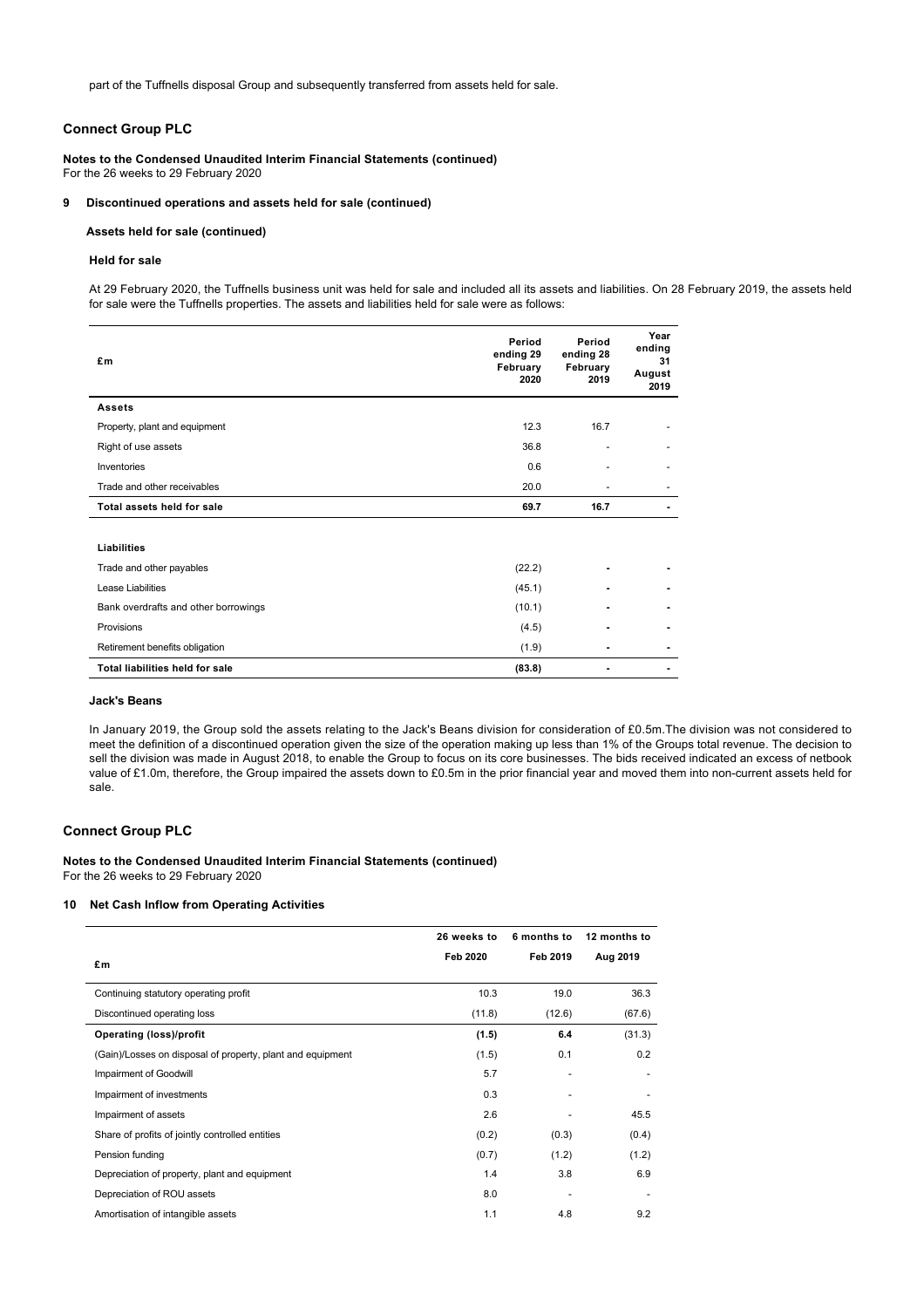part of the Tuffnells disposal Group and subsequently transferred from assets held for sale.

## **Connect Group PLC**

**Notes to the Condensed Unaudited Interim Financial Statements (continued)** For the 26 weeks to 29 February 2020

#### **9 Discontinued operations and assets held for sale (continued)**

## **Assets held for sale (continued)**

#### **Held for sale**

At 29 February 2020, the Tuffnells business unit was held for sale and included all its assets and liabilities. On 28 February 2019, the assets held for sale were the Tuffnells properties. The assets and liabilities held for sale were as follows:

| £m                                     | Period<br>ending 29<br>February<br>2020 | Period<br>ending 28<br>February<br>2019 | Year<br>ending<br>31<br>August<br>2019 |
|----------------------------------------|-----------------------------------------|-----------------------------------------|----------------------------------------|
| <b>Assets</b>                          |                                         |                                         |                                        |
| Property, plant and equipment          | 12.3                                    | 16.7                                    |                                        |
| Right of use assets                    | 36.8                                    |                                         |                                        |
| Inventories                            | 0.6                                     |                                         |                                        |
| Trade and other receivables            | 20.0                                    |                                         |                                        |
| Total assets held for sale             | 69.7                                    | 16.7                                    |                                        |
|                                        |                                         |                                         |                                        |
| Liabilities                            |                                         |                                         |                                        |
| Trade and other payables               | (22.2)                                  |                                         |                                        |
| Lease Liabilities                      | (45.1)                                  | $\blacksquare$                          |                                        |
| Bank overdrafts and other borrowings   | (10.1)                                  |                                         |                                        |
| Provisions                             | (4.5)                                   |                                         |                                        |
| Retirement benefits obligation         | (1.9)                                   | ٠                                       |                                        |
| <b>Total liabilities held for sale</b> | (83.8)                                  | ٠                                       |                                        |

#### **Jack's Beans**

In January 2019, the Group sold the assets relating to the Jack's Beans division for consideration of £0.5m.The division was not considered to meet the definition of a discontinued operation given the size of the operation making up less than 1% of the Groups total revenue. The decision to sell the division was made in August 2018, to enable the Group to focus on its core businesses. The bids received indicated an excess of netbook value of £1.0m, therefore, the Group impaired the assets down to £0.5m in the prior financial year and moved them into non-current assets held for sale.

## **Connect Group PLC**

# **Notes to the Condensed Unaudited Interim Financial Statements (continued)**

For the 26 weeks to 29 February 2020

## **10 Net Cash Inflow from Operating Activities**

|                                                            | 26 weeks to | 6 months to | 12 months to |
|------------------------------------------------------------|-------------|-------------|--------------|
| £m                                                         | Feb 2020    | Feb 2019    | Aug 2019     |
| Continuing statutory operating profit                      | 10.3        | 19.0        | 36.3         |
| Discontinued operating loss                                | (11.8)      | (12.6)      | (67.6)       |
| <b>Operating (loss)/profit</b>                             | (1.5)       | 6.4         | (31.3)       |
| (Gain)/Losses on disposal of property, plant and equipment | (1.5)       | 0.1         | 0.2          |
| Impairment of Goodwill                                     | 5.7         |             |              |
| Impairment of investments                                  | 0.3         |             |              |
| Impairment of assets                                       | 2.6         |             | 45.5         |
| Share of profits of jointly controlled entities            | (0.2)       | (0.3)       | (0.4)        |
| Pension funding                                            | (0.7)       | (1.2)       | (1.2)        |
| Depreciation of property, plant and equipment              | 1.4         | 3.8         | 6.9          |
| Depreciation of ROU assets                                 | 8.0         |             |              |
| Amortisation of intangible assets                          | 1.1         | 4.8         | 9.2          |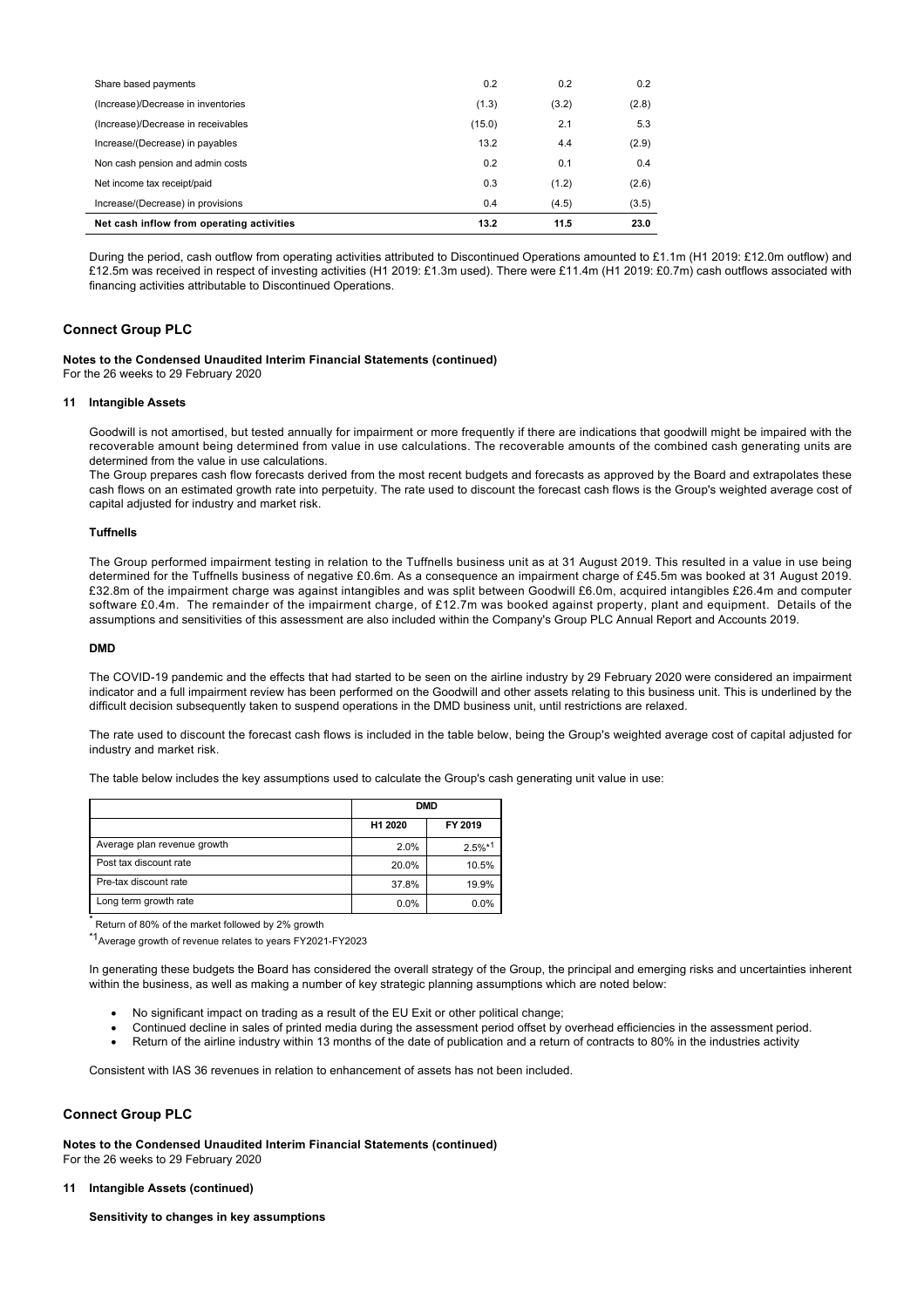| Share based payments                      | 0.2    | 0.2   | 0.2   |
|-------------------------------------------|--------|-------|-------|
| (Increase)/Decrease in inventories        | (1.3)  | (3.2) | (2.8) |
| (Increase)/Decrease in receivables        | (15.0) | 2.1   | 5.3   |
| Increase/(Decrease) in payables           | 13.2   | 4.4   | (2.9) |
| Non cash pension and admin costs          | 0.2    | 0.1   | 0.4   |
| Net income tax receipt/paid               | 0.3    | (1.2) | (2.6) |
| Increase/(Decrease) in provisions         | 0.4    | (4.5) | (3.5) |
| Net cash inflow from operating activities | 13.2   | 11.5  | 23.0  |

During the period, cash outflow from operating activities attributed to Discontinued Operations amounted to £1.1m (H1 2019: £12.0m outflow) and £12.5m was received in respect of investing activities (H1 2019: £1.3m used). There were £11.4m (H1 2019: £0.7m) cash outflows associated with financing activities attributable to Discontinued Operations.

## **Connect Group PLC**

#### **Notes to the Condensed Unaudited Interim Financial Statements (continued)**

For the 26 weeks to 29 February 2020

#### **11 Intangible Assets**

Goodwill is not amortised, but tested annually for impairment or more frequently if there are indications that goodwill might be impaired with the recoverable amount being determined from value in use calculations. The recoverable amounts of the combined cash generating units are determined from the value in use calculations.

The Group prepares cash flow forecasts derived from the most recent budgets and forecasts as approved by the Board and extrapolates these cash flows on an estimated growth rate into perpetuity. The rate used to discount the forecast cash flows is the Group's weighted average cost of capital adjusted for industry and market risk.

## **Tuffnells**

The Group performed impairment testing in relation to the Tuffnells business unit as at 31 August 2019. This resulted in a value in use being determined for the Tuffnells business of negative £0.6m. As a consequence an impairment charge of £45.5m was booked at 31 August 2019. £32.8m of the impairment charge was against intangibles and was split between Goodwill £6.0m, acquired intangibles £26.4m and computer software £0.4m. The remainder of the impairment charge, of £12.7m was booked against property, plant and equipment. Details of the assumptions and sensitivities of this assessment are also included within the Company's Group PLC Annual Report and Accounts 2019.

## **DMD**

The COVID-19 pandemic and the effects that had started to be seen on the airline industry by 29 February 2020 were considered an impairment indicator and a full impairment review has been performed on the Goodwill and other assets relating to this business unit. This is underlined by the difficult decision subsequently taken to suspend operations in the DMD business unit, until restrictions are relaxed.

The rate used to discount the forecast cash flows is included in the table below, being the Group's weighted average cost of capital adjusted for industry and market risk.

The table below includes the key assumptions used to calculate the Group's cash generating unit value in use:

|                             |         | <b>DMD</b> |
|-----------------------------|---------|------------|
|                             | H1 2020 | FY 2019    |
| Average plan revenue growth | 2.0%    | $2.5%*1$   |
| Post tax discount rate      | 20.0%   | 10.5%      |
| Pre-tax discount rate       | 37.8%   | 19.9%      |
| Long term growth rate       | 0.0%    | 0.0%       |

Return of 80% of the market followed by 2% growth

\*1Average growth of revenue relates to years FY2021-FY2023

In generating these budgets the Board has considered the overall strategy of the Group, the principal and emerging risks and uncertainties inherent within the business, as well as making a number of key strategic planning assumptions which are noted below:

- · No significant impact on trading as a result of the EU Exit or other political change;
- · Continued decline in sales of printed media during the assessment period offset by overhead efficiencies in the assessment period.
- Return of the airline industry within 13 months of the date of publication and a return of contracts to 80% in the industries activity

Consistent with IAS 36 revenues in relation to enhancement of assets has not been included.

## **Connect Group PLC**

**Notes to the Condensed Unaudited Interim Financial Statements (continued)** For the 26 weeks to 29 February 2020

#### **11 Intangible Assets (continued)**

**Sensitivity to changes in key assumptions**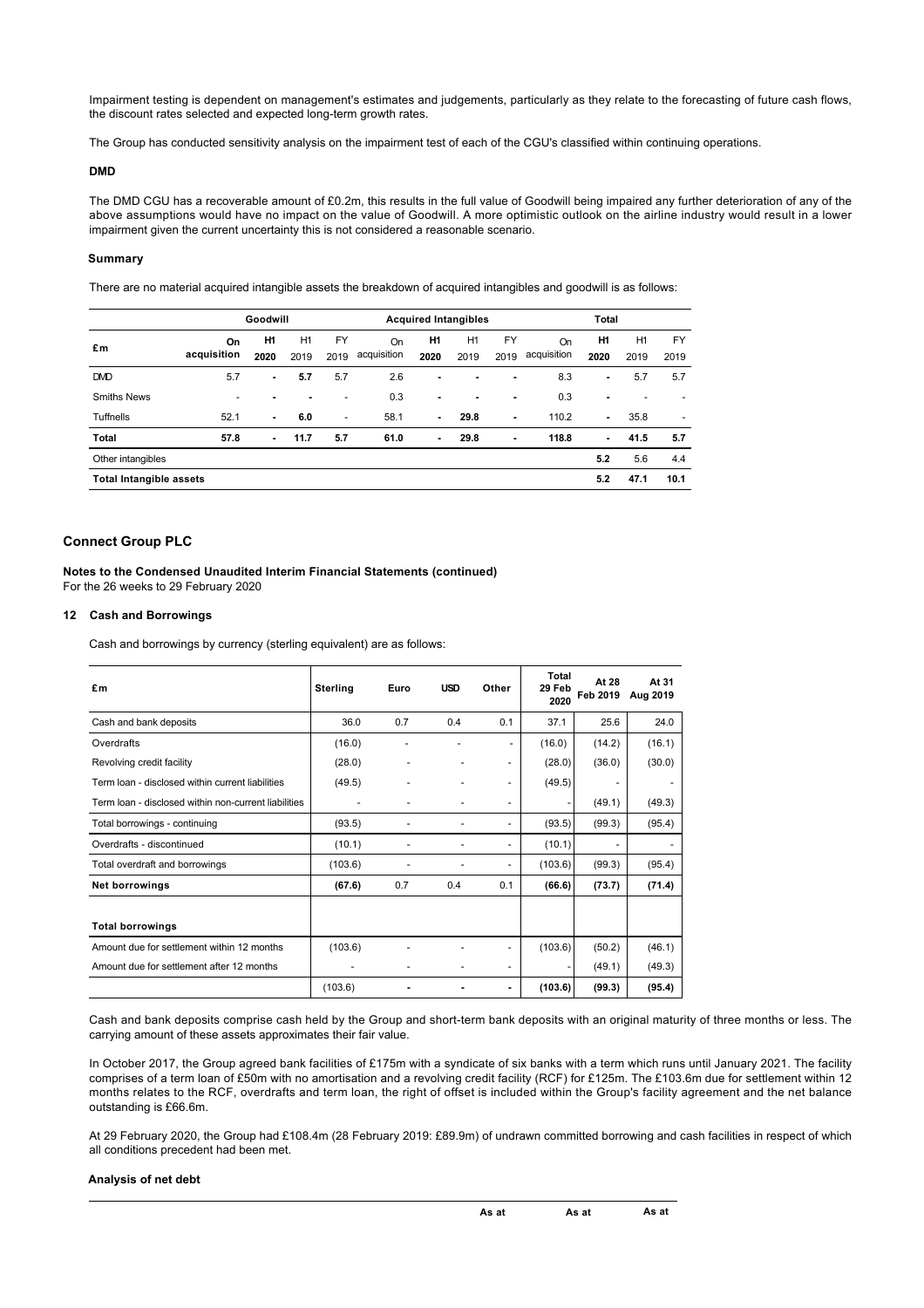Impairment testing is dependent on management's estimates and judgements, particularly as they relate to the forecasting of future cash flows, the discount rates selected and expected long-term growth rates.

The Group has conducted sensitivity analysis on the impairment test of each of the CGU's classified within continuing operations.

#### **DMD**

The DMD CGU has a recoverable amount of £0.2m, this results in the full value of Goodwill being impaired any further deterioration of any of the above assumptions would have no impact on the value of Goodwill. A more optimistic outlook on the airline industry would result in a lower impairment given the current uncertainty this is not considered a reasonable scenario.

## **Summary**

There are no material acquired intangible assets the breakdown of acquired intangibles and goodwill is as follows:

|                                |                   | Goodwill          |            |                          |                          |                   | <b>Acquired Intangibles</b> |            |                   | Total                  |            |                          |
|--------------------------------|-------------------|-------------------|------------|--------------------------|--------------------------|-------------------|-----------------------------|------------|-------------------|------------------------|------------|--------------------------|
| £m                             | On<br>acquisition | <b>H1</b><br>2020 | H1<br>2019 | FY<br>2019               | <b>On</b><br>acquisition | <b>H1</b><br>2020 | H1<br>2019                  | FY<br>2019 | On<br>acquisition | H <sub>1</sub><br>2020 | H1<br>2019 | FY<br>2019               |
| <b>DMD</b>                     | 5.7               | $\blacksquare$    | 5.7        | 5.7                      | 2.6                      | ٠                 | ۰                           |            | 8.3               | ۰                      | 5.7        | 5.7                      |
| <b>Smiths News</b>             | ٠                 |                   |            | ۰                        | 0.3                      | ٠                 |                             |            | 0.3               | ٠                      |            |                          |
| <b>Tuffnells</b>               | 52.1              |                   | 6.0        | $\overline{\phantom{a}}$ | 58.1                     | $\blacksquare$    | 29.8                        |            | 110.2             | ٠                      | 35.8       | $\overline{\phantom{a}}$ |
| Total                          | 57.8              | $\sim$            | 11.7       | 5.7                      | 61.0                     | ۰.                | 29.8                        |            | 118.8             | ٠                      | 41.5       | 5.7                      |
| Other intangibles              |                   |                   |            |                          |                          |                   |                             |            |                   | 5.2                    | 5.6        | 4.4                      |
| <b>Total Intangible assets</b> |                   |                   |            |                          |                          |                   |                             |            |                   | 5.2                    | 47.1       | 10.1                     |

## **Connect Group PLC**

## **Notes to the Condensed Unaudited Interim Financial Statements (continued)** For the 26 weeks to 29 February 2020

## **12 Cash and Borrowings**

Cash and borrowings by currency (sterling equivalent) are as follows:

| £m                                                   | <b>Sterling</b> | Euro | <b>USD</b> | Other                    | <b>Total</b><br>29 Feb<br>2020 | At 28<br>Feb 2019        | At 31<br>Aug 2019 |
|------------------------------------------------------|-----------------|------|------------|--------------------------|--------------------------------|--------------------------|-------------------|
| Cash and bank deposits                               | 36.0            | 0.7  | 0.4        | 0.1                      | 37.1                           | 25.6                     | 24.0              |
| Overdrafts                                           | (16.0)          |      |            |                          | (16.0)                         | (14.2)                   | (16.1)            |
| Revolving credit facility                            | (28.0)          |      |            | $\overline{\phantom{a}}$ | (28.0)                         | (36.0)                   | (30.0)            |
| Term Ioan - disclosed within current liabilities     | (49.5)          |      |            | $\overline{\phantom{a}}$ | (49.5)                         | $\overline{\phantom{a}}$ |                   |
| Term loan - disclosed within non-current liabilities |                 |      |            |                          |                                | (49.1)                   | (49.3)            |
| Total borrowings - continuing                        | (93.5)          |      |            |                          | (93.5)                         | (99.3)                   | (95.4)            |
| Overdrafts - discontinued                            | (10.1)          |      |            |                          | (10.1)                         | $\overline{\phantom{a}}$ |                   |
| Total overdraft and borrowings                       | (103.6)         |      |            | $\overline{\phantom{a}}$ | (103.6)                        | (99.3)                   | (95.4)            |
| <b>Net borrowings</b>                                | (67.6)          | 0.7  | 0.4        | 0.1                      | (66.6)                         | (73.7)                   | (71.4)            |
|                                                      |                 |      |            |                          |                                |                          |                   |
| <b>Total borrowings</b>                              |                 |      |            |                          |                                |                          |                   |
| Amount due for settlement within 12 months           | (103.6)         |      |            | $\overline{\phantom{a}}$ | (103.6)                        | (50.2)                   | (46.1)            |
| Amount due for settlement after 12 months            |                 |      |            |                          |                                | (49.1)                   | (49.3)            |
|                                                      | (103.6)         |      |            |                          | (103.6)                        | (99.3)                   | (95.4)            |

Cash and bank deposits comprise cash held by the Group and short-term bank deposits with an original maturity of three months or less. The carrying amount of these assets approximates their fair value.

In October 2017, the Group agreed bank facilities of £175m with a syndicate of six banks with a term which runs until January 2021. The facility comprises of a term loan of £50m with no amortisation and a revolving credit facility (RCF) for £125m. The £103.6m due for settlement within 12 months relates to the RCF, overdrafts and term loan, the right of offset is included within the Group's facility agreement and the net balance outstanding is £66.6m.

At 29 February 2020, the Group had £108.4m (28 February 2019: £89.9m) of undrawn committed borrowing and cash facilities in respect of which all conditions precedent had been met.

#### **Analysis of net debt**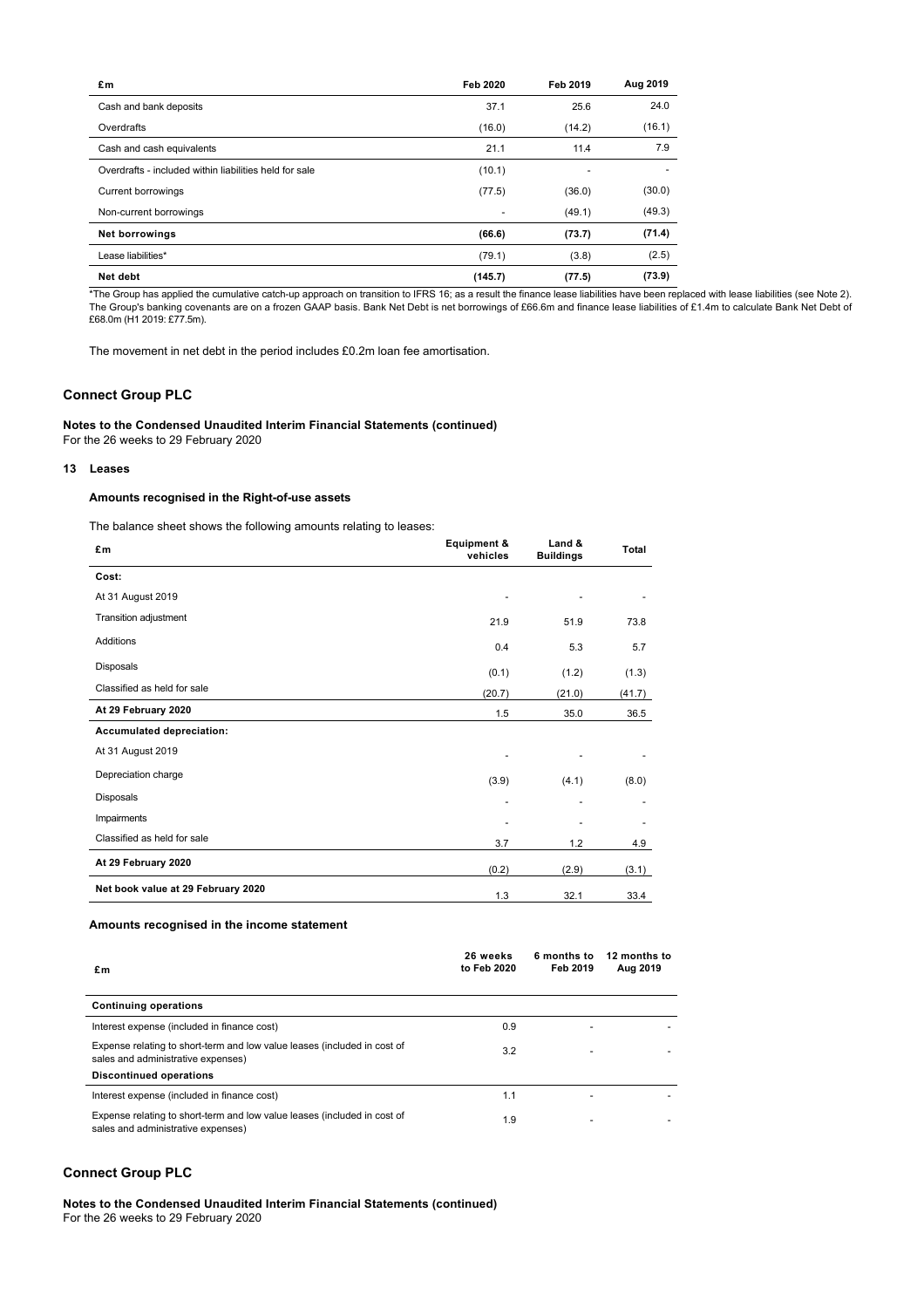| £m                                                     | Feb 2020 | Feb 2019 | Aug 2019 |
|--------------------------------------------------------|----------|----------|----------|
| Cash and bank deposits                                 | 37.1     | 25.6     | 24.0     |
| Overdrafts                                             | (16.0)   | (14.2)   | (16.1)   |
| Cash and cash equivalents                              | 21.1     | 11.4     | 7.9      |
| Overdrafts - included within liabilities held for sale | (10.1)   |          |          |
| <b>Current borrowings</b>                              | (77.5)   | (36.0)   | (30.0)   |
| Non-current borrowings                                 |          | (49.1)   | (49.3)   |
| <b>Net borrowings</b>                                  | (66.6)   | (73.7)   | (71.4)   |
| Lease liabilities*                                     | (79.1)   | (3.8)    | (2.5)    |
| Net debt                                               | (145.7)  | (77.5)   | (73.9)   |

\*The Group has applied the cumulative catch-up approach on transition to IFRS 16; as a result the finance lease liabilities have been replaced with lease liabilities (see Note 2). The Group's banking covenants are on a frozen GAAP basis. Bank Net Debt is net borrowings of £66.6m and finance lease liabilities of £1.4m to calculate Bank Net Debt of £68.0m (H1 2019: £77.5m).

The movement in net debt in the period includes £0.2m loan fee amortisation.

## **Connect Group PLC**

## **Notes to the Condensed Unaudited Interim Financial Statements (continued)**

For the 26 weeks to 29 February 2020

## **13 Leases**

## **Amounts recognised in the Right-of-use assets**

The balance sheet shows the following amounts relating to leases:

| £m                                 | Equipment &<br>vehicles  | Land &<br><b>Buildings</b>   | <b>Total</b>             |
|------------------------------------|--------------------------|------------------------------|--------------------------|
| Cost:                              |                          |                              |                          |
| At 31 August 2019                  |                          |                              |                          |
| <b>Transition adjustment</b>       | 21.9                     | 51.9                         | 73.8                     |
| Additions                          | 0.4                      | 5.3                          | 5.7                      |
| Disposals                          | (0.1)                    | (1.2)                        | (1.3)                    |
| Classified as held for sale        | (20.7)                   | (21.0)                       | (41.7)                   |
| At 29 February 2020                | 1.5                      | 35.0                         | 36.5                     |
| Accumulated depreciation:          |                          |                              |                          |
| At 31 August 2019                  | ٠                        |                              |                          |
| Depreciation charge                | (3.9)                    | (4.1)                        | (8.0)                    |
| Disposals                          | $\overline{\phantom{a}}$ | $\qquad \qquad \blacksquare$ | $\overline{\phantom{a}}$ |
| Impairments                        | ٠                        | ٠                            | $\overline{\phantom{a}}$ |
| Classified as held for sale        | 3.7                      | 1.2                          | 4.9                      |
| At 29 February 2020                | (0.2)                    | (2.9)                        | (3.1)                    |
| Net book value at 29 February 2020 | 1.3                      | 32.1                         | 33.4                     |

## **Amounts recognised in the income statement**

| £m                                                                                                             | 26 weeks<br>to Feb 2020 | 6 months to<br>Feb 2019 | 12 months to<br>Aug 2019 |
|----------------------------------------------------------------------------------------------------------------|-------------------------|-------------------------|--------------------------|
| <b>Continuing operations</b>                                                                                   |                         |                         |                          |
| Interest expense (included in finance cost)                                                                    | 0.9                     |                         |                          |
| Expense relating to short-term and low value leases (included in cost of<br>sales and administrative expenses) | 3.2                     |                         |                          |
| <b>Discontinued operations</b>                                                                                 |                         |                         |                          |
| Interest expense (included in finance cost)                                                                    | 1.1                     |                         |                          |
| Expense relating to short-term and low value leases (included in cost of<br>sales and administrative expenses) | 1.9                     |                         |                          |

## **Connect Group PLC**

**Notes to the Condensed Unaudited Interim Financial Statements (continued)** For the 26 weeks to 29 February 2020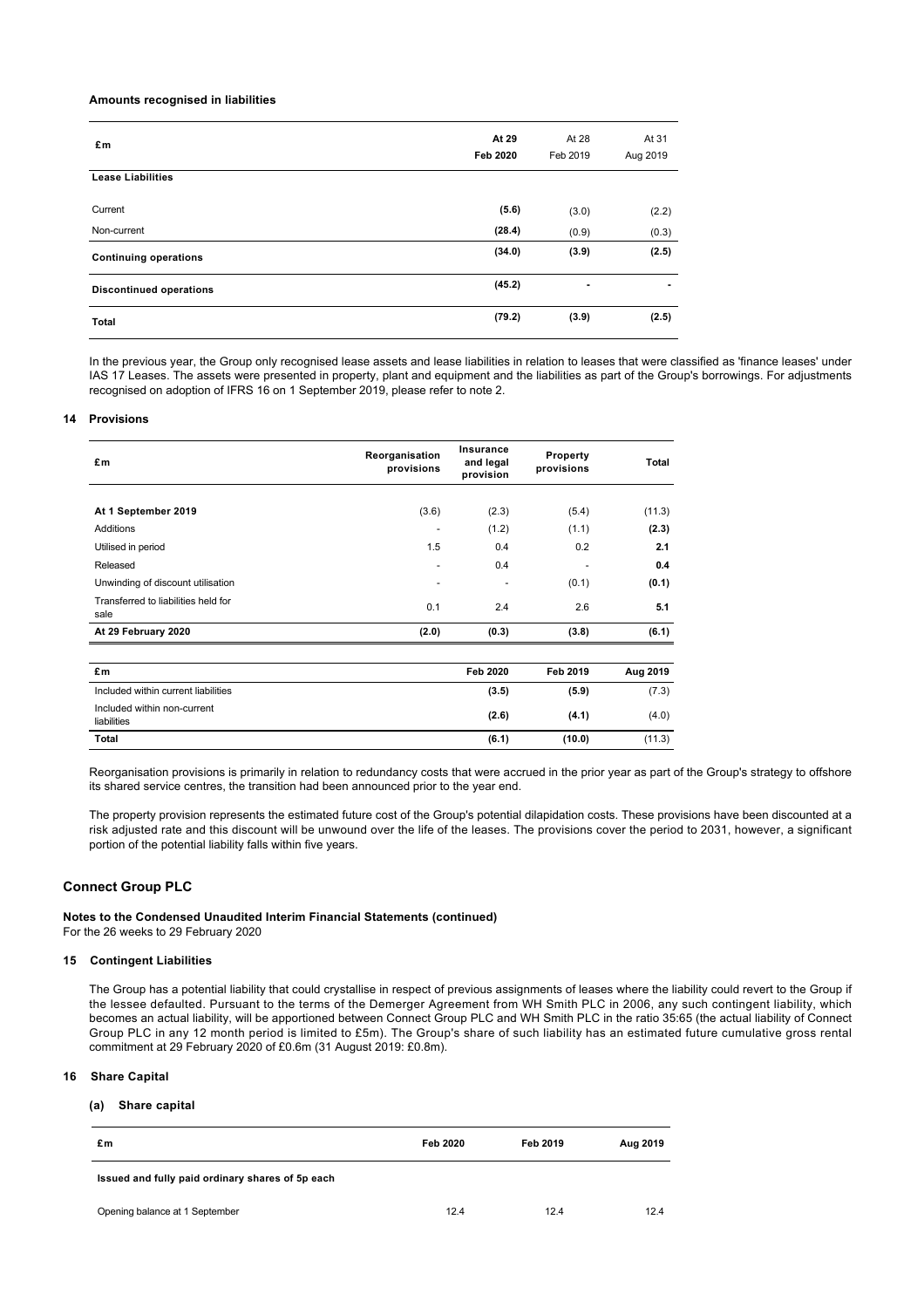#### **Amounts recognised in liabilities**

| £m                             | At 29    | At 28    | At 31          |
|--------------------------------|----------|----------|----------------|
|                                | Feb 2020 | Feb 2019 | Aug 2019       |
| <b>Lease Liabilities</b>       |          |          |                |
| Current                        | (5.6)    | (3.0)    | (2.2)          |
| Non-current                    | (28.4)   | (0.9)    | (0.3)          |
| <b>Continuing operations</b>   | (34.0)   | (3.9)    | (2.5)          |
| <b>Discontinued operations</b> | (45.2)   | ۰        | $\blacksquare$ |
| <b>Total</b>                   | (79.2)   | (3.9)    | (2.5)          |

In the previous year, the Group only recognised lease assets and lease liabilities in relation to leases that were classified as 'finance leases' under IAS 17 Leases. The assets were presented in property, plant and equipment and the liabilities as part of the Group's borrowings. For adjustments recognised on adoption of IFRS 16 on 1 September 2019, please refer to note 2.

## **14 Provisions**

| £m                                          | Reorganisation<br>provisions | Insurance<br>and legal<br>provision | Property<br>provisions | Total    |
|---------------------------------------------|------------------------------|-------------------------------------|------------------------|----------|
|                                             |                              |                                     |                        |          |
| At 1 September 2019                         | (3.6)                        | (2.3)                               | (5.4)                  | (11.3)   |
| <b>Additions</b>                            |                              | (1.2)                               | (1.1)                  | (2.3)    |
| Utilised in period                          | 1.5                          | 0.4                                 | 0.2                    | 2.1      |
| Released                                    | ٠                            | 0.4                                 |                        | 0.4      |
| Unwinding of discount utilisation           | $\overline{\phantom{m}}$     | $\overline{\phantom{a}}$            | (0.1)                  | (0.1)    |
| Transferred to liabilities held for<br>sale | 0.1                          | 2.4                                 | 2.6                    | 5.1      |
| At 29 February 2020                         | (2.0)                        | (0.3)                               | (3.8)                  | (6.1)    |
| £m                                          |                              | <b>Feb 2020</b>                     | Feb 2019               | Aug 2019 |
| Included within current liabilities         |                              | (3.5)                               | (5.9)                  | (7.3)    |
| Included within non-current<br>liabilities  |                              | (2.6)                               | (4.1)                  | (4.0)    |
| Total                                       |                              | (6.1)                               | (10.0)                 | (11.3)   |

Reorganisation provisions is primarily in relation to redundancy costs that were accrued in the prior year as part of the Group's strategy to offshore its shared service centres, the transition had been announced prior to the year end.

The property provision represents the estimated future cost of the Group's potential dilapidation costs. These provisions have been discounted at a risk adjusted rate and this discount will be unwound over the life of the leases. The provisions cover the period to 2031, however, a significant portion of the potential liability falls within five years.

## **Connect Group PLC**

**Notes to the Condensed Unaudited Interim Financial Statements (continued)** For the 26 weeks to 29 February 2020

## **15 Contingent Liabilities**

The Group has a potential liability that could crystallise in respect of previous assignments of leases where the liability could revert to the Group if the lessee defaulted. Pursuant to the terms of the Demerger Agreement from WH Smith PLC in 2006, any such contingent liability, which becomes an actual liability, will be apportioned between Connect Group PLC and WH Smith PLC in the ratio 35:65 (the actual liability of Connect Group PLC in any 12 month period is limited to £5m). The Group's share of such liability has an estimated future cumulative gross rental commitment at 29 February 2020 of £0.6m (31 August 2019: £0.8m).

## **16 Share Capital**

#### **(a) Share capital**

| £m                                               | Feb 2020 | Feb 2019 | Aug 2019 |
|--------------------------------------------------|----------|----------|----------|
| Issued and fully paid ordinary shares of 5p each |          |          |          |
| Opening balance at 1 September                   | 12.4     | 12.4     | 12.4     |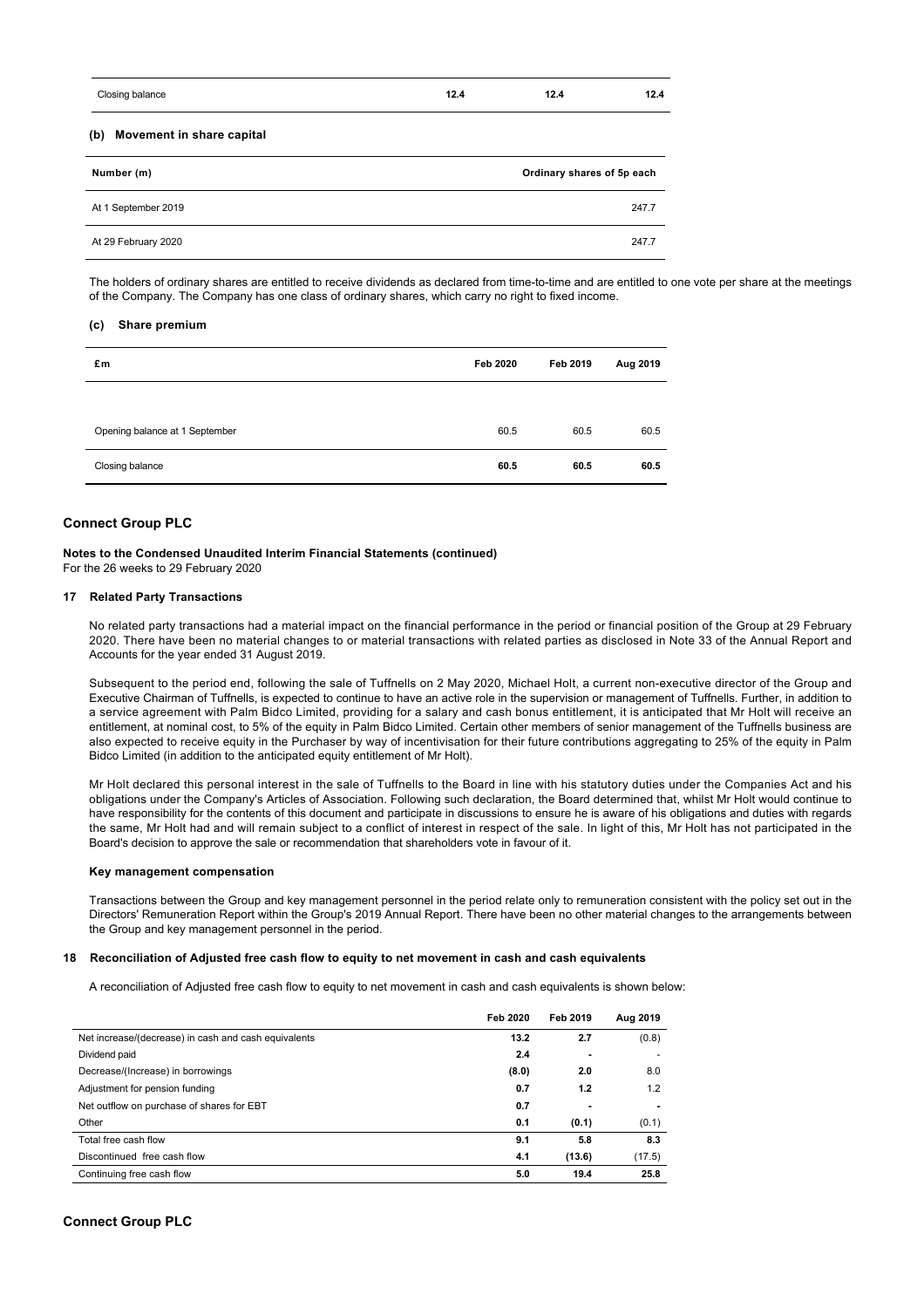| Closing balance                  | 12.4                       | 12.4 | 12.4  |  |
|----------------------------------|----------------------------|------|-------|--|
| (b)<br>Movement in share capital |                            |      |       |  |
| Number (m)                       | Ordinary shares of 5p each |      |       |  |
| At 1 September 2019              |                            |      | 247.7 |  |
| At 29 February 2020              |                            |      | 247.7 |  |

The holders of ordinary shares are entitled to receive dividends as declared from time-to-time and are entitled to one vote per share at the meetings of the Company. The Company has one class of ordinary shares, which carry no right to fixed income.

#### **(c) Share premium**

| £m                             | Feb 2020 | Feb 2019 | Aug 2019 |
|--------------------------------|----------|----------|----------|
|                                |          |          |          |
| Opening balance at 1 September | 60.5     | 60.5     | 60.5     |
| Closing balance                | 60.5     | 60.5     | 60.5     |

## **Connect Group PLC**

**Notes to the Condensed Unaudited Interim Financial Statements (continued)** For the 26 weeks to 29 February 2020

## **17 Related Party Transactions**

No related party transactions had a material impact on the financial performance in the period or financial position of the Group at 29 February 2020. There have been no material changes to or material transactions with related parties as disclosed in Note 33 of the Annual Report and Accounts for the year ended 31 August 2019.

Subsequent to the period end, following the sale of Tuffnells on 2 May 2020, Michael Holt, a current non-executive director of the Group and Executive Chairman of Tuffnells, is expected to continue to have an active role in the supervision or management of Tuffnells. Further, in addition to a service agreement with Palm Bidco Limited, providing for a salary and cash bonus entitlement, it is anticipated that Mr Holt will receive an entitlement, at nominal cost, to 5% of the equity in Palm Bidco Limited. Certain other members of senior management of the Tuffnells business are also expected to receive equity in the Purchaser by way of incentivisation for their future contributions aggregating to 25% of the equity in Palm Bidco Limited (in addition to the anticipated equity entitlement of Mr Holt).

Mr Holt declared this personal interest in the sale of Tuffnells to the Board in line with his statutory duties under the Companies Act and his obligations under the Company's Articles of Association. Following such declaration, the Board determined that, whilst Mr Holt would continue to have responsibility for the contents of this document and participate in discussions to ensure he is aware of his obligations and duties with regards the same, Mr Holt had and will remain subject to a conflict of interest in respect of the sale. In light of this, Mr Holt has not participated in the Board's decision to approve the sale or recommendation that shareholders vote in favour of it.

#### **Key management compensation**

Transactions between the Group and key management personnel in the period relate only to remuneration consistent with the policy set out in the Directors' Remuneration Report within the Group's 2019 Annual Report. There have been no other material changes to the arrangements between the Group and key management personnel in the period.

### **18 Reconciliation of Adjusted free cash flow to equity to net movement in cash and cash equivalents**

A reconciliation of Adjusted free cash flow to equity to net movement in cash and cash equivalents is shown below:

|                                                      | Feb 2020 | Feb 2019 | Aug 2019 |
|------------------------------------------------------|----------|----------|----------|
| Net increase/(decrease) in cash and cash equivalents | 13.2     | 2.7      | (0.8)    |
| Dividend paid                                        | 2.4      | ٠        |          |
| Decrease/(Increase) in borrowings                    | (8.0)    | 2.0      | 8.0      |
| Adjustment for pension funding                       | 0.7      | 1.2      | 1.2      |
| Net outflow on purchase of shares for EBT            | 0.7      | ٠        |          |
| Other                                                | 0.1      | (0.1)    | (0.1)    |
| Total free cash flow                                 | 9.1      | 5.8      | 8.3      |
| Discontinued free cash flow                          | 4.1      | (13.6)   | (17.5)   |
| Continuing free cash flow                            | 5.0      | 19.4     | 25.8     |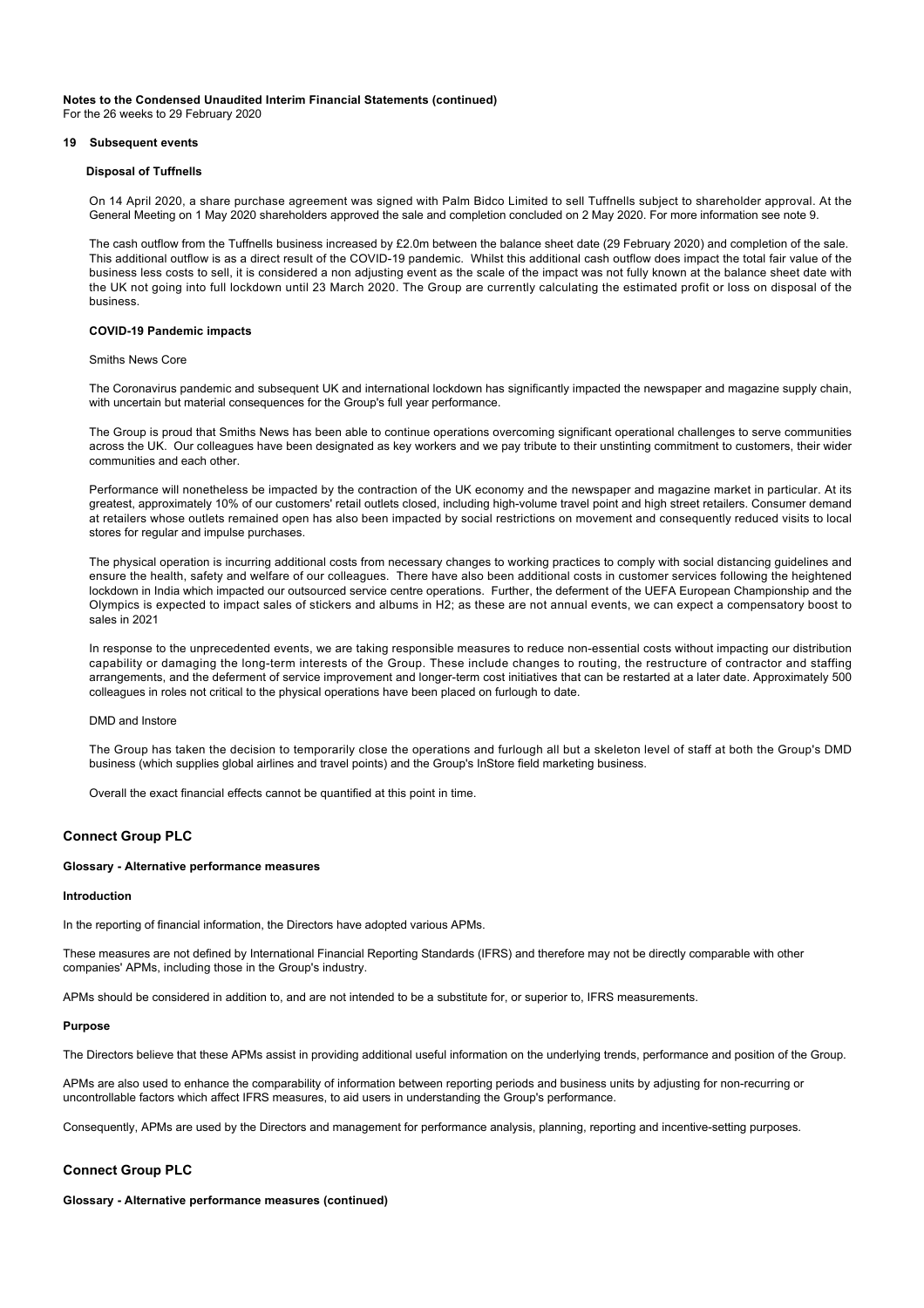**Notes to the Condensed Unaudited Interim Financial Statements (continued)**

For the 26 weeks to 29 February 2020

## **19 Subsequent events**

## **Disposal of Tuffnells**

On 14 April 2020, a share purchase agreement was signed with Palm Bidco Limited to sell Tuffnells subject to shareholder approval. At the General Meeting on 1 May 2020 shareholders approved the sale and completion concluded on 2 May 2020. For more information see note 9.

The cash outflow from the Tuffnells business increased by £2.0m between the balance sheet date (29 February 2020) and completion of the sale. This additional outflow is as a direct result of the COVID-19 pandemic. Whilst this additional cash outflow does impact the total fair value of the business less costs to sell, it is considered a non adjusting event as the scale of the impact was not fully known at the balance sheet date with the UK not going into full lockdown until 23 March 2020. The Group are currently calculating the estimated profit or loss on disposal of the business.

## **COVID-19 Pandemic impacts**

#### Smiths News Core

The Coronavirus pandemic and subsequent UK and international lockdown has significantly impacted the newspaper and magazine supply chain, with uncertain but material consequences for the Group's full year performance.

The Group is proud that Smiths News has been able to continue operations overcoming significant operational challenges to serve communities across the UK. Our colleagues have been designated as key workers and we pay tribute to their unstinting commitment to customers, their wider communities and each other.

Performance will nonetheless be impacted by the contraction of the UK economy and the newspaper and magazine market in particular. At its greatest, approximately 10% of our customers' retail outlets closed, including high-volume travel point and high street retailers. Consumer demand at retailers whose outlets remained open has also been impacted by social restrictions on movement and consequently reduced visits to local stores for regular and impulse purchases.

The physical operation is incurring additional costs from necessary changes to working practices to comply with social distancing guidelines and ensure the health, safety and welfare of our colleagues. There have also been additional costs in customer services following the heightened lockdown in India which impacted our outsourced service centre operations. Further, the deferment of the UEFA European Championship and the Olympics is expected to impact sales of stickers and albums in H2; as these are not annual events, we can expect a compensatory boost to sales in 2021

In response to the unprecedented events, we are taking responsible measures to reduce non-essential costs without impacting our distribution capability or damaging the long-term interests of the Group. These include changes to routing, the restructure of contractor and staffing arrangements, and the deferment of service improvement and longer-term cost initiatives that can be restarted at a later date. Approximately 500 colleagues in roles not critical to the physical operations have been placed on furlough to date.

## DMD and Instore

The Group has taken the decision to temporarily close the operations and furlough all but a skeleton level of staff at both the Group's DMD business (which supplies global airlines and travel points) and the Group's InStore field marketing business.

Overall the exact financial effects cannot be quantified at this point in time.

## **Connect Group PLC**

## **Glossary - Alternative performance measures**

#### **Introduction**

In the reporting of financial information, the Directors have adopted various APMs.

These measures are not defined by International Financial Reporting Standards (IFRS) and therefore may not be directly comparable with other companies' APMs, including those in the Group's industry.

APMs should be considered in addition to, and are not intended to be a substitute for, or superior to, IFRS measurements.

#### **Purpose**

The Directors believe that these APMs assist in providing additional useful information on the underlying trends, performance and position of the Group.

APMs are also used to enhance the comparability of information between reporting periods and business units by adjusting for non-recurring or uncontrollable factors which affect IFRS measures, to aid users in understanding the Group's performance.

Consequently, APMs are used by the Directors and management for performance analysis, planning, reporting and incentive-setting purposes.

#### **Connect Group PLC**

**Glossary - Alternative performance measures (continued)**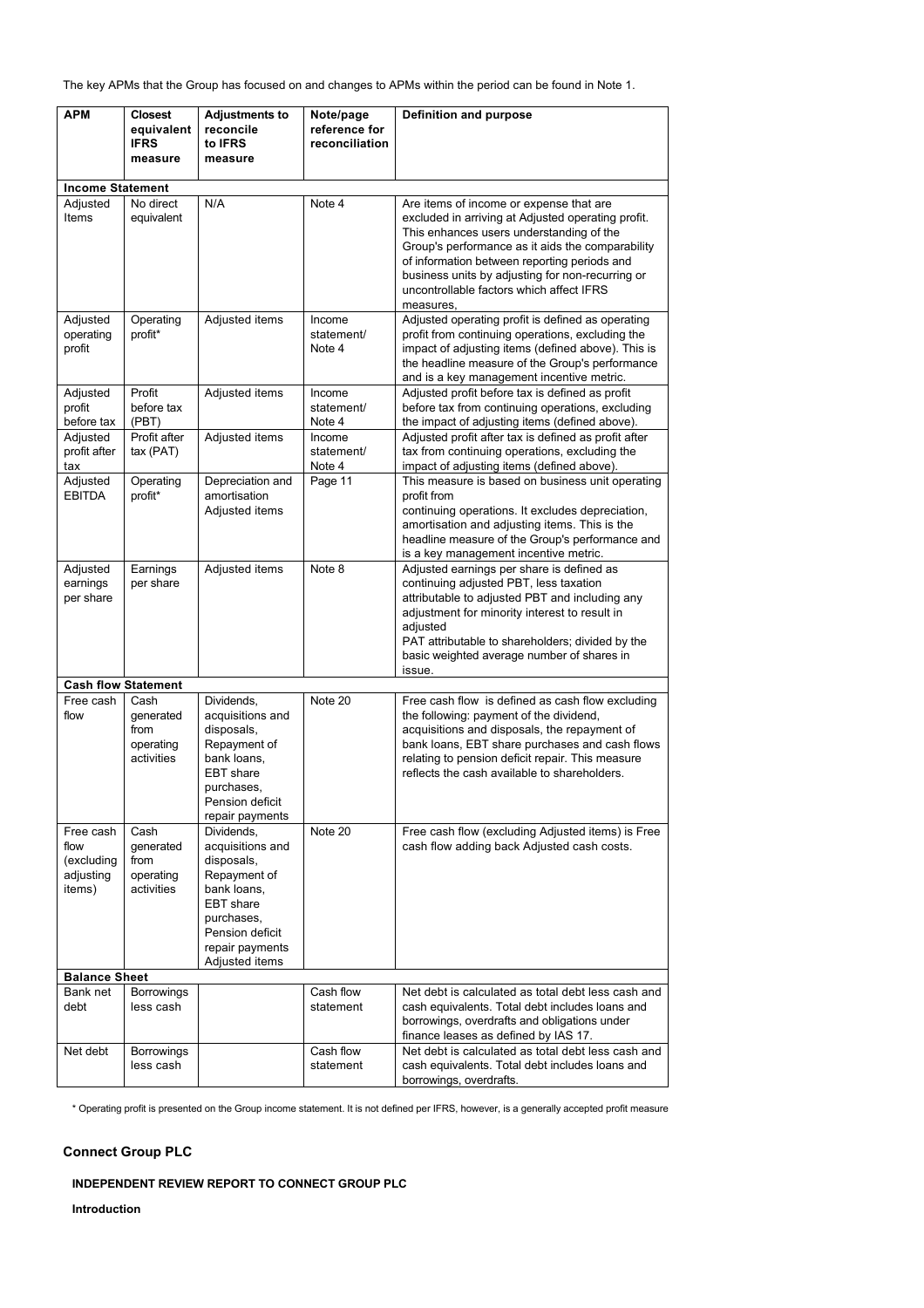The key APMs that the Group has focused on and changes to APMs within the period can be found in Note 1.

| <b>APM</b>                                             | <b>Closest</b><br>equivalent<br><b>IFRS</b><br>measure | <b>Adjustments to</b><br>reconcile<br>to <b>IFRS</b><br>measure                                                                                                | Note/page<br>reference for<br>reconciliation | <b>Definition and purpose</b>                                                                                                                                                                                                                                                                                                                              |
|--------------------------------------------------------|--------------------------------------------------------|----------------------------------------------------------------------------------------------------------------------------------------------------------------|----------------------------------------------|------------------------------------------------------------------------------------------------------------------------------------------------------------------------------------------------------------------------------------------------------------------------------------------------------------------------------------------------------------|
|                                                        |                                                        |                                                                                                                                                                |                                              |                                                                                                                                                                                                                                                                                                                                                            |
| <b>Income Statement</b><br>Adjusted<br>Items           | No direct<br>equivalent                                | N/A                                                                                                                                                            | Note 4                                       | Are items of income or expense that are<br>excluded in arriving at Adjusted operating profit.<br>This enhances users understanding of the<br>Group's performance as it aids the comparability<br>of information between reporting periods and<br>business units by adjusting for non-recurring or<br>uncontrollable factors which affect IFRS<br>measures, |
| Adjusted<br>operating<br>profit                        | Operating<br>profit*                                   | Adjusted items                                                                                                                                                 | Income<br>statement/<br>Note 4               | Adjusted operating profit is defined as operating<br>profit from continuing operations, excluding the<br>impact of adjusting items (defined above). This is<br>the headline measure of the Group's performance<br>and is a key management incentive metric.                                                                                                |
| Adjusted<br>profit<br>before tax<br>Adjusted           | Profit<br>before tax<br>(PBT)<br>Profit after          | Adjusted items<br>Adjusted items                                                                                                                               | Income<br>statement/<br>Note 4<br>Income     | Adjusted profit before tax is defined as profit<br>before tax from continuing operations, excluding<br>the impact of adjusting items (defined above).<br>Adjusted profit after tax is defined as profit after                                                                                                                                              |
| profit after<br>tax                                    | tax (PAT)                                              |                                                                                                                                                                | statement/<br>Note 4                         | tax from continuing operations, excluding the<br>impact of adjusting items (defined above).                                                                                                                                                                                                                                                                |
| Adjusted<br><b>EBITDA</b>                              | Operating<br>profit*                                   | Depreciation and<br>amortisation<br>Adjusted items                                                                                                             | Page 11                                      | This measure is based on business unit operating<br>profit from<br>continuing operations. It excludes depreciation,<br>amortisation and adjusting items. This is the<br>headline measure of the Group's performance and<br>is a key management incentive metric.                                                                                           |
| Adjusted<br>earnings<br>per share                      | Earnings<br>per share                                  | Adjusted items                                                                                                                                                 | Note 8                                       | Adjusted earnings per share is defined as<br>continuing adjusted PBT, less taxation<br>attributable to adjusted PBT and including any<br>adjustment for minority interest to result in<br>adjusted<br>PAT attributable to shareholders; divided by the<br>basic weighted average number of shares in<br>issue.                                             |
|                                                        | <b>Cash flow Statement</b>                             |                                                                                                                                                                |                                              |                                                                                                                                                                                                                                                                                                                                                            |
| Free cash<br>flow                                      | Cash<br>generated<br>from<br>operating<br>activities   | Dividends,<br>acquisitions and<br>disposals,<br>Repayment of<br>bank loans.<br><b>EBT</b> share<br>purchases,<br>Pension deficit<br>repair payments            | Note 20                                      | Free cash flow is defined as cash flow excluding<br>the following: payment of the dividend,<br>acquisitions and disposals, the repayment of<br>bank loans, EBT share purchases and cash flows<br>relating to pension deficit repair. This measure<br>reflects the cash available to shareholders.                                                          |
| Free cash<br>flow<br>(excluding<br>adjusting<br>items) | Cash<br>generated<br>from<br>operating<br>activities   | Dividends.<br>acquisitions and<br>disposals,<br>Repayment of<br>bank loans,<br>EBT share<br>purchases,<br>Pension deficit<br>repair payments<br>Adjusted items | Note 20                                      | Free cash flow (excluding Adjusted items) is Free<br>cash flow adding back Adjusted cash costs.                                                                                                                                                                                                                                                            |
| <b>Balance Sheet</b><br>Bank net                       | Borrowings                                             |                                                                                                                                                                | Cash flow                                    | Net debt is calculated as total debt less cash and                                                                                                                                                                                                                                                                                                         |
| debt                                                   | less cash                                              |                                                                                                                                                                | statement                                    | cash equivalents. Total debt includes loans and<br>borrowings, overdrafts and obligations under<br>finance leases as defined by IAS 17.                                                                                                                                                                                                                    |
| Net debt                                               | Borrowings<br>less cash                                |                                                                                                                                                                | Cash flow<br>statement                       | Net debt is calculated as total debt less cash and<br>cash equivalents. Total debt includes loans and<br>borrowings, overdrafts.                                                                                                                                                                                                                           |

\* Operating profit is presented on the Group income statement. It is not defined per IFRS, however, is a generally accepted profit measure

## **Connect Group PLC**

## **INDEPENDENT REVIEW REPORT TO CONNECT GROUP PLC**

**Introduction**